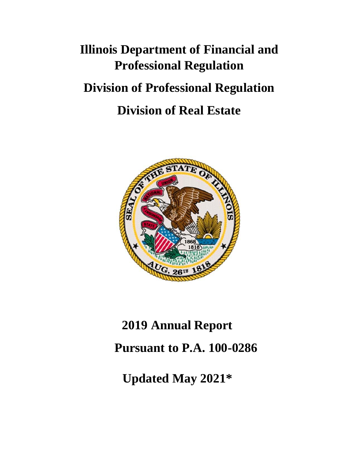# **Illinois Department of Financial and Professional Regulation Division of Professional Regulation Division of Real Estate**



# **2019 Annual Report**

**Pursuant to P.A. 100-0286**

**Updated May 2021\***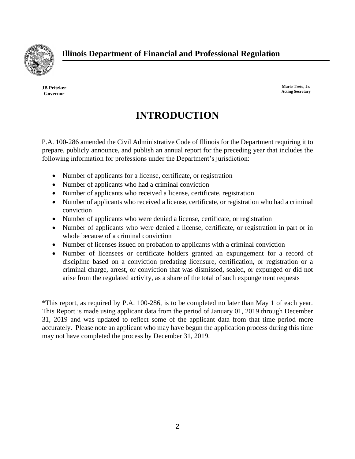

**JB Pritzker Governor**

**Mario Treto, Jr. Acting Secretary**

### **INTRODUCTION**

P.A. 100-286 amended the Civil Administrative Code of Illinois for the Department requiring it to prepare, publicly announce, and publish an annual report for the preceding year that includes the following information for professions under the Department's jurisdiction:

- Number of applicants for a license, certificate, or registration
- Number of applicants who had a criminal conviction
- Number of applicants who received a license, certificate, registration
- Number of applicants who received a license, certificate, or registration who had a criminal conviction
- Number of applicants who were denied a license, certificate, or registration
- Number of applicants who were denied a license, certificate, or registration in part or in whole because of a criminal conviction
- Number of licenses issued on probation to applicants with a criminal conviction
- Number of licensees or certificate holders granted an expungement for a record of discipline based on a conviction predating licensure, certification, or registration or a criminal charge, arrest, or conviction that was dismissed, sealed, or expunged or did not arise from the regulated activity, as a share of the total of such expungement requests

\*This report, as required by P.A. 100-286, is to be completed no later than May 1 of each year. This Report is made using applicant data from the period of January 01, 2019 through December 31, 2019 and was updated to reflect some of the applicant data from that time period more accurately. Please note an applicant who may have begun the application process during this time may not have completed the process by December 31, 2019.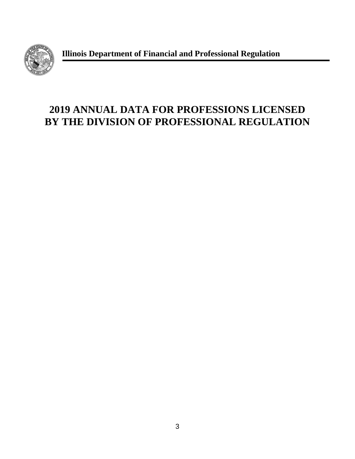

**Illinois Department of Financial and Professional Regulation**

# **2019 ANNUAL DATA FOR PROFESSIONS LICENSED BY THE DIVISION OF PROFESSIONAL REGULATION**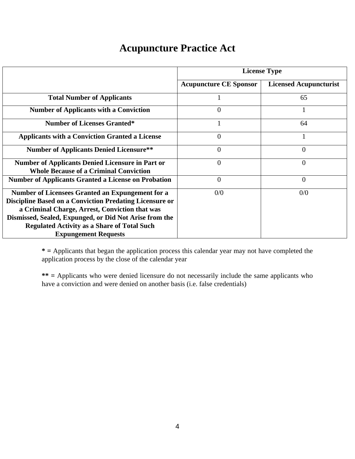#### **Acupuncture Practice Act**

|                                                                                                          | <b>License Type</b>           |                               |  |  |  |
|----------------------------------------------------------------------------------------------------------|-------------------------------|-------------------------------|--|--|--|
|                                                                                                          | <b>Acupuncture CE Sponsor</b> | <b>Licensed Acupuncturist</b> |  |  |  |
| <b>Total Number of Applicants</b>                                                                        |                               | 65                            |  |  |  |
| <b>Number of Applicants with a Conviction</b>                                                            | $\theta$                      |                               |  |  |  |
| <b>Number of Licenses Granted*</b>                                                                       |                               | 64                            |  |  |  |
| <b>Applicants with a Conviction Granted a License</b>                                                    | $\theta$                      |                               |  |  |  |
| <b>Number of Applicants Denied Licensure**</b>                                                           | $\theta$                      | $\overline{0}$                |  |  |  |
| <b>Number of Applicants Denied Licensure in Part or</b><br><b>Whole Because of a Criminal Conviction</b> | 0                             | $\overline{0}$                |  |  |  |
| <b>Number of Applicants Granted a License on Probation</b>                                               | $\overline{0}$                | $\overline{0}$                |  |  |  |
| Number of Licensees Granted an Expungement for a                                                         | 0/0                           | 0/0                           |  |  |  |
| <b>Discipline Based on a Conviction Predating Licensure or</b>                                           |                               |                               |  |  |  |
| a Criminal Charge, Arrest, Conviction that was                                                           |                               |                               |  |  |  |
| Dismissed, Sealed, Expunged, or Did Not Arise from the                                                   |                               |                               |  |  |  |
| <b>Regulated Activity as a Share of Total Such</b>                                                       |                               |                               |  |  |  |
| <b>Expungement Requests</b>                                                                              |                               |                               |  |  |  |

**\* =** Applicants that began the application process this calendar year may not have completed the application process by the close of the calendar year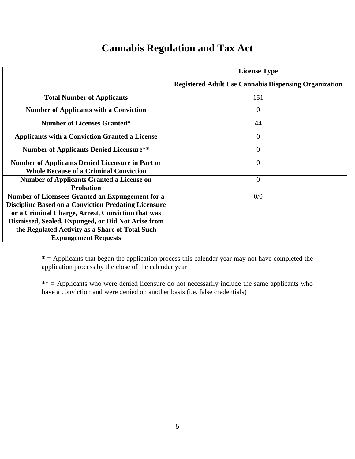#### **Cannabis Regulation and Tax Act**

|                                                             | <b>License Type</b>                                          |
|-------------------------------------------------------------|--------------------------------------------------------------|
|                                                             | <b>Registered Adult Use Cannabis Dispensing Organization</b> |
| <b>Total Number of Applicants</b>                           | 151                                                          |
| <b>Number of Applicants with a Conviction</b>               | $\overline{0}$                                               |
| <b>Number of Licenses Granted*</b>                          | 44                                                           |
| <b>Applicants with a Conviction Granted a License</b>       | $\overline{0}$                                               |
| <b>Number of Applicants Denied Licensure**</b>              | $\overline{0}$                                               |
| <b>Number of Applicants Denied Licensure in Part or</b>     | $\overline{0}$                                               |
| <b>Whole Because of a Criminal Conviction</b>               |                                                              |
| <b>Number of Applicants Granted a License on</b>            | $\Omega$                                                     |
| <b>Probation</b>                                            |                                                              |
| Number of Licensees Granted an Expungement for a            | 0/0                                                          |
| <b>Discipline Based on a Conviction Predating Licensure</b> |                                                              |
| or a Criminal Charge, Arrest, Conviction that was           |                                                              |
| Dismissed, Sealed, Expunged, or Did Not Arise from          |                                                              |
| the Regulated Activity as a Share of Total Such             |                                                              |
| <b>Expungement Requests</b>                                 |                                                              |

**\* =** Applicants that began the application process this calendar year may not have completed the application process by the close of the calendar year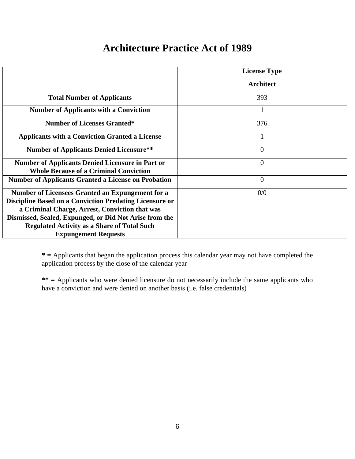#### **Architecture Practice Act of 1989**

|                                                                                                                                                                                                                                                                                                                            | <b>License Type</b> |
|----------------------------------------------------------------------------------------------------------------------------------------------------------------------------------------------------------------------------------------------------------------------------------------------------------------------------|---------------------|
|                                                                                                                                                                                                                                                                                                                            | Architect           |
| <b>Total Number of Applicants</b>                                                                                                                                                                                                                                                                                          | 393                 |
| <b>Number of Applicants with a Conviction</b>                                                                                                                                                                                                                                                                              | 1                   |
| <b>Number of Licenses Granted*</b>                                                                                                                                                                                                                                                                                         | 376                 |
| <b>Applicants with a Conviction Granted a License</b>                                                                                                                                                                                                                                                                      |                     |
| <b>Number of Applicants Denied Licensure**</b>                                                                                                                                                                                                                                                                             | $\overline{0}$      |
| <b>Number of Applicants Denied Licensure in Part or</b><br><b>Whole Because of a Criminal Conviction</b>                                                                                                                                                                                                                   | $\overline{0}$      |
| <b>Number of Applicants Granted a License on Probation</b>                                                                                                                                                                                                                                                                 | $\overline{0}$      |
| <b>Number of Licensees Granted an Expungement for a</b><br><b>Discipline Based on a Conviction Predating Licensure or</b><br>a Criminal Charge, Arrest, Conviction that was<br>Dismissed, Sealed, Expunged, or Did Not Arise from the<br><b>Regulated Activity as a Share of Total Such</b><br><b>Expungement Requests</b> | 0/0                 |

**\* =** Applicants that began the application process this calendar year may not have completed the application process by the close of the calendar year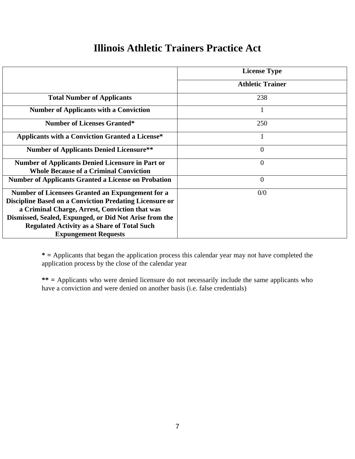#### **Illinois Athletic Trainers Practice Act**

|                                                                                                                                                                                                                                                                                                                            | <b>License Type</b>     |
|----------------------------------------------------------------------------------------------------------------------------------------------------------------------------------------------------------------------------------------------------------------------------------------------------------------------------|-------------------------|
|                                                                                                                                                                                                                                                                                                                            | <b>Athletic Trainer</b> |
| <b>Total Number of Applicants</b>                                                                                                                                                                                                                                                                                          | 238                     |
| <b>Number of Applicants with a Conviction</b>                                                                                                                                                                                                                                                                              | -1                      |
| <b>Number of Licenses Granted*</b>                                                                                                                                                                                                                                                                                         | 250                     |
| <b>Applicants with a Conviction Granted a License*</b>                                                                                                                                                                                                                                                                     | 1                       |
| <b>Number of Applicants Denied Licensure**</b>                                                                                                                                                                                                                                                                             | $\overline{0}$          |
| <b>Number of Applicants Denied Licensure in Part or</b><br><b>Whole Because of a Criminal Conviction</b>                                                                                                                                                                                                                   | $\overline{0}$          |
| <b>Number of Applicants Granted a License on Probation</b>                                                                                                                                                                                                                                                                 | $\overline{0}$          |
| <b>Number of Licensees Granted an Expungement for a</b><br><b>Discipline Based on a Conviction Predating Licensure or</b><br>a Criminal Charge, Arrest, Conviction that was<br>Dismissed, Sealed, Expunged, or Did Not Arise from the<br><b>Regulated Activity as a Share of Total Such</b><br><b>Expungement Requests</b> | 0/0                     |

**\* =** Applicants that began the application process this calendar year may not have completed the application process by the close of the calendar year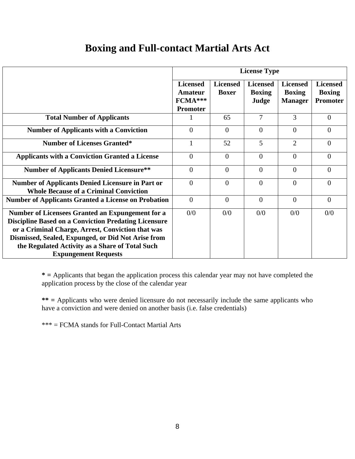#### **Boxing and Full-contact Martial Arts Act**

|                                                                                                                                                                                                                                                                                                                     | <b>License Type</b>                               |                                 |                                           |                                                    |                                                     |  |
|---------------------------------------------------------------------------------------------------------------------------------------------------------------------------------------------------------------------------------------------------------------------------------------------------------------------|---------------------------------------------------|---------------------------------|-------------------------------------------|----------------------------------------------------|-----------------------------------------------------|--|
|                                                                                                                                                                                                                                                                                                                     | <b>Licensed</b><br>Amateur<br>FCMA***<br>Promoter | <b>Licensed</b><br><b>Boxer</b> | <b>Licensed</b><br><b>Boxing</b><br>Judge | <b>Licensed</b><br><b>Boxing</b><br><b>Manager</b> | <b>Licensed</b><br><b>Boxing</b><br><b>Promoter</b> |  |
| <b>Total Number of Applicants</b>                                                                                                                                                                                                                                                                                   |                                                   | 65                              | 7                                         | 3                                                  | $\Omega$                                            |  |
| <b>Number of Applicants with a Conviction</b>                                                                                                                                                                                                                                                                       | $\Omega$                                          | $\theta$                        | $\Omega$                                  | $\theta$                                           | $\Omega$                                            |  |
| <b>Number of Licenses Granted*</b>                                                                                                                                                                                                                                                                                  |                                                   | 52                              | 5                                         | $\overline{2}$                                     | $\Omega$                                            |  |
| <b>Applicants with a Conviction Granted a License</b>                                                                                                                                                                                                                                                               | $\Omega$                                          | $\overline{0}$                  | $\theta$                                  | $\theta$                                           | $\theta$                                            |  |
| <b>Number of Applicants Denied Licensure**</b>                                                                                                                                                                                                                                                                      | $\Omega$                                          | $\theta$                        | $\theta$                                  | $\theta$                                           | $\Omega$                                            |  |
| <b>Number of Applicants Denied Licensure in Part or</b><br><b>Whole Because of a Criminal Conviction</b>                                                                                                                                                                                                            | $\overline{0}$                                    | $\overline{0}$                  | $\theta$                                  | $\theta$                                           | $\theta$                                            |  |
| <b>Number of Applicants Granted a License on Probation</b>                                                                                                                                                                                                                                                          | $\theta$                                          | $\theta$                        | $\theta$                                  | $\theta$                                           | $\Omega$                                            |  |
| <b>Number of Licensees Granted an Expungement for a</b><br><b>Discipline Based on a Conviction Predating Licensure</b><br>or a Criminal Charge, Arrest, Conviction that was<br>Dismissed, Sealed, Expunged, or Did Not Arise from<br>the Regulated Activity as a Share of Total Such<br><b>Expungement Requests</b> | 0/0                                               | 0/0                             | 0/0                                       | 0/0                                                | 0/0                                                 |  |

**\* =** Applicants that began the application process this calendar year may not have completed the application process by the close of the calendar year

**\*\* =** Applicants who were denied licensure do not necessarily include the same applicants who have a conviction and were denied on another basis (i.e. false credentials)

\*\*\* = FCMA stands for Full-Contact Martial Arts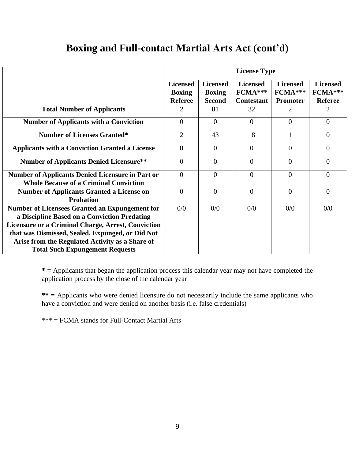#### **Boxing and Full-contact Martial Arts Act (cont'd)**

|                                                                                                               | <b>License Type</b>                                |                                                   |                                                   |                                               |                                              |
|---------------------------------------------------------------------------------------------------------------|----------------------------------------------------|---------------------------------------------------|---------------------------------------------------|-----------------------------------------------|----------------------------------------------|
|                                                                                                               | <b>Licensed</b><br><b>Boxing</b><br><b>Referee</b> | <b>Licensed</b><br><b>Boxing</b><br><b>Second</b> | <b>Licensed</b><br>$FCMA***$<br><b>Contestant</b> | <b>Licensed</b><br>FCMA***<br><b>Promoter</b> | <b>Licensed</b><br>FCMA***<br><b>Referee</b> |
| <b>Total Number of Applicants</b>                                                                             | 2                                                  | 81                                                | 32                                                | 2                                             | 2                                            |
| <b>Number of Applicants with a Conviction</b>                                                                 | $\Omega$                                           | $\overline{0}$                                    | $\Omega$                                          | $\Omega$                                      | $\Omega$                                     |
| <b>Number of Licenses Granted*</b>                                                                            | $\overline{2}$                                     | 43                                                | 18                                                |                                               | $\overline{0}$                               |
| <b>Applicants with a Conviction Granted a License</b>                                                         | $\theta$                                           | $\theta$                                          | $\Omega$                                          | $\Omega$                                      | $\Omega$                                     |
| <b>Number of Applicants Denied Licensure**</b>                                                                | $\theta$                                           | $\overline{0}$                                    | $\Omega$                                          | $\Omega$                                      | $\Omega$                                     |
| <b>Number of Applicants Denied Licensure in Part or</b><br><b>Whole Because of a Criminal Conviction</b>      | $\theta$                                           | $\overline{0}$                                    | $\overline{0}$                                    | $\Omega$                                      | $\theta$                                     |
| <b>Number of Applicants Granted a License on</b><br><b>Probation</b>                                          | $\Omega$                                           | $\overline{0}$                                    | $\overline{0}$                                    | $\Omega$                                      | $\theta$                                     |
| <b>Number of Licensees Granted an Expungement for</b><br>a Discipline Based on a Conviction Predating         | 0/0                                                | 0/0                                               | 0/0                                               | 0/0                                           | 0/0                                          |
| <b>Licensure or a Criminal Charge, Arrest, Conviction</b><br>that was Dismissed, Sealed, Expunged, or Did Not |                                                    |                                                   |                                                   |                                               |                                              |
| Arise from the Regulated Activity as a Share of<br><b>Total Such Expungement Requests</b>                     |                                                    |                                                   |                                                   |                                               |                                              |

**\* =** Applicants that began the application process this calendar year may not have completed the application process by the close of the calendar year

**\*\* =** Applicants who were denied licensure do not necessarily include the same applicants who have a conviction and were denied on another basis (i.e. false credentials)

\*\*\* = FCMA stands for Full-Contact Martial Arts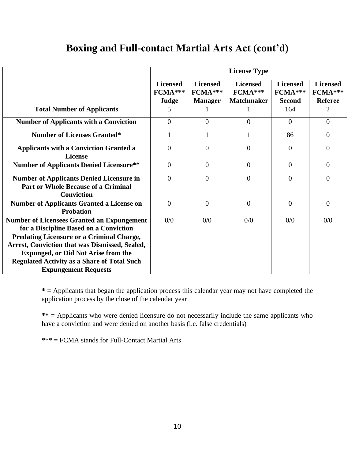#### **Boxing and Full-contact Martial Arts Act (cont'd)**

|                                                                                                                                                                                                                                                                                                                                      | <b>License Type</b>                 |                                              |                                                 |                                             |                                              |
|--------------------------------------------------------------------------------------------------------------------------------------------------------------------------------------------------------------------------------------------------------------------------------------------------------------------------------------|-------------------------------------|----------------------------------------------|-------------------------------------------------|---------------------------------------------|----------------------------------------------|
|                                                                                                                                                                                                                                                                                                                                      | <b>Licensed</b><br>FCMA***<br>Judge | <b>Licensed</b><br>FCMA***<br><b>Manager</b> | <b>Licensed</b><br>FCMA***<br><b>Matchmaker</b> | <b>Licensed</b><br>FCMA***<br><b>Second</b> | <b>Licensed</b><br>FCMA***<br><b>Referee</b> |
| <b>Total Number of Applicants</b>                                                                                                                                                                                                                                                                                                    | 5                                   | 1                                            |                                                 | 164                                         | $\overline{2}$                               |
| <b>Number of Applicants with a Conviction</b>                                                                                                                                                                                                                                                                                        | $\overline{0}$                      | $\overline{0}$                               | $\overline{0}$                                  | $\overline{0}$                              | $\overline{0}$                               |
| <b>Number of Licenses Granted*</b>                                                                                                                                                                                                                                                                                                   | $\mathbf{1}$                        | 1                                            | $\mathbf{1}$                                    | 86                                          | $\overline{0}$                               |
| <b>Applicants with a Conviction Granted a</b><br><b>License</b>                                                                                                                                                                                                                                                                      | $\overline{0}$                      | $\overline{0}$                               | $\Omega$                                        | $\theta$                                    | $\theta$                                     |
| <b>Number of Applicants Denied Licensure**</b>                                                                                                                                                                                                                                                                                       | $\overline{0}$                      | $\overline{0}$                               | $\overline{0}$                                  | $\overline{0}$                              | $\overline{0}$                               |
| <b>Number of Applicants Denied Licensure in</b><br><b>Part or Whole Because of a Criminal</b><br><b>Conviction</b>                                                                                                                                                                                                                   | $\overline{0}$                      | $\overline{0}$                               | $\overline{0}$                                  | $\overline{0}$                              | $\Omega$                                     |
| <b>Number of Applicants Granted a License on</b><br><b>Probation</b>                                                                                                                                                                                                                                                                 | $\boldsymbol{0}$                    | $\overline{0}$                               | $\overline{0}$                                  | $\overline{0}$                              | $\overline{0}$                               |
| <b>Number of Licensees Granted an Expungement</b><br>for a Discipline Based on a Conviction<br><b>Predating Licensure or a Criminal Charge,</b><br>Arrest, Conviction that was Dismissed, Sealed,<br><b>Expunged, or Did Not Arise from the</b><br><b>Regulated Activity as a Share of Total Such</b><br><b>Expungement Requests</b> | 0/0                                 | 0/0                                          | 0/0                                             | 0/0                                         | 0/0                                          |

**\* =** Applicants that began the application process this calendar year may not have completed the application process by the close of the calendar year

**\*\* =** Applicants who were denied licensure do not necessarily include the same applicants who have a conviction and were denied on another basis (i.e. false credentials)

\*\*\* = FCMA stands for Full-Contact Martial Arts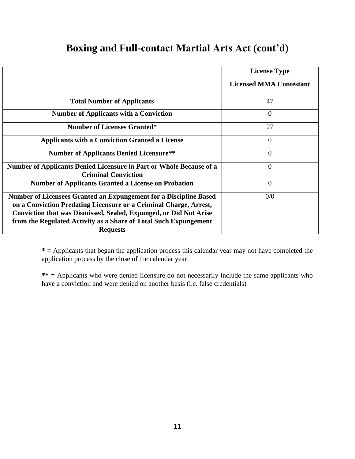#### **Boxing and Full-contact Martial Arts Act (cont'd)**

|                                                                     | <b>License Type</b>            |
|---------------------------------------------------------------------|--------------------------------|
|                                                                     |                                |
|                                                                     | <b>Licensed MMA Contestant</b> |
|                                                                     |                                |
| <b>Total Number of Applicants</b>                                   | 47                             |
| <b>Number of Applicants with a Conviction</b>                       | $\theta$                       |
| <b>Number of Licenses Granted*</b>                                  | 27                             |
| <b>Applicants with a Conviction Granted a License</b>               | $\Omega$                       |
| <b>Number of Applicants Denied Licensure**</b>                      | 0                              |
| Number of Applicants Denied Licensure in Part or Whole Because of a | $\overline{0}$                 |
| <b>Criminal Conviction</b>                                          |                                |
| <b>Number of Applicants Granted a License on Probation</b>          | $\theta$                       |
| Number of Licensees Granted an Expungement for a Discipline Based   | 0/0                            |
| on a Conviction Predating Licensure or a Criminal Charge, Arrest,   |                                |
| Conviction that was Dismissed, Sealed, Expunged, or Did Not Arise   |                                |
| from the Regulated Activity as a Share of Total Such Expungement    |                                |
| <b>Requests</b>                                                     |                                |

**\* =** Applicants that began the application process this calendar year may not have completed the application process by the close of the calendar year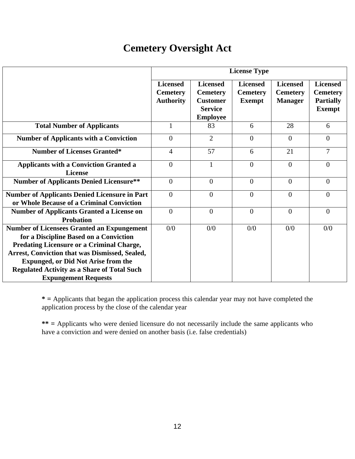#### **Cemetery Oversight Act**

|                                                                                                                                                                                                                                                                                                                                             | <b>License Type</b>                                    |                                                                                            |                                                     |                                                      |                                                                         |
|---------------------------------------------------------------------------------------------------------------------------------------------------------------------------------------------------------------------------------------------------------------------------------------------------------------------------------------------|--------------------------------------------------------|--------------------------------------------------------------------------------------------|-----------------------------------------------------|------------------------------------------------------|-------------------------------------------------------------------------|
|                                                                                                                                                                                                                                                                                                                                             | <b>Licensed</b><br><b>Cemetery</b><br><b>Authority</b> | <b>Licensed</b><br><b>Cemetery</b><br><b>Customer</b><br><b>Service</b><br><b>Employee</b> | <b>Licensed</b><br><b>Cemetery</b><br><b>Exempt</b> | <b>Licensed</b><br><b>Cemetery</b><br><b>Manager</b> | <b>Licensed</b><br><b>Cemetery</b><br><b>Partially</b><br><b>Exempt</b> |
| <b>Total Number of Applicants</b>                                                                                                                                                                                                                                                                                                           | 1                                                      | 83                                                                                         | 6                                                   | 28                                                   | 6                                                                       |
| <b>Number of Applicants with a Conviction</b>                                                                                                                                                                                                                                                                                               | $\Omega$                                               | $\overline{2}$                                                                             | $\Omega$                                            | $\Omega$                                             | $\theta$                                                                |
| <b>Number of Licenses Granted*</b>                                                                                                                                                                                                                                                                                                          | $\overline{4}$                                         | 57                                                                                         | 6                                                   | 21                                                   | $\overline{7}$                                                          |
| <b>Applicants with a Conviction Granted a</b><br><b>License</b>                                                                                                                                                                                                                                                                             | $\overline{0}$                                         | $\mathbf{1}$                                                                               | $\overline{0}$                                      | $\overline{0}$                                       | $\theta$                                                                |
| <b>Number of Applicants Denied Licensure**</b>                                                                                                                                                                                                                                                                                              | $\overline{0}$                                         | $\theta$                                                                                   | $\overline{0}$                                      | $\overline{0}$                                       | $\theta$                                                                |
| <b>Number of Applicants Denied Licensure in Part</b><br>or Whole Because of a Criminal Conviction                                                                                                                                                                                                                                           | $\Omega$                                               | $\Omega$                                                                                   | $\overline{0}$                                      | $\theta$                                             | $\theta$                                                                |
| <b>Number of Applicants Granted a License on</b><br><b>Probation</b>                                                                                                                                                                                                                                                                        | $\overline{0}$                                         | $\overline{0}$                                                                             | $\overline{0}$                                      | $\theta$                                             | $\theta$                                                                |
| <b>Number of Licensees Granted an Expungement</b><br>for a Discipline Based on a Conviction<br><b>Predating Licensure or a Criminal Charge,</b><br><b>Arrest, Conviction that was Dismissed, Sealed,</b><br><b>Expunged, or Did Not Arise from the</b><br><b>Regulated Activity as a Share of Total Such</b><br><b>Expungement Requests</b> | 0/0                                                    | 0/0                                                                                        | 0/0                                                 | 0/0                                                  | 0/0                                                                     |

**\* =** Applicants that began the application process this calendar year may not have completed the application process by the close of the calendar year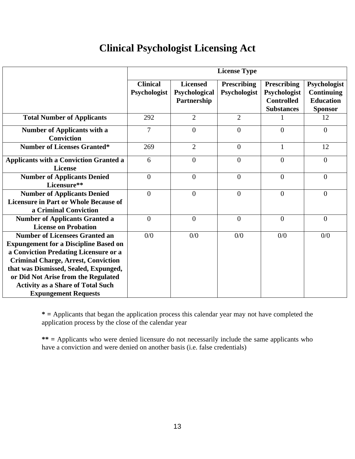#### **Clinical Psychologist Licensing Act**

|                                                                                                                                                                                                                                                                                                          | <b>License Type</b>             |                                                 |                                    |                                                                              |                                                                         |
|----------------------------------------------------------------------------------------------------------------------------------------------------------------------------------------------------------------------------------------------------------------------------------------------------------|---------------------------------|-------------------------------------------------|------------------------------------|------------------------------------------------------------------------------|-------------------------------------------------------------------------|
|                                                                                                                                                                                                                                                                                                          | <b>Clinical</b><br>Psychologist | <b>Licensed</b><br>Psychological<br>Partnership | <b>Prescribing</b><br>Psychologist | <b>Prescribing</b><br>Psychologist<br><b>Controlled</b><br><b>Substances</b> | Psychologist<br><b>Continuing</b><br><b>Education</b><br><b>Sponsor</b> |
| <b>Total Number of Applicants</b>                                                                                                                                                                                                                                                                        | 292                             | $\overline{2}$                                  | $\overline{2}$                     |                                                                              | 12                                                                      |
| <b>Number of Applicants with a</b><br><b>Conviction</b>                                                                                                                                                                                                                                                  | $\overline{7}$                  | $\theta$                                        | $\theta$                           | $\theta$                                                                     | $\overline{0}$                                                          |
| <b>Number of Licenses Granted*</b>                                                                                                                                                                                                                                                                       | 269                             | $\overline{2}$                                  | $\theta$                           | $\mathbf{1}$                                                                 | 12                                                                      |
| <b>Applicants with a Conviction Granted a</b><br><b>License</b>                                                                                                                                                                                                                                          | 6                               | $\overline{0}$                                  | $\theta$                           | $\overline{0}$                                                               | $\overline{0}$                                                          |
| <b>Number of Applicants Denied</b><br>Licensure**                                                                                                                                                                                                                                                        | $\overline{0}$                  | $\overline{0}$                                  | $\overline{0}$                     | $\overline{0}$                                                               | $\overline{0}$                                                          |
| <b>Number of Applicants Denied</b><br><b>Licensure in Part or Whole Because of</b><br>a Criminal Conviction                                                                                                                                                                                              | $\theta$                        | $\theta$                                        | $\theta$                           | $\mathbf{0}$                                                                 | $\theta$                                                                |
| <b>Number of Applicants Granted a</b><br><b>License on Probation</b>                                                                                                                                                                                                                                     | $\overline{0}$                  | $\overline{0}$                                  | $\overline{0}$                     | $\overline{0}$                                                               | $\overline{0}$                                                          |
| <b>Number of Licensees Granted an</b><br><b>Expungement for a Discipline Based on</b><br>a Conviction Predating Licensure or a<br><b>Criminal Charge, Arrest, Conviction</b><br>that was Dismissed, Sealed, Expunged,<br>or Did Not Arise from the Regulated<br><b>Activity as a Share of Total Such</b> | 0/0                             | 0/0                                             | 0/0                                | 0/0                                                                          | 0/0                                                                     |
| <b>Expungement Requests</b>                                                                                                                                                                                                                                                                              |                                 |                                                 |                                    |                                                                              |                                                                         |

**\* =** Applicants that began the application process this calendar year may not have completed the application process by the close of the calendar year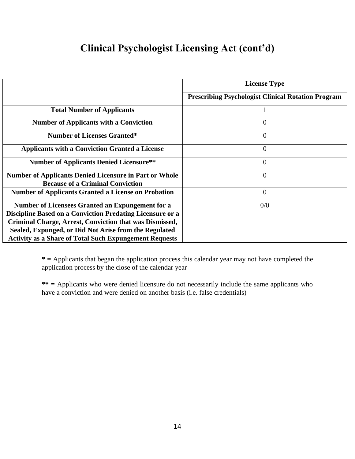## **Clinical Psychologist Licensing Act (cont'd)**

|                                                               | <b>License Type</b>                                       |
|---------------------------------------------------------------|-----------------------------------------------------------|
|                                                               | <b>Prescribing Psychologist Clinical Rotation Program</b> |
| <b>Total Number of Applicants</b>                             |                                                           |
| <b>Number of Applicants with a Conviction</b>                 | $\Omega$                                                  |
| <b>Number of Licenses Granted*</b>                            | $\Omega$                                                  |
| <b>Applicants with a Conviction Granted a License</b>         | $\Omega$                                                  |
| <b>Number of Applicants Denied Licensure**</b>                | $\Omega$                                                  |
| <b>Number of Applicants Denied Licensure in Part or Whole</b> | $\Omega$                                                  |
| <b>Because of a Criminal Conviction</b>                       |                                                           |
| <b>Number of Applicants Granted a License on Probation</b>    | $\Omega$                                                  |
| Number of Licensees Granted an Expungement for a              | 0/0                                                       |
| Discipline Based on a Conviction Predating Licensure or a     |                                                           |
| Criminal Charge, Arrest, Conviction that was Dismissed,       |                                                           |
| Sealed, Expunged, or Did Not Arise from the Regulated         |                                                           |
| <b>Activity as a Share of Total Such Expungement Requests</b> |                                                           |

**\* =** Applicants that began the application process this calendar year may not have completed the application process by the close of the calendar year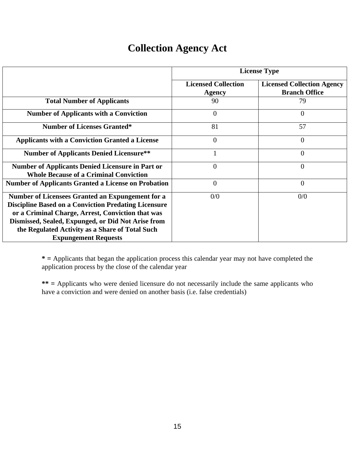#### **Collection Agency Act**

|                                                                                                                                                                                                                                                                                                              | <b>License Type</b>                         |                                                           |  |  |  |
|--------------------------------------------------------------------------------------------------------------------------------------------------------------------------------------------------------------------------------------------------------------------------------------------------------------|---------------------------------------------|-----------------------------------------------------------|--|--|--|
|                                                                                                                                                                                                                                                                                                              | <b>Licensed Collection</b><br><b>Agency</b> | <b>Licensed Collection Agency</b><br><b>Branch Office</b> |  |  |  |
| <b>Total Number of Applicants</b>                                                                                                                                                                                                                                                                            | 90                                          | 79                                                        |  |  |  |
| <b>Number of Applicants with a Conviction</b>                                                                                                                                                                                                                                                                | $\overline{0}$                              | $\Omega$                                                  |  |  |  |
| <b>Number of Licenses Granted*</b>                                                                                                                                                                                                                                                                           | 81                                          | 57                                                        |  |  |  |
| <b>Applicants with a Conviction Granted a License</b>                                                                                                                                                                                                                                                        | $\boldsymbol{0}$                            | $\overline{0}$                                            |  |  |  |
| <b>Number of Applicants Denied Licensure**</b>                                                                                                                                                                                                                                                               |                                             | $\overline{0}$                                            |  |  |  |
| <b>Number of Applicants Denied Licensure in Part or</b><br><b>Whole Because of a Criminal Conviction</b>                                                                                                                                                                                                     | $\overline{0}$                              | $\overline{0}$                                            |  |  |  |
| <b>Number of Applicants Granted a License on Probation</b>                                                                                                                                                                                                                                                   | $\overline{0}$                              | $\overline{0}$                                            |  |  |  |
| Number of Licensees Granted an Expungement for a<br><b>Discipline Based on a Conviction Predating Licensure</b><br>or a Criminal Charge, Arrest, Conviction that was<br>Dismissed, Sealed, Expunged, or Did Not Arise from<br>the Regulated Activity as a Share of Total Such<br><b>Expungement Requests</b> | 0/0                                         | 0/0                                                       |  |  |  |

**\* =** Applicants that began the application process this calendar year may not have completed the application process by the close of the calendar year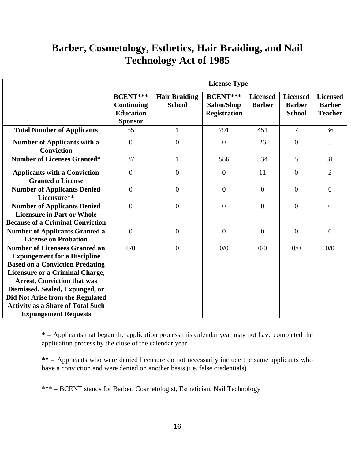#### **Barber, Cosmetology, Esthetics, Hair Braiding, and Nail Technology Act of 1985**

|                                                                                                                                                                                                                                                                                      | <b>License Type</b>                                                  |                                       |                                                       |                                  |                                                   |                                                    |
|--------------------------------------------------------------------------------------------------------------------------------------------------------------------------------------------------------------------------------------------------------------------------------------|----------------------------------------------------------------------|---------------------------------------|-------------------------------------------------------|----------------------------------|---------------------------------------------------|----------------------------------------------------|
|                                                                                                                                                                                                                                                                                      | <b>BCENT</b> ***<br>Continuing<br><b>Education</b><br><b>Sponsor</b> | <b>Hair Braiding</b><br><b>School</b> | <b>BCENT</b> ***<br>Salon/Shop<br><b>Registration</b> | <b>Licensed</b><br><b>Barber</b> | <b>Licensed</b><br><b>Barber</b><br><b>School</b> | <b>Licensed</b><br><b>Barber</b><br><b>Teacher</b> |
| <b>Total Number of Applicants</b>                                                                                                                                                                                                                                                    | 55                                                                   | $\mathbf{1}$                          | 791                                                   | 451                              | $\overline{7}$                                    | 36                                                 |
| <b>Number of Applicants with a</b><br><b>Conviction</b>                                                                                                                                                                                                                              | $\overline{0}$                                                       | $\overline{0}$                        | $\overline{0}$                                        | 26                               | $\overline{0}$                                    | 5                                                  |
| <b>Number of Licenses Granted*</b>                                                                                                                                                                                                                                                   | 37                                                                   | 1                                     | 586                                                   | 334                              | 5                                                 | 31                                                 |
| <b>Applicants with a Conviction</b><br><b>Granted a License</b>                                                                                                                                                                                                                      | $\overline{0}$                                                       | $\overline{0}$                        | $\theta$                                              | 11                               | $\overline{0}$                                    | $\overline{2}$                                     |
| <b>Number of Applicants Denied</b><br>Licensure**                                                                                                                                                                                                                                    | $\overline{0}$                                                       | $\overline{0}$                        | $\mathbf{0}$                                          | $\overline{0}$                   | $\overline{0}$                                    | $\overline{0}$                                     |
| <b>Number of Applicants Denied</b><br><b>Licensure in Part or Whole</b><br><b>Because of a Criminal Conviction</b>                                                                                                                                                                   | $\overline{0}$                                                       | $\overline{0}$                        | $\overline{0}$                                        | $\overline{0}$                   | $\overline{0}$                                    | $\overline{0}$                                     |
| <b>Number of Applicants Granted a</b><br><b>License on Probation</b>                                                                                                                                                                                                                 | $\mathbf{0}$                                                         | $\overline{0}$                        | $\mathbf{0}$                                          | $\overline{0}$                   | $\overline{0}$                                    | $\overline{0}$                                     |
| <b>Number of Licensees Granted an</b><br><b>Expungement for a Discipline</b><br><b>Based on a Conviction Predating</b><br><b>Licensure or a Criminal Charge,</b><br><b>Arrest, Conviction that was</b><br>Dismissed, Sealed, Expunged, or<br><b>Did Not Arise from the Regulated</b> | 0/0                                                                  | $\theta$                              | 0/0                                                   | 0/0                              | 0/0                                               | 0/0                                                |
| <b>Activity as a Share of Total Such</b><br><b>Expungement Requests</b>                                                                                                                                                                                                              |                                                                      |                                       |                                                       |                                  |                                                   |                                                    |

**\* =** Applicants that began the application process this calendar year may not have completed the application process by the close of the calendar year

**\*\* =** Applicants who were denied licensure do not necessarily include the same applicants who have a conviction and were denied on another basis (i.e. false credentials)

\*\*\* = BCENT stands for Barber, Cosmetologist, Esthetician, Nail Technology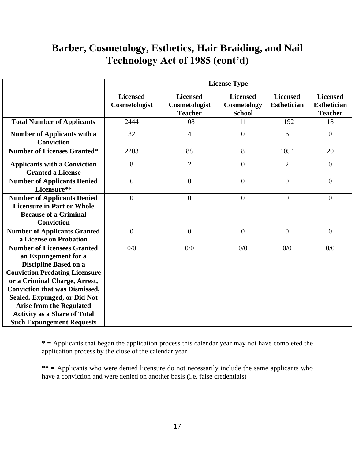#### **Barber, Cosmetology, Esthetics, Hair Braiding, and Nail Technology Act of 1985 (cont'd)**

|                                                                                                                                                                                                                                                                                                                                                             | <b>License Type</b>              |                                                    |                                                 |                                       |                                                         |  |
|-------------------------------------------------------------------------------------------------------------------------------------------------------------------------------------------------------------------------------------------------------------------------------------------------------------------------------------------------------------|----------------------------------|----------------------------------------------------|-------------------------------------------------|---------------------------------------|---------------------------------------------------------|--|
|                                                                                                                                                                                                                                                                                                                                                             | <b>Licensed</b><br>Cosmetologist | <b>Licensed</b><br>Cosmetologist<br><b>Teacher</b> | <b>Licensed</b><br>Cosmetology<br><b>School</b> | <b>Licensed</b><br><b>Esthetician</b> | <b>Licensed</b><br><b>Esthetician</b><br><b>Teacher</b> |  |
| <b>Total Number of Applicants</b>                                                                                                                                                                                                                                                                                                                           | 2444                             | 108                                                | 11                                              | 1192                                  | 18                                                      |  |
| <b>Number of Applicants with a</b><br><b>Conviction</b>                                                                                                                                                                                                                                                                                                     | 32                               | $\overline{4}$                                     | $\overline{0}$                                  | 6                                     | $\overline{0}$                                          |  |
| <b>Number of Licenses Granted*</b>                                                                                                                                                                                                                                                                                                                          | 2203                             | 88                                                 | 8                                               | 1054                                  | 20                                                      |  |
| <b>Applicants with a Conviction</b><br><b>Granted a License</b>                                                                                                                                                                                                                                                                                             | 8                                | $\overline{2}$                                     | $\overline{0}$                                  | $\overline{2}$                        | $\overline{0}$                                          |  |
| <b>Number of Applicants Denied</b><br>Licensure**                                                                                                                                                                                                                                                                                                           | 6                                | $\overline{0}$                                     | $\overline{0}$                                  | $\theta$                              | $\overline{0}$                                          |  |
| <b>Number of Applicants Denied</b><br><b>Licensure in Part or Whole</b><br><b>Because of a Criminal</b><br><b>Conviction</b>                                                                                                                                                                                                                                | $\overline{0}$                   | $\overline{0}$                                     | $\overline{0}$                                  | $\theta$                              | $\overline{0}$                                          |  |
| <b>Number of Applicants Granted</b><br>a License on Probation                                                                                                                                                                                                                                                                                               | $\overline{0}$                   | $\overline{0}$                                     | $\overline{0}$                                  | $\overline{0}$                        | $\overline{0}$                                          |  |
| <b>Number of Licensees Granted</b><br>an Expungement for a<br><b>Discipline Based on a</b><br><b>Conviction Predating Licensure</b><br>or a Criminal Charge, Arrest,<br><b>Conviction that was Dismissed,</b><br>Sealed, Expunged, or Did Not<br><b>Arise from the Regulated</b><br><b>Activity as a Share of Total</b><br><b>Such Expungement Requests</b> | 0/0                              | 0/0                                                | 0/0                                             | 0/0                                   | 0/0                                                     |  |

**\* =** Applicants that began the application process this calendar year may not have completed the application process by the close of the calendar year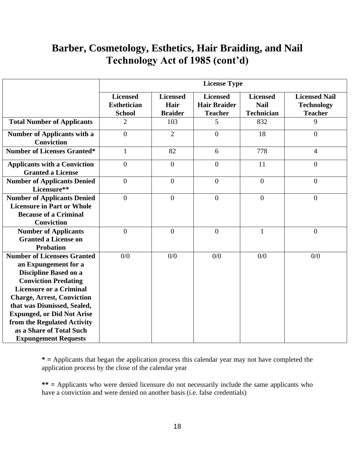#### **Barber, Cosmetology, Esthetics, Hair Braiding, and Nail Technology Act of 1985 (cont'd)**

|                                                                                                                                                                                                                                                                                                                                                                | <b>License Type</b>                                    |                                           |                                                          |                                                     |                                                             |  |
|----------------------------------------------------------------------------------------------------------------------------------------------------------------------------------------------------------------------------------------------------------------------------------------------------------------------------------------------------------------|--------------------------------------------------------|-------------------------------------------|----------------------------------------------------------|-----------------------------------------------------|-------------------------------------------------------------|--|
|                                                                                                                                                                                                                                                                                                                                                                | <b>Licensed</b><br><b>Esthetician</b><br><b>School</b> | <b>Licensed</b><br>Hair<br><b>Braider</b> | <b>Licensed</b><br><b>Hair Braider</b><br><b>Teacher</b> | <b>Licensed</b><br><b>Nail</b><br><b>Technician</b> | <b>Licensed Nail</b><br><b>Technology</b><br><b>Teacher</b> |  |
| <b>Total Number of Applicants</b>                                                                                                                                                                                                                                                                                                                              | $\overline{2}$                                         | 103                                       | 5                                                        | 832                                                 | 9                                                           |  |
| <b>Number of Applicants with a</b><br><b>Conviction</b>                                                                                                                                                                                                                                                                                                        | $\overline{0}$                                         | $\overline{2}$                            | $\overline{0}$                                           | 18                                                  | $\overline{0}$                                              |  |
| <b>Number of Licenses Granted*</b>                                                                                                                                                                                                                                                                                                                             | $\mathbf{1}$                                           | 82                                        | 6                                                        | 778                                                 | $\overline{4}$                                              |  |
| <b>Applicants with a Conviction</b><br><b>Granted a License</b>                                                                                                                                                                                                                                                                                                | $\overline{0}$                                         | $\overline{0}$                            | $\overline{0}$                                           | 11                                                  | $\overline{0}$                                              |  |
| <b>Number of Applicants Denied</b><br>Licensure**                                                                                                                                                                                                                                                                                                              | $\overline{0}$                                         | $\overline{0}$                            | $\overline{0}$                                           | $\overline{0}$                                      | $\overline{0}$                                              |  |
| <b>Number of Applicants Denied</b><br><b>Licensure in Part or Whole</b><br><b>Because of a Criminal</b><br><b>Conviction</b>                                                                                                                                                                                                                                   | $\overline{0}$                                         | $\boldsymbol{0}$                          | $\overline{0}$                                           | $\overline{0}$                                      | $\overline{0}$                                              |  |
| <b>Number of Applicants</b><br><b>Granted a License on</b><br><b>Probation</b>                                                                                                                                                                                                                                                                                 | $\overline{0}$                                         | $\overline{0}$                            | $\mathbf{0}$                                             | $\mathbf{1}$                                        | $\overline{0}$                                              |  |
| <b>Number of Licensees Granted</b><br>an Expungement for a<br><b>Discipline Based on a</b><br><b>Conviction Predating</b><br><b>Licensure or a Criminal</b><br><b>Charge, Arrest, Conviction</b><br>that was Dismissed, Sealed,<br><b>Expunged, or Did Not Arise</b><br>from the Regulated Activity<br>as a Share of Total Such<br><b>Expungement Requests</b> | 0/0                                                    | 0/0                                       | 0/0                                                      | 0/0                                                 | 0/0                                                         |  |

**\* =** Applicants that began the application process this calendar year may not have completed the application process by the close of the calendar year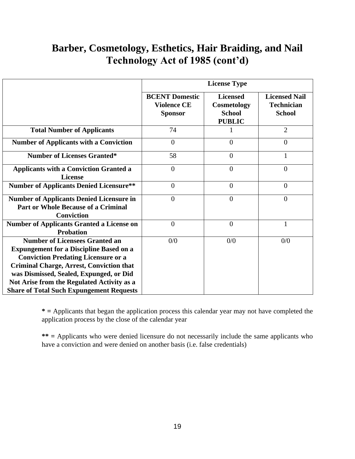#### **Barber, Cosmetology, Esthetics, Hair Braiding, and Nail Technology Act of 1985 (cont'd)**

|                                                                                                                                                                                                                                                                                                                                      |                                                               | <b>License Type</b>                                              |                                                            |
|--------------------------------------------------------------------------------------------------------------------------------------------------------------------------------------------------------------------------------------------------------------------------------------------------------------------------------------|---------------------------------------------------------------|------------------------------------------------------------------|------------------------------------------------------------|
|                                                                                                                                                                                                                                                                                                                                      | <b>BCENT Domestic</b><br><b>Violence CE</b><br><b>Sponsor</b> | <b>Licensed</b><br>Cosmetology<br><b>School</b><br><b>PUBLIC</b> | <b>Licensed Nail</b><br><b>Technician</b><br><b>School</b> |
| <b>Total Number of Applicants</b>                                                                                                                                                                                                                                                                                                    | 74                                                            |                                                                  | $\overline{2}$                                             |
| <b>Number of Applicants with a Conviction</b>                                                                                                                                                                                                                                                                                        | $\overline{0}$                                                | $\overline{0}$                                                   | $\overline{0}$                                             |
| <b>Number of Licenses Granted*</b>                                                                                                                                                                                                                                                                                                   | 58                                                            | $\overline{0}$                                                   | 1                                                          |
| <b>Applicants with a Conviction Granted a</b><br><b>License</b>                                                                                                                                                                                                                                                                      | $\overline{0}$                                                | $\theta$                                                         | $\overline{0}$                                             |
| <b>Number of Applicants Denied Licensure**</b>                                                                                                                                                                                                                                                                                       | $\overline{0}$                                                | $\overline{0}$                                                   | $\overline{0}$                                             |
| <b>Number of Applicants Denied Licensure in</b><br><b>Part or Whole Because of a Criminal</b><br><b>Conviction</b>                                                                                                                                                                                                                   | $\overline{0}$                                                | $\overline{0}$                                                   | $\overline{0}$                                             |
| <b>Number of Applicants Granted a License on</b><br><b>Probation</b>                                                                                                                                                                                                                                                                 | $\theta$                                                      | $\overline{0}$                                                   | $\mathbf{1}$                                               |
| <b>Number of Licensees Granted an</b><br><b>Expungement for a Discipline Based on a</b><br><b>Conviction Predating Licensure or a</b><br><b>Criminal Charge, Arrest, Conviction that</b><br>was Dismissed, Sealed, Expunged, or Did<br>Not Arise from the Regulated Activity as a<br><b>Share of Total Such Expungement Requests</b> | 0/0                                                           | 0/0                                                              | 0/0                                                        |

**\* =** Applicants that began the application process this calendar year may not have completed the application process by the close of the calendar year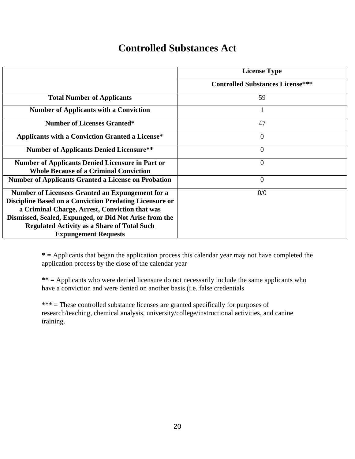#### **Controlled Substances Act**

|                                                                                                                                                                                                                                                                                                                            | <b>License Type</b>                     |
|----------------------------------------------------------------------------------------------------------------------------------------------------------------------------------------------------------------------------------------------------------------------------------------------------------------------------|-----------------------------------------|
|                                                                                                                                                                                                                                                                                                                            | <b>Controlled Substances License***</b> |
| <b>Total Number of Applicants</b>                                                                                                                                                                                                                                                                                          | 59                                      |
| <b>Number of Applicants with a Conviction</b>                                                                                                                                                                                                                                                                              | -1                                      |
| <b>Number of Licenses Granted*</b>                                                                                                                                                                                                                                                                                         | 47                                      |
| <b>Applicants with a Conviction Granted a License*</b>                                                                                                                                                                                                                                                                     | $\overline{0}$                          |
| <b>Number of Applicants Denied Licensure**</b>                                                                                                                                                                                                                                                                             | $\overline{0}$                          |
| <b>Number of Applicants Denied Licensure in Part or</b><br><b>Whole Because of a Criminal Conviction</b>                                                                                                                                                                                                                   | $\overline{0}$                          |
| <b>Number of Applicants Granted a License on Probation</b>                                                                                                                                                                                                                                                                 | $\overline{0}$                          |
| <b>Number of Licensees Granted an Expungement for a</b><br><b>Discipline Based on a Conviction Predating Licensure or</b><br>a Criminal Charge, Arrest, Conviction that was<br>Dismissed, Sealed, Expunged, or Did Not Arise from the<br><b>Regulated Activity as a Share of Total Such</b><br><b>Expungement Requests</b> | 0/0                                     |

**\* =** Applicants that began the application process this calendar year may not have completed the application process by the close of the calendar year

**\*\* =** Applicants who were denied licensure do not necessarily include the same applicants who have a conviction and were denied on another basis (i.e. false credentials

\*\*\* = These controlled substance licenses are granted specifically for purposes of research/teaching, chemical analysis, university/college/instructional activities, and canine training.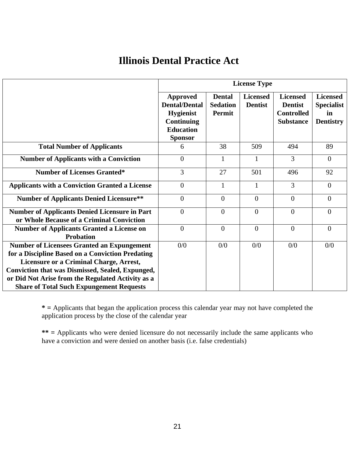#### **Illinois Dental Practice Act**

|                                                                                                                                                                                                                                                                                                                            | <b>License Type</b>                                                                                                    |                                                   |                                   |                                                                            |                                                                |  |
|----------------------------------------------------------------------------------------------------------------------------------------------------------------------------------------------------------------------------------------------------------------------------------------------------------------------------|------------------------------------------------------------------------------------------------------------------------|---------------------------------------------------|-----------------------------------|----------------------------------------------------------------------------|----------------------------------------------------------------|--|
|                                                                                                                                                                                                                                                                                                                            | <b>Approved</b><br><b>Dental/Dental</b><br><b>Hygienist</b><br><b>Continuing</b><br><b>Education</b><br><b>Sponsor</b> | <b>Dental</b><br><b>Sedation</b><br><b>Permit</b> | <b>Licensed</b><br><b>Dentist</b> | <b>Licensed</b><br><b>Dentist</b><br><b>Controlled</b><br><b>Substance</b> | <b>Licensed</b><br><b>Specialist</b><br>in<br><b>Dentistry</b> |  |
| <b>Total Number of Applicants</b>                                                                                                                                                                                                                                                                                          | 6                                                                                                                      | 38                                                | 509                               | 494                                                                        | 89                                                             |  |
| <b>Number of Applicants with a Conviction</b>                                                                                                                                                                                                                                                                              | $\theta$                                                                                                               | 1                                                 | 1                                 | $\overline{3}$                                                             | $\Omega$                                                       |  |
| <b>Number of Licenses Granted*</b>                                                                                                                                                                                                                                                                                         | 3                                                                                                                      | 27                                                | 501                               | 496                                                                        | 92                                                             |  |
| <b>Applicants with a Conviction Granted a License</b>                                                                                                                                                                                                                                                                      | $\overline{0}$                                                                                                         | 1                                                 | 1                                 | $\overline{3}$                                                             | $\overline{0}$                                                 |  |
| <b>Number of Applicants Denied Licensure**</b>                                                                                                                                                                                                                                                                             | $\overline{0}$                                                                                                         | $\theta$                                          | $\overline{0}$                    | $\Omega$                                                                   | $\Omega$                                                       |  |
| <b>Number of Applicants Denied Licensure in Part</b><br>or Whole Because of a Criminal Conviction                                                                                                                                                                                                                          | $\Omega$                                                                                                               | $\theta$                                          | $\theta$                          | $\Omega$                                                                   | $\Omega$                                                       |  |
| <b>Number of Applicants Granted a License on</b><br><b>Probation</b>                                                                                                                                                                                                                                                       | $\Omega$                                                                                                               | $\Omega$                                          | $\Omega$                          | $\Omega$                                                                   | $\Omega$                                                       |  |
| <b>Number of Licensees Granted an Expungement</b><br>for a Discipline Based on a Conviction Predating<br><b>Licensure or a Criminal Charge, Arrest,</b><br><b>Conviction that was Dismissed, Sealed, Expunged,</b><br>or Did Not Arise from the Regulated Activity as a<br><b>Share of Total Such Expungement Requests</b> | 0/0                                                                                                                    | 0/0                                               | 0/0                               | 0/0                                                                        | 0/0                                                            |  |

**\* =** Applicants that began the application process this calendar year may not have completed the application process by the close of the calendar year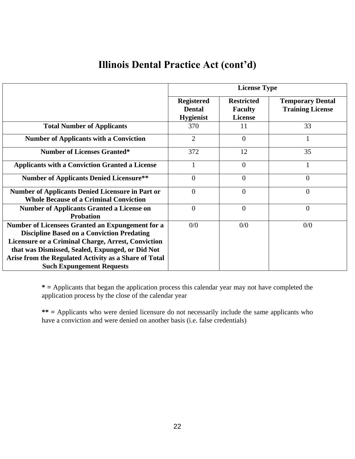#### **Illinois Dental Practice Act (cont'd)**

|                                                                                                               |                                                        | <b>License Type</b>                                   |                                                    |  |  |  |
|---------------------------------------------------------------------------------------------------------------|--------------------------------------------------------|-------------------------------------------------------|----------------------------------------------------|--|--|--|
|                                                                                                               | <b>Registered</b><br><b>Dental</b><br><b>Hygienist</b> | <b>Restricted</b><br><b>Faculty</b><br><b>License</b> | <b>Temporary Dental</b><br><b>Training License</b> |  |  |  |
| <b>Total Number of Applicants</b>                                                                             | 370                                                    | 11                                                    | 33                                                 |  |  |  |
| <b>Number of Applicants with a Conviction</b>                                                                 | $\overline{2}$                                         | $\overline{0}$                                        | $\mathbf{1}$                                       |  |  |  |
| <b>Number of Licenses Granted*</b>                                                                            | 372                                                    | 12                                                    | 35                                                 |  |  |  |
| <b>Applicants with a Conviction Granted a License</b>                                                         |                                                        | $\overline{0}$                                        |                                                    |  |  |  |
| <b>Number of Applicants Denied Licensure**</b>                                                                | $\Omega$                                               | $\overline{0}$                                        | $\overline{0}$                                     |  |  |  |
| <b>Number of Applicants Denied Licensure in Part or</b><br><b>Whole Because of a Criminal Conviction</b>      | $\overline{0}$                                         | $\overline{0}$                                        | $\overline{0}$                                     |  |  |  |
| <b>Number of Applicants Granted a License on</b><br><b>Probation</b>                                          | $\theta$                                               | $\overline{0}$                                        | $\overline{0}$                                     |  |  |  |
| Number of Licensees Granted an Expungement for a<br><b>Discipline Based on a Conviction Predating</b>         | 0/0                                                    | 0/0                                                   | 0/0                                                |  |  |  |
| <b>Licensure or a Criminal Charge, Arrest, Conviction</b><br>that was Dismissed, Sealed, Expunged, or Did Not |                                                        |                                                       |                                                    |  |  |  |
| Arise from the Regulated Activity as a Share of Total                                                         |                                                        |                                                       |                                                    |  |  |  |
| <b>Such Expungement Requests</b>                                                                              |                                                        |                                                       |                                                    |  |  |  |

**\* =** Applicants that began the application process this calendar year may not have completed the application process by the close of the calendar year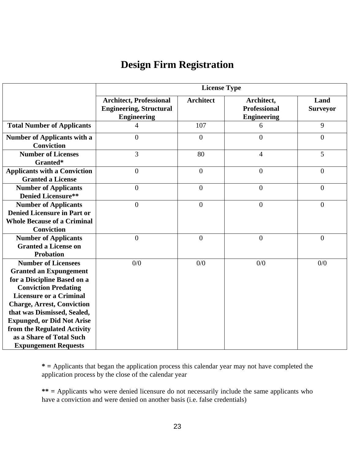#### **Design Firm Registration**

|                                                                                                                                                                                                                                                                                                                                                                | <b>License Type</b>                                                                    |                  |                                                         |                         |  |  |
|----------------------------------------------------------------------------------------------------------------------------------------------------------------------------------------------------------------------------------------------------------------------------------------------------------------------------------------------------------------|----------------------------------------------------------------------------------------|------------------|---------------------------------------------------------|-------------------------|--|--|
|                                                                                                                                                                                                                                                                                                                                                                | <b>Architect, Professional</b><br><b>Engineering, Structural</b><br><b>Engineering</b> | <b>Architect</b> | Architect,<br><b>Professional</b><br><b>Engineering</b> | Land<br><b>Surveyor</b> |  |  |
| <b>Total Number of Applicants</b>                                                                                                                                                                                                                                                                                                                              | 4                                                                                      | 107              | 6                                                       | 9                       |  |  |
| <b>Number of Applicants with a</b><br><b>Conviction</b>                                                                                                                                                                                                                                                                                                        | $\overline{0}$                                                                         | $\overline{0}$   | $\overline{0}$                                          | $\overline{0}$          |  |  |
| <b>Number of Licenses</b><br>Granted*                                                                                                                                                                                                                                                                                                                          | 3                                                                                      | 80               | $\overline{4}$                                          | 5                       |  |  |
| <b>Applicants with a Conviction</b><br><b>Granted a License</b>                                                                                                                                                                                                                                                                                                | $\overline{0}$                                                                         | $\overline{0}$   | $\mathbf{0}$                                            | $\overline{0}$          |  |  |
| <b>Number of Applicants</b><br><b>Denied Licensure**</b>                                                                                                                                                                                                                                                                                                       | $\theta$                                                                               | $\overline{0}$   | $\overline{0}$                                          | $\overline{0}$          |  |  |
| <b>Number of Applicants</b><br><b>Denied Licensure in Part or</b><br><b>Whole Because of a Criminal</b><br><b>Conviction</b>                                                                                                                                                                                                                                   | $\overline{0}$                                                                         | $\overline{0}$   | $\boldsymbol{0}$                                        | $\boldsymbol{0}$        |  |  |
| <b>Number of Applicants</b><br><b>Granted a License on</b><br><b>Probation</b>                                                                                                                                                                                                                                                                                 | $\overline{0}$                                                                         | $\overline{0}$   | $\overline{0}$                                          | $\boldsymbol{0}$        |  |  |
| <b>Number of Licensees</b><br><b>Granted an Expungement</b><br>for a Discipline Based on a<br><b>Conviction Predating</b><br><b>Licensure or a Criminal</b><br><b>Charge, Arrest, Conviction</b><br>that was Dismissed, Sealed,<br><b>Expunged, or Did Not Arise</b><br>from the Regulated Activity<br>as a Share of Total Such<br><b>Expungement Requests</b> | 0/0                                                                                    | 0/0              | 0/0                                                     | 0/0                     |  |  |

**\* =** Applicants that began the application process this calendar year may not have completed the application process by the close of the calendar year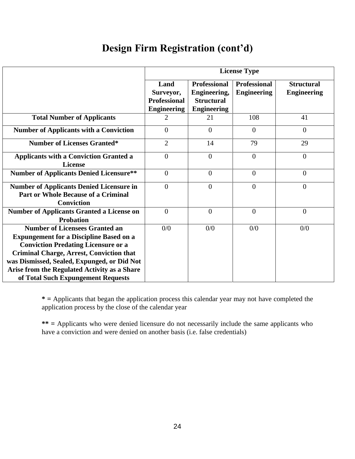#### **Design Firm Registration (cont'd)**

|                                                                                                                                                                                                                                                                                                                               | <b>License Type</b>                                            |                                                                                |                                           |                                         |  |
|-------------------------------------------------------------------------------------------------------------------------------------------------------------------------------------------------------------------------------------------------------------------------------------------------------------------------------|----------------------------------------------------------------|--------------------------------------------------------------------------------|-------------------------------------------|-----------------------------------------|--|
|                                                                                                                                                                                                                                                                                                                               | Land<br>Surveyor,<br><b>Professional</b><br><b>Engineering</b> | <b>Professional</b><br>Engineering,<br><b>Structural</b><br><b>Engineering</b> | <b>Professional</b><br><b>Engineering</b> | <b>Structural</b><br><b>Engineering</b> |  |
| <b>Total Number of Applicants</b>                                                                                                                                                                                                                                                                                             | 2                                                              | 21                                                                             | 108                                       | 41                                      |  |
| <b>Number of Applicants with a Conviction</b>                                                                                                                                                                                                                                                                                 | $\theta$                                                       | $\Omega$                                                                       | $\Omega$                                  | $\overline{0}$                          |  |
| <b>Number of Licenses Granted*</b>                                                                                                                                                                                                                                                                                            | $\overline{2}$                                                 | 14                                                                             | 79                                        | 29                                      |  |
| <b>Applicants with a Conviction Granted a</b><br><b>License</b>                                                                                                                                                                                                                                                               | $\theta$                                                       | $\overline{0}$                                                                 | $\theta$                                  | $\overline{0}$                          |  |
| <b>Number of Applicants Denied Licensure**</b>                                                                                                                                                                                                                                                                                | $\overline{0}$                                                 | $\overline{0}$                                                                 | $\overline{0}$                            | $\overline{0}$                          |  |
| <b>Number of Applicants Denied Licensure in</b><br><b>Part or Whole Because of a Criminal</b><br><b>Conviction</b>                                                                                                                                                                                                            | $\overline{0}$                                                 | $\theta$                                                                       | $\overline{0}$                            | $\overline{0}$                          |  |
| <b>Number of Applicants Granted a License on</b><br><b>Probation</b>                                                                                                                                                                                                                                                          | $\theta$                                                       | $\overline{0}$                                                                 | $\theta$                                  | $\overline{0}$                          |  |
| <b>Number of Licensees Granted an</b><br><b>Expungement for a Discipline Based on a</b><br><b>Conviction Predating Licensure or a</b><br><b>Criminal Charge, Arrest, Conviction that</b><br>was Dismissed, Sealed, Expunged, or Did Not<br>Arise from the Regulated Activity as a Share<br>of Total Such Expungement Requests | 0/0                                                            | 0/0                                                                            | 0/0                                       | 0/0                                     |  |

**\* =** Applicants that began the application process this calendar year may not have completed the application process by the close of the calendar year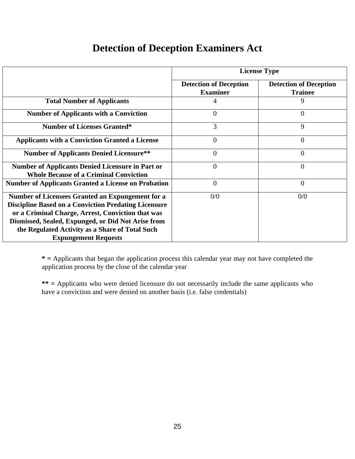| <b>Detection of Deception Examiners Act</b> |  |
|---------------------------------------------|--|
|---------------------------------------------|--|

|                                                                                                                                                                                                                                                                                                              | <b>License Type</b>                              |                                                 |  |  |  |
|--------------------------------------------------------------------------------------------------------------------------------------------------------------------------------------------------------------------------------------------------------------------------------------------------------------|--------------------------------------------------|-------------------------------------------------|--|--|--|
|                                                                                                                                                                                                                                                                                                              | <b>Detection of Deception</b><br><b>Examiner</b> | <b>Detection of Deception</b><br><b>Trainee</b> |  |  |  |
| <b>Total Number of Applicants</b>                                                                                                                                                                                                                                                                            | 4                                                | 9                                               |  |  |  |
| <b>Number of Applicants with a Conviction</b>                                                                                                                                                                                                                                                                | $\theta$                                         | $\Omega$                                        |  |  |  |
| <b>Number of Licenses Granted*</b>                                                                                                                                                                                                                                                                           | 3                                                | 9                                               |  |  |  |
| <b>Applicants with a Conviction Granted a License</b>                                                                                                                                                                                                                                                        | 0                                                | 0                                               |  |  |  |
| <b>Number of Applicants Denied Licensure**</b>                                                                                                                                                                                                                                                               | $\overline{0}$                                   | 0                                               |  |  |  |
| <b>Number of Applicants Denied Licensure in Part or</b><br><b>Whole Because of a Criminal Conviction</b>                                                                                                                                                                                                     | $\overline{0}$                                   | 0                                               |  |  |  |
| <b>Number of Applicants Granted a License on Probation</b>                                                                                                                                                                                                                                                   | $\theta$                                         | $\overline{0}$                                  |  |  |  |
| Number of Licensees Granted an Expungement for a<br><b>Discipline Based on a Conviction Predating Licensure</b><br>or a Criminal Charge, Arrest, Conviction that was<br>Dismissed, Sealed, Expunged, or Did Not Arise from<br>the Regulated Activity as a Share of Total Such<br><b>Expungement Requests</b> | 0/0                                              | 0/0                                             |  |  |  |

**\* =** Applicants that began the application process this calendar year may not have completed the application process by the close of the calendar year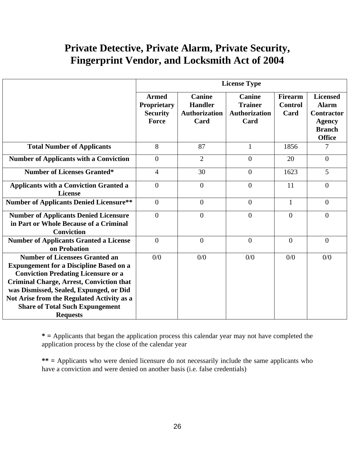|                                                                                                                                                                                                                                                                                                                                                |                                                         |                                                                 | <b>License Type</b>                                             |                                          |                                                                                                         |
|------------------------------------------------------------------------------------------------------------------------------------------------------------------------------------------------------------------------------------------------------------------------------------------------------------------------------------------------|---------------------------------------------------------|-----------------------------------------------------------------|-----------------------------------------------------------------|------------------------------------------|---------------------------------------------------------------------------------------------------------|
|                                                                                                                                                                                                                                                                                                                                                | <b>Armed</b><br>Proprietary<br><b>Security</b><br>Force | <b>Canine</b><br><b>Handler</b><br><b>Authorization</b><br>Card | <b>Canine</b><br><b>Trainer</b><br><b>Authorization</b><br>Card | <b>Firearm</b><br><b>Control</b><br>Card | <b>Licensed</b><br><b>Alarm</b><br><b>Contractor</b><br><b>Agency</b><br><b>Branch</b><br><b>Office</b> |
| <b>Total Number of Applicants</b>                                                                                                                                                                                                                                                                                                              | 8                                                       | 87                                                              | $\mathbf{1}$                                                    | 1856                                     | 7                                                                                                       |
| <b>Number of Applicants with a Conviction</b>                                                                                                                                                                                                                                                                                                  | $\theta$                                                | $\overline{2}$                                                  | $\overline{0}$                                                  | 20                                       | $\overline{0}$                                                                                          |
| <b>Number of Licenses Granted*</b>                                                                                                                                                                                                                                                                                                             | $\overline{4}$                                          | 30                                                              | $\overline{0}$                                                  | 1623                                     | 5                                                                                                       |
| <b>Applicants with a Conviction Granted a</b><br><b>License</b>                                                                                                                                                                                                                                                                                | $\overline{0}$                                          | $\boldsymbol{0}$                                                | $\overline{0}$                                                  | 11                                       | $\overline{0}$                                                                                          |
| <b>Number of Applicants Denied Licensure**</b>                                                                                                                                                                                                                                                                                                 | $\overline{0}$                                          | $\overline{0}$                                                  | $\overline{0}$                                                  | $\mathbf{1}$                             | $\theta$                                                                                                |
| <b>Number of Applicants Denied Licensure</b><br>in Part or Whole Because of a Criminal<br><b>Conviction</b>                                                                                                                                                                                                                                    | $\overline{0}$                                          | $\overline{0}$                                                  | $\overline{0}$                                                  | $\theta$                                 | $\overline{0}$                                                                                          |
| <b>Number of Applicants Granted a License</b><br>on Probation                                                                                                                                                                                                                                                                                  | $\overline{0}$                                          | $\overline{0}$                                                  | $\overline{0}$                                                  | $\theta$                                 | $\overline{0}$                                                                                          |
| <b>Number of Licensees Granted an</b><br><b>Expungement for a Discipline Based on a</b><br><b>Conviction Predating Licensure or a</b><br><b>Criminal Charge, Arrest, Conviction that</b><br>was Dismissed, Sealed, Expunged, or Did<br>Not Arise from the Regulated Activity as a<br><b>Share of Total Such Expungement</b><br><b>Requests</b> | 0/0                                                     | 0/0                                                             | 0/0                                                             | 0/0                                      | 0/0                                                                                                     |

**\* =** Applicants that began the application process this calendar year may not have completed the application process by the close of the calendar year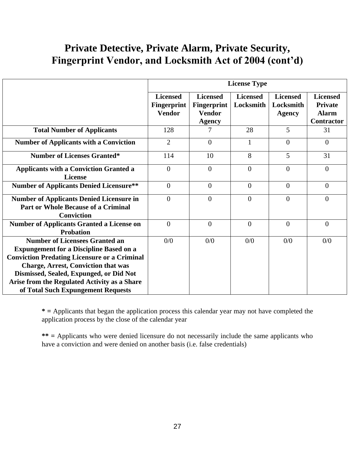|                                                                                                                                                                                                                                                                                                                               | <b>License Type</b>                                    |                                                                  |                              |                                               |                                                                        |
|-------------------------------------------------------------------------------------------------------------------------------------------------------------------------------------------------------------------------------------------------------------------------------------------------------------------------------|--------------------------------------------------------|------------------------------------------------------------------|------------------------------|-----------------------------------------------|------------------------------------------------------------------------|
|                                                                                                                                                                                                                                                                                                                               | <b>Licensed</b><br><b>Fingerprint</b><br><b>Vendor</b> | <b>Licensed</b><br>Fingerprint<br><b>Vendor</b><br><b>Agency</b> | <b>Licensed</b><br>Locksmith | <b>Licensed</b><br>Locksmith<br><b>Agency</b> | <b>Licensed</b><br><b>Private</b><br><b>Alarm</b><br><b>Contractor</b> |
| <b>Total Number of Applicants</b>                                                                                                                                                                                                                                                                                             | 128                                                    |                                                                  | 28                           | 5                                             | 31                                                                     |
| <b>Number of Applicants with a Conviction</b>                                                                                                                                                                                                                                                                                 | $\overline{2}$                                         | $\Omega$                                                         | $\mathbf{1}$                 | $\theta$                                      | $\theta$                                                               |
| <b>Number of Licenses Granted*</b>                                                                                                                                                                                                                                                                                            | 114                                                    | 10                                                               | 8                            | 5                                             | 31                                                                     |
| <b>Applicants with a Conviction Granted a</b><br><b>License</b>                                                                                                                                                                                                                                                               | $\overline{0}$                                         | $\Omega$                                                         | $\overline{0}$               | $\overline{0}$                                | $\overline{0}$                                                         |
| <b>Number of Applicants Denied Licensure**</b>                                                                                                                                                                                                                                                                                | $\overline{0}$                                         | $\Omega$                                                         | $\theta$                     | $\Omega$                                      | $\theta$                                                               |
| <b>Number of Applicants Denied Licensure in</b><br><b>Part or Whole Because of a Criminal</b><br><b>Conviction</b>                                                                                                                                                                                                            | $\mathbf{0}$                                           | $\theta$                                                         | $\theta$                     | $\overline{0}$                                | $\overline{0}$                                                         |
| <b>Number of Applicants Granted a License on</b><br><b>Probation</b>                                                                                                                                                                                                                                                          | $\Omega$                                               | $\theta$                                                         | $\theta$                     | $\overline{0}$                                | $\overline{0}$                                                         |
| <b>Number of Licensees Granted an</b><br><b>Expungement for a Discipline Based on a</b><br><b>Conviction Predating Licensure or a Criminal</b><br><b>Charge, Arrest, Conviction that was</b><br>Dismissed, Sealed, Expunged, or Did Not<br>Arise from the Regulated Activity as a Share<br>of Total Such Expungement Requests | 0/0                                                    | 0/0                                                              | 0/0                          | 0/0                                           | 0/0                                                                    |

**\* =** Applicants that began the application process this calendar year may not have completed the application process by the close of the calendar year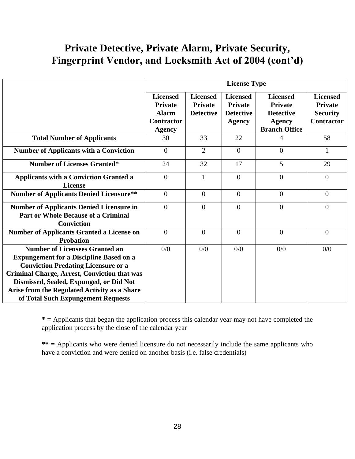|                                                                                                                                                                                                                                                                                                                               | <b>License Type</b>                                                                     |                                                       |                                                                        |                                                                                                |                                                                           |
|-------------------------------------------------------------------------------------------------------------------------------------------------------------------------------------------------------------------------------------------------------------------------------------------------------------------------------|-----------------------------------------------------------------------------------------|-------------------------------------------------------|------------------------------------------------------------------------|------------------------------------------------------------------------------------------------|---------------------------------------------------------------------------|
|                                                                                                                                                                                                                                                                                                                               | <b>Licensed</b><br><b>Private</b><br><b>Alarm</b><br><b>Contractor</b><br><b>Agency</b> | <b>Licensed</b><br><b>Private</b><br><b>Detective</b> | <b>Licensed</b><br><b>Private</b><br><b>Detective</b><br><b>Agency</b> | <b>Licensed</b><br><b>Private</b><br><b>Detective</b><br><b>Agency</b><br><b>Branch Office</b> | <b>Licensed</b><br><b>Private</b><br><b>Security</b><br><b>Contractor</b> |
| <b>Total Number of Applicants</b>                                                                                                                                                                                                                                                                                             | 30                                                                                      | 33                                                    | 22                                                                     | 4                                                                                              | 58                                                                        |
| <b>Number of Applicants with a Conviction</b>                                                                                                                                                                                                                                                                                 | $\overline{0}$                                                                          | 2                                                     | $\overline{0}$                                                         | $\overline{0}$                                                                                 | 1                                                                         |
| <b>Number of Licenses Granted*</b>                                                                                                                                                                                                                                                                                            | 24                                                                                      | 32                                                    | 17                                                                     | 5                                                                                              | 29                                                                        |
| <b>Applicants with a Conviction Granted a</b><br><b>License</b>                                                                                                                                                                                                                                                               | $\overline{0}$                                                                          | $\mathbf{1}$                                          | $\overline{0}$                                                         | $\overline{0}$                                                                                 | $\overline{0}$                                                            |
| <b>Number of Applicants Denied Licensure**</b>                                                                                                                                                                                                                                                                                | $\overline{0}$                                                                          | $\theta$                                              | $\overline{0}$                                                         | $\overline{0}$                                                                                 | $\overline{0}$                                                            |
| <b>Number of Applicants Denied Licensure in</b><br><b>Part or Whole Because of a Criminal</b><br><b>Conviction</b>                                                                                                                                                                                                            | $\theta$                                                                                | $\Omega$                                              | $\overline{0}$                                                         | $\overline{0}$                                                                                 | $\Omega$                                                                  |
| <b>Number of Applicants Granted a License on</b><br><b>Probation</b>                                                                                                                                                                                                                                                          | $\overline{0}$                                                                          | $\overline{0}$                                        | $\overline{0}$                                                         | $\overline{0}$                                                                                 | $\overline{0}$                                                            |
| <b>Number of Licensees Granted an</b><br><b>Expungement for a Discipline Based on a</b><br><b>Conviction Predating Licensure or a</b><br><b>Criminal Charge, Arrest, Conviction that was</b><br>Dismissed, Sealed, Expunged, or Did Not<br>Arise from the Regulated Activity as a Share<br>of Total Such Expungement Requests | 0/0                                                                                     | 0/0                                                   | 0/0                                                                    | 0/0                                                                                            | 0/0                                                                       |

**\* =** Applicants that began the application process this calendar year may not have completed the application process by the close of the calendar year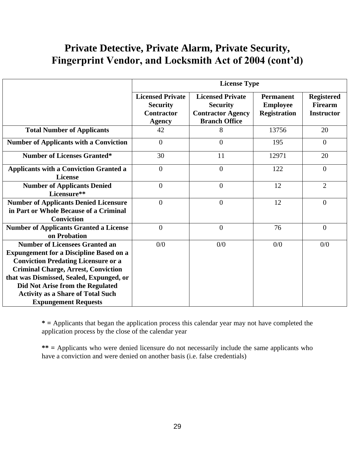|                                                                                                                                                                                                                                                                                                                                                | <b>License Type</b>                                                              |                                                                                                |                                                            |                                                          |
|------------------------------------------------------------------------------------------------------------------------------------------------------------------------------------------------------------------------------------------------------------------------------------------------------------------------------------------------|----------------------------------------------------------------------------------|------------------------------------------------------------------------------------------------|------------------------------------------------------------|----------------------------------------------------------|
|                                                                                                                                                                                                                                                                                                                                                | <b>Licensed Private</b><br><b>Security</b><br><b>Contractor</b><br><b>Agency</b> | <b>Licensed Private</b><br><b>Security</b><br><b>Contractor Agency</b><br><b>Branch Office</b> | <b>Permanent</b><br><b>Employee</b><br><b>Registration</b> | <b>Registered</b><br><b>Firearm</b><br><b>Instructor</b> |
| <b>Total Number of Applicants</b>                                                                                                                                                                                                                                                                                                              | 42                                                                               | 8                                                                                              | 13756                                                      | 20                                                       |
| <b>Number of Applicants with a Conviction</b>                                                                                                                                                                                                                                                                                                  | $\overline{0}$                                                                   | $\Omega$                                                                                       | 195                                                        | $\theta$                                                 |
| <b>Number of Licenses Granted*</b>                                                                                                                                                                                                                                                                                                             | 30                                                                               | 11                                                                                             | 12971                                                      | 20                                                       |
| <b>Applicants with a Conviction Granted a</b><br><b>License</b>                                                                                                                                                                                                                                                                                | $\overline{0}$                                                                   | $\mathbf{0}$                                                                                   | 122                                                        | $\theta$                                                 |
| <b>Number of Applicants Denied</b><br>Licensure**                                                                                                                                                                                                                                                                                              | $\overline{0}$                                                                   | $\overline{0}$                                                                                 | 12                                                         | 2                                                        |
| <b>Number of Applicants Denied Licensure</b><br>in Part or Whole Because of a Criminal<br><b>Conviction</b>                                                                                                                                                                                                                                    | $\boldsymbol{0}$                                                                 | $\overline{0}$                                                                                 | 12                                                         | $\theta$                                                 |
| <b>Number of Applicants Granted a License</b><br>on Probation                                                                                                                                                                                                                                                                                  | $\overline{0}$                                                                   | $\overline{0}$                                                                                 | 76                                                         | $\overline{0}$                                           |
| <b>Number of Licensees Granted an</b><br><b>Expungement for a Discipline Based on a</b><br><b>Conviction Predating Licensure or a</b><br><b>Criminal Charge, Arrest, Conviction</b><br>that was Dismissed, Sealed, Expunged, or<br>Did Not Arise from the Regulated<br><b>Activity as a Share of Total Such</b><br><b>Expungement Requests</b> | 0/0                                                                              | 0/0                                                                                            | 0/0                                                        | 0/0                                                      |

**\* =** Applicants that began the application process this calendar year may not have completed the application process by the close of the calendar year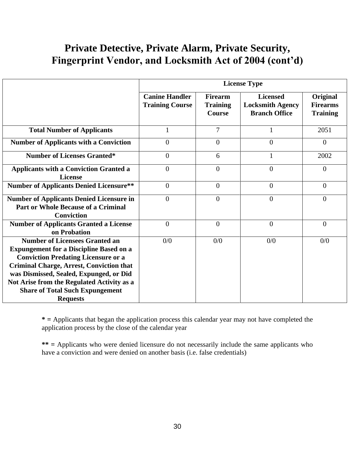|                                                                                                                                                                                                                                                                                                                                                | <b>License Type</b>                             |                                                    |                                                                    |                                                |
|------------------------------------------------------------------------------------------------------------------------------------------------------------------------------------------------------------------------------------------------------------------------------------------------------------------------------------------------|-------------------------------------------------|----------------------------------------------------|--------------------------------------------------------------------|------------------------------------------------|
|                                                                                                                                                                                                                                                                                                                                                | <b>Canine Handler</b><br><b>Training Course</b> | <b>Firearm</b><br><b>Training</b><br><b>Course</b> | <b>Licensed</b><br><b>Locksmith Agency</b><br><b>Branch Office</b> | Original<br><b>Firearms</b><br><b>Training</b> |
| <b>Total Number of Applicants</b>                                                                                                                                                                                                                                                                                                              | 1                                               | $\overline{7}$                                     |                                                                    | 2051                                           |
| <b>Number of Applicants with a Conviction</b>                                                                                                                                                                                                                                                                                                  | $\theta$                                        | $\overline{0}$                                     | $\boldsymbol{0}$                                                   | $\overline{0}$                                 |
| <b>Number of Licenses Granted*</b>                                                                                                                                                                                                                                                                                                             | $\overline{0}$                                  | 6                                                  | $\mathbf{1}$                                                       | 2002                                           |
| <b>Applicants with a Conviction Granted a</b><br><b>License</b>                                                                                                                                                                                                                                                                                | $\Omega$                                        | $\overline{0}$                                     | $\overline{0}$                                                     | $\theta$                                       |
| <b>Number of Applicants Denied Licensure**</b>                                                                                                                                                                                                                                                                                                 | $\theta$                                        | $\theta$                                           | $\overline{0}$                                                     | $\Omega$                                       |
| <b>Number of Applicants Denied Licensure in</b><br><b>Part or Whole Because of a Criminal</b><br><b>Conviction</b>                                                                                                                                                                                                                             | $\Omega$                                        | $\overline{0}$                                     | $\overline{0}$                                                     | $\theta$                                       |
| <b>Number of Applicants Granted a License</b><br>on Probation                                                                                                                                                                                                                                                                                  | $\theta$                                        | $\theta$                                           | $\overline{0}$                                                     | $\Omega$                                       |
| <b>Number of Licensees Granted an</b><br><b>Expungement for a Discipline Based on a</b><br><b>Conviction Predating Licensure or a</b><br><b>Criminal Charge, Arrest, Conviction that</b><br>was Dismissed, Sealed, Expunged, or Did<br>Not Arise from the Regulated Activity as a<br><b>Share of Total Such Expungement</b><br><b>Requests</b> | 0/0                                             | 0/0                                                | 0/0                                                                | 0/0                                            |

**\* =** Applicants that began the application process this calendar year may not have completed the application process by the close of the calendar year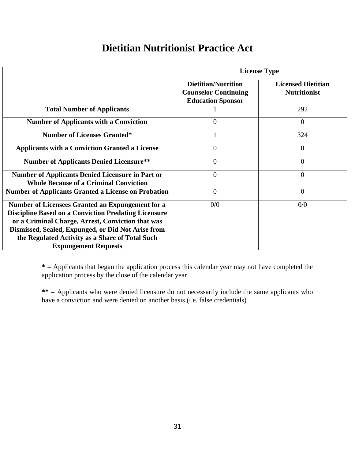#### **Dietitian Nutritionist Practice Act**

|                                                                                                                                                                                                                                                                                                                     | <b>License Type</b>                                                                   |                                                  |  |  |
|---------------------------------------------------------------------------------------------------------------------------------------------------------------------------------------------------------------------------------------------------------------------------------------------------------------------|---------------------------------------------------------------------------------------|--------------------------------------------------|--|--|
|                                                                                                                                                                                                                                                                                                                     | <b>Dietitian/Nutrition</b><br><b>Counselor Continuing</b><br><b>Education Sponsor</b> | <b>Licensed Dietitian</b><br><b>Nutritionist</b> |  |  |
| <b>Total Number of Applicants</b>                                                                                                                                                                                                                                                                                   |                                                                                       | 292                                              |  |  |
| <b>Number of Applicants with a Conviction</b>                                                                                                                                                                                                                                                                       | $\overline{0}$                                                                        | $\theta$                                         |  |  |
| <b>Number of Licenses Granted*</b>                                                                                                                                                                                                                                                                                  | 1                                                                                     | 324                                              |  |  |
| <b>Applicants with a Conviction Granted a License</b>                                                                                                                                                                                                                                                               | 0                                                                                     | 0                                                |  |  |
| <b>Number of Applicants Denied Licensure**</b>                                                                                                                                                                                                                                                                      | $\overline{0}$                                                                        | 0                                                |  |  |
| <b>Number of Applicants Denied Licensure in Part or</b><br><b>Whole Because of a Criminal Conviction</b>                                                                                                                                                                                                            | $\overline{0}$                                                                        | 0                                                |  |  |
| <b>Number of Applicants Granted a License on Probation</b>                                                                                                                                                                                                                                                          | $\overline{0}$                                                                        | $\overline{0}$                                   |  |  |
| <b>Number of Licensees Granted an Expungement for a</b><br><b>Discipline Based on a Conviction Predating Licensure</b><br>or a Criminal Charge, Arrest, Conviction that was<br>Dismissed, Sealed, Expunged, or Did Not Arise from<br>the Regulated Activity as a Share of Total Such<br><b>Expungement Requests</b> | 0/0                                                                                   | 0/0                                              |  |  |

**\* =** Applicants that began the application process this calendar year may not have completed the application process by the close of the calendar year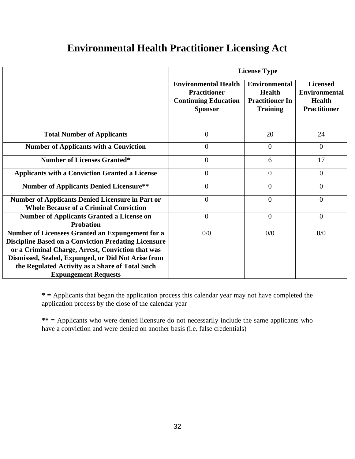#### **Environmental Health Practitioner Licensing Act**

|                                                                                                                                                                                                                                                                                                              | <b>License Type</b>                                                                                 |                                                                                    |                                                                                 |  |
|--------------------------------------------------------------------------------------------------------------------------------------------------------------------------------------------------------------------------------------------------------------------------------------------------------------|-----------------------------------------------------------------------------------------------------|------------------------------------------------------------------------------------|---------------------------------------------------------------------------------|--|
|                                                                                                                                                                                                                                                                                                              | <b>Environmental Health</b><br><b>Practitioner</b><br><b>Continuing Education</b><br><b>Sponsor</b> | <b>Environmental</b><br><b>Health</b><br><b>Practitioner In</b><br><b>Training</b> | <b>Licensed</b><br><b>Environmental</b><br><b>Health</b><br><b>Practitioner</b> |  |
| <b>Total Number of Applicants</b>                                                                                                                                                                                                                                                                            | $\boldsymbol{0}$                                                                                    | 20                                                                                 | 24                                                                              |  |
| <b>Number of Applicants with a Conviction</b>                                                                                                                                                                                                                                                                | $\overline{0}$                                                                                      | $\overline{0}$                                                                     | $\theta$                                                                        |  |
| <b>Number of Licenses Granted*</b>                                                                                                                                                                                                                                                                           | $\overline{0}$                                                                                      | 6                                                                                  | 17                                                                              |  |
| <b>Applicants with a Conviction Granted a License</b>                                                                                                                                                                                                                                                        | $\boldsymbol{0}$                                                                                    | $\overline{0}$                                                                     | $\theta$                                                                        |  |
| <b>Number of Applicants Denied Licensure**</b>                                                                                                                                                                                                                                                               | $\overline{0}$                                                                                      | $\overline{0}$                                                                     | $\overline{0}$                                                                  |  |
| <b>Number of Applicants Denied Licensure in Part or</b><br><b>Whole Because of a Criminal Conviction</b>                                                                                                                                                                                                     | $\theta$                                                                                            | $\theta$                                                                           | $\theta$                                                                        |  |
| <b>Number of Applicants Granted a License on</b><br><b>Probation</b>                                                                                                                                                                                                                                         | $\overline{0}$                                                                                      | $\overline{0}$                                                                     | $\overline{0}$                                                                  |  |
| Number of Licensees Granted an Expungement for a<br><b>Discipline Based on a Conviction Predating Licensure</b><br>or a Criminal Charge, Arrest, Conviction that was<br>Dismissed, Sealed, Expunged, or Did Not Arise from<br>the Regulated Activity as a Share of Total Such<br><b>Expungement Requests</b> | 0/0                                                                                                 | 0/0                                                                                | 0/0                                                                             |  |

**\* =** Applicants that began the application process this calendar year may not have completed the application process by the close of the calendar year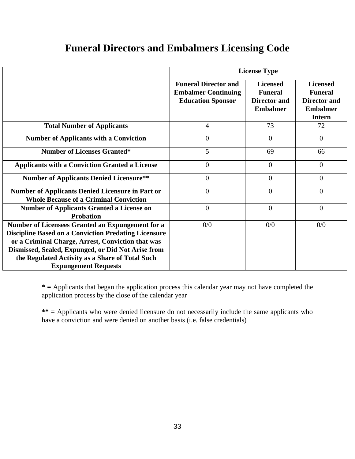#### **Funeral Directors and Embalmers Licensing Code**

|                                                                                                                                                                                                                                                                                                              | <b>License Type</b>                                                                   |                                                                             |                                                                                              |  |
|--------------------------------------------------------------------------------------------------------------------------------------------------------------------------------------------------------------------------------------------------------------------------------------------------------------|---------------------------------------------------------------------------------------|-----------------------------------------------------------------------------|----------------------------------------------------------------------------------------------|--|
|                                                                                                                                                                                                                                                                                                              | <b>Funeral Director and</b><br><b>Embalmer Continuing</b><br><b>Education Sponsor</b> | <b>Licensed</b><br><b>Funeral</b><br><b>Director and</b><br><b>Embalmer</b> | <b>Licensed</b><br><b>Funeral</b><br><b>Director and</b><br><b>Embalmer</b><br><b>Intern</b> |  |
| <b>Total Number of Applicants</b>                                                                                                                                                                                                                                                                            | $\overline{4}$                                                                        | 73                                                                          | 72                                                                                           |  |
| <b>Number of Applicants with a Conviction</b>                                                                                                                                                                                                                                                                | $\overline{0}$                                                                        | $\Omega$                                                                    | $\theta$                                                                                     |  |
| <b>Number of Licenses Granted*</b>                                                                                                                                                                                                                                                                           | 5                                                                                     | 69                                                                          | 66                                                                                           |  |
| <b>Applicants with a Conviction Granted a License</b>                                                                                                                                                                                                                                                        | $\overline{0}$                                                                        | $\overline{0}$                                                              | $\theta$                                                                                     |  |
| <b>Number of Applicants Denied Licensure**</b>                                                                                                                                                                                                                                                               | $\overline{0}$                                                                        | $\overline{0}$                                                              | $\overline{0}$                                                                               |  |
| <b>Number of Applicants Denied Licensure in Part or</b><br><b>Whole Because of a Criminal Conviction</b>                                                                                                                                                                                                     | $\overline{0}$                                                                        | $\overline{0}$                                                              | 0                                                                                            |  |
| <b>Number of Applicants Granted a License on</b><br><b>Probation</b>                                                                                                                                                                                                                                         | $\overline{0}$                                                                        | $\overline{0}$                                                              | $\overline{0}$                                                                               |  |
| Number of Licensees Granted an Expungement for a<br><b>Discipline Based on a Conviction Predating Licensure</b><br>or a Criminal Charge, Arrest, Conviction that was<br>Dismissed, Sealed, Expunged, or Did Not Arise from<br>the Regulated Activity as a Share of Total Such<br><b>Expungement Requests</b> | 0/0                                                                                   | 0/0                                                                         | 0/0                                                                                          |  |

**\* =** Applicants that began the application process this calendar year may not have completed the application process by the close of the calendar year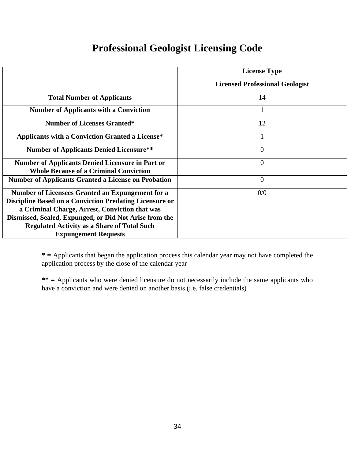#### **Professional Geologist Licensing Code**

|                                                                                                                                                                                                                                                                                                                     | <b>License Type</b>                    |
|---------------------------------------------------------------------------------------------------------------------------------------------------------------------------------------------------------------------------------------------------------------------------------------------------------------------|----------------------------------------|
|                                                                                                                                                                                                                                                                                                                     | <b>Licensed Professional Geologist</b> |
| <b>Total Number of Applicants</b>                                                                                                                                                                                                                                                                                   | 14                                     |
| <b>Number of Applicants with a Conviction</b>                                                                                                                                                                                                                                                                       | $\bf{I}$                               |
| <b>Number of Licenses Granted*</b>                                                                                                                                                                                                                                                                                  | 12                                     |
| <b>Applicants with a Conviction Granted a License*</b>                                                                                                                                                                                                                                                              | 1                                      |
| <b>Number of Applicants Denied Licensure**</b>                                                                                                                                                                                                                                                                      | $\theta$                               |
| <b>Number of Applicants Denied Licensure in Part or</b><br><b>Whole Because of a Criminal Conviction</b>                                                                                                                                                                                                            | $\overline{0}$                         |
| <b>Number of Applicants Granted a License on Probation</b>                                                                                                                                                                                                                                                          | $\overline{0}$                         |
| Number of Licensees Granted an Expungement for a<br><b>Discipline Based on a Conviction Predating Licensure or</b><br>a Criminal Charge, Arrest, Conviction that was<br>Dismissed, Sealed, Expunged, or Did Not Arise from the<br><b>Regulated Activity as a Share of Total Such</b><br><b>Expungement Requests</b> | 0/0                                    |

**\* =** Applicants that began the application process this calendar year may not have completed the application process by the close of the calendar year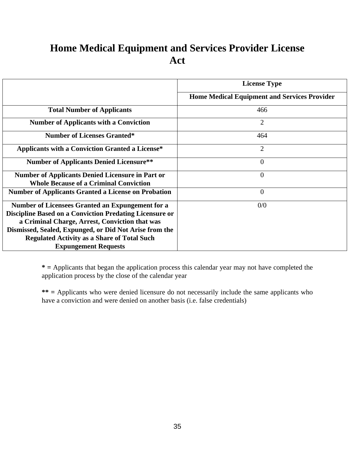#### **Home Medical Equipment and Services Provider License Act**

|                                                                | <b>License Type</b>                                 |
|----------------------------------------------------------------|-----------------------------------------------------|
|                                                                | <b>Home Medical Equipment and Services Provider</b> |
| <b>Total Number of Applicants</b>                              | 466                                                 |
| <b>Number of Applicants with a Conviction</b>                  | $\overline{2}$                                      |
| <b>Number of Licenses Granted*</b>                             | 464                                                 |
| <b>Applicants with a Conviction Granted a License*</b>         | $\overline{2}$                                      |
| <b>Number of Applicants Denied Licensure**</b>                 | $\theta$                                            |
| <b>Number of Applicants Denied Licensure in Part or</b>        | $\overline{0}$                                      |
| <b>Whole Because of a Criminal Conviction</b>                  |                                                     |
| <b>Number of Applicants Granted a License on Probation</b>     | $\overline{0}$                                      |
| Number of Licensees Granted an Expungement for a               | 0/0                                                 |
| <b>Discipline Based on a Conviction Predating Licensure or</b> |                                                     |
| a Criminal Charge, Arrest, Conviction that was                 |                                                     |
| Dismissed, Sealed, Expunged, or Did Not Arise from the         |                                                     |
| <b>Regulated Activity as a Share of Total Such</b>             |                                                     |
| <b>Expungement Requests</b>                                    |                                                     |

**\* =** Applicants that began the application process this calendar year may not have completed the application process by the close of the calendar year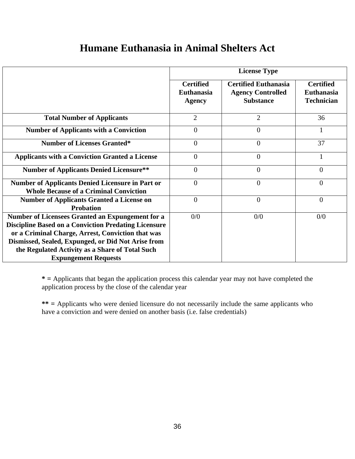#### **Humane Euthanasia in Animal Shelters Act**

|                                                                                                                                                                                                                                                                               | <b>License Type</b>                                    |                                                                             |                                                            |  |
|-------------------------------------------------------------------------------------------------------------------------------------------------------------------------------------------------------------------------------------------------------------------------------|--------------------------------------------------------|-----------------------------------------------------------------------------|------------------------------------------------------------|--|
|                                                                                                                                                                                                                                                                               | <b>Certified</b><br><b>Euthanasia</b><br><b>Agency</b> | <b>Certified Euthanasia</b><br><b>Agency Controlled</b><br><b>Substance</b> | <b>Certified</b><br><b>Euthanasia</b><br><b>Technician</b> |  |
| <b>Total Number of Applicants</b>                                                                                                                                                                                                                                             | $\overline{2}$                                         | $\overline{2}$                                                              | 36                                                         |  |
| <b>Number of Applicants with a Conviction</b>                                                                                                                                                                                                                                 | $\overline{0}$                                         | $\overline{0}$                                                              | 1                                                          |  |
| <b>Number of Licenses Granted*</b>                                                                                                                                                                                                                                            | $\theta$                                               | $\overline{0}$                                                              | 37                                                         |  |
| <b>Applicants with a Conviction Granted a License</b>                                                                                                                                                                                                                         | $\Omega$                                               | $\overline{0}$                                                              | 1                                                          |  |
| <b>Number of Applicants Denied Licensure**</b>                                                                                                                                                                                                                                | $\Omega$                                               | $\overline{0}$                                                              | $\overline{0}$                                             |  |
| <b>Number of Applicants Denied Licensure in Part or</b><br><b>Whole Because of a Criminal Conviction</b>                                                                                                                                                                      | $\Omega$                                               | $\theta$                                                                    | $\theta$                                                   |  |
| <b>Number of Applicants Granted a License on</b><br><b>Probation</b>                                                                                                                                                                                                          | $\overline{0}$                                         | $\overline{0}$                                                              | $\overline{0}$                                             |  |
| Number of Licensees Granted an Expungement for a<br><b>Discipline Based on a Conviction Predating Licensure</b><br>or a Criminal Charge, Arrest, Conviction that was<br>Dismissed, Sealed, Expunged, or Did Not Arise from<br>the Regulated Activity as a Share of Total Such | 0/0                                                    | 0/0                                                                         | 0/0                                                        |  |
| <b>Expungement Requests</b>                                                                                                                                                                                                                                                   |                                                        |                                                                             |                                                            |  |

**\* =** Applicants that began the application process this calendar year may not have completed the application process by the close of the calendar year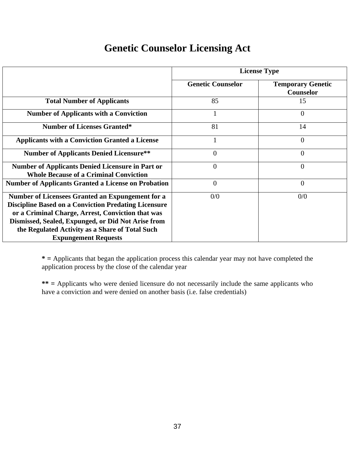# **Genetic Counselor Licensing Act**

|                                                                                                                                                                                                                                                                                                              | <b>License Type</b>      |                                       |  |
|--------------------------------------------------------------------------------------------------------------------------------------------------------------------------------------------------------------------------------------------------------------------------------------------------------------|--------------------------|---------------------------------------|--|
|                                                                                                                                                                                                                                                                                                              | <b>Genetic Counselor</b> | <b>Temporary Genetic</b><br>Counselor |  |
| <b>Total Number of Applicants</b>                                                                                                                                                                                                                                                                            | 85                       | 15                                    |  |
| <b>Number of Applicants with a Conviction</b>                                                                                                                                                                                                                                                                |                          | $\Omega$                              |  |
| <b>Number of Licenses Granted*</b>                                                                                                                                                                                                                                                                           | 81                       | 14                                    |  |
| <b>Applicants with a Conviction Granted a License</b>                                                                                                                                                                                                                                                        |                          | $\theta$                              |  |
| <b>Number of Applicants Denied Licensure**</b>                                                                                                                                                                                                                                                               | $\overline{0}$           | $\overline{0}$                        |  |
| <b>Number of Applicants Denied Licensure in Part or</b><br><b>Whole Because of a Criminal Conviction</b>                                                                                                                                                                                                     | $\overline{0}$           | $\overline{0}$                        |  |
| <b>Number of Applicants Granted a License on Probation</b>                                                                                                                                                                                                                                                   | $\overline{0}$           | $\overline{0}$                        |  |
| Number of Licensees Granted an Expungement for a<br><b>Discipline Based on a Conviction Predating Licensure</b><br>or a Criminal Charge, Arrest, Conviction that was<br>Dismissed, Sealed, Expunged, or Did Not Arise from<br>the Regulated Activity as a Share of Total Such<br><b>Expungement Requests</b> | 0/0                      | 0/0                                   |  |

**\* =** Applicants that began the application process this calendar year may not have completed the application process by the close of the calendar year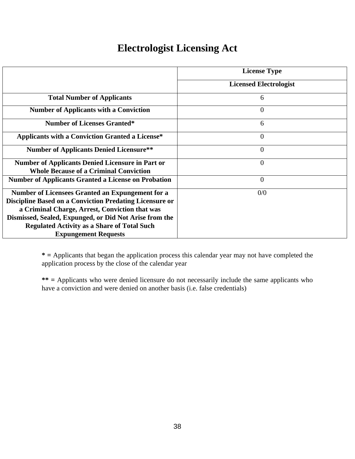# **Electrologist Licensing Act**

|                                                                | <b>License Type</b>           |
|----------------------------------------------------------------|-------------------------------|
|                                                                | <b>Licensed Electrologist</b> |
| <b>Total Number of Applicants</b>                              | 6                             |
| <b>Number of Applicants with a Conviction</b>                  | $\overline{0}$                |
| <b>Number of Licenses Granted*</b>                             | 6                             |
| <b>Applicants with a Conviction Granted a License*</b>         | $\overline{0}$                |
| <b>Number of Applicants Denied Licensure**</b>                 | $\overline{0}$                |
| <b>Number of Applicants Denied Licensure in Part or</b>        | $\overline{0}$                |
| <b>Whole Because of a Criminal Conviction</b>                  |                               |
| <b>Number of Applicants Granted a License on Probation</b>     | $\overline{0}$                |
| Number of Licensees Granted an Expungement for a               | 0/0                           |
| <b>Discipline Based on a Conviction Predating Licensure or</b> |                               |
| a Criminal Charge, Arrest, Conviction that was                 |                               |
| Dismissed, Sealed, Expunged, or Did Not Arise from the         |                               |
| <b>Regulated Activity as a Share of Total Such</b>             |                               |
| <b>Expungement Requests</b>                                    |                               |

**\* =** Applicants that began the application process this calendar year may not have completed the application process by the close of the calendar year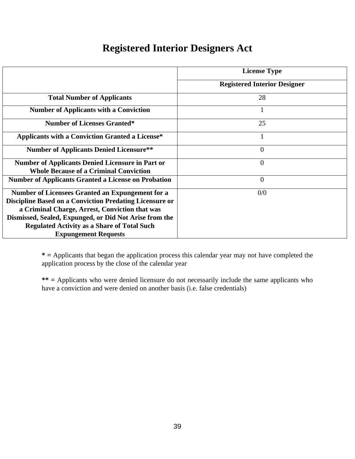## **Registered Interior Designers Act**

|                                                                                                                                                                                                                                                                                                                            | <b>License Type</b>                 |
|----------------------------------------------------------------------------------------------------------------------------------------------------------------------------------------------------------------------------------------------------------------------------------------------------------------------------|-------------------------------------|
|                                                                                                                                                                                                                                                                                                                            | <b>Registered Interior Designer</b> |
| <b>Total Number of Applicants</b>                                                                                                                                                                                                                                                                                          | 28                                  |
| <b>Number of Applicants with a Conviction</b>                                                                                                                                                                                                                                                                              | 1                                   |
| <b>Number of Licenses Granted*</b>                                                                                                                                                                                                                                                                                         | 25                                  |
| <b>Applicants with a Conviction Granted a License*</b>                                                                                                                                                                                                                                                                     | 1                                   |
| <b>Number of Applicants Denied Licensure**</b>                                                                                                                                                                                                                                                                             | $\theta$                            |
| <b>Number of Applicants Denied Licensure in Part or</b><br><b>Whole Because of a Criminal Conviction</b>                                                                                                                                                                                                                   | $\overline{0}$                      |
| <b>Number of Applicants Granted a License on Probation</b>                                                                                                                                                                                                                                                                 | $\overline{0}$                      |
| <b>Number of Licensees Granted an Expungement for a</b><br><b>Discipline Based on a Conviction Predating Licensure or</b><br>a Criminal Charge, Arrest, Conviction that was<br>Dismissed, Sealed, Expunged, or Did Not Arise from the<br><b>Regulated Activity as a Share of Total Such</b><br><b>Expungement Requests</b> | 0/0                                 |

**\* =** Applicants that began the application process this calendar year may not have completed the application process by the close of the calendar year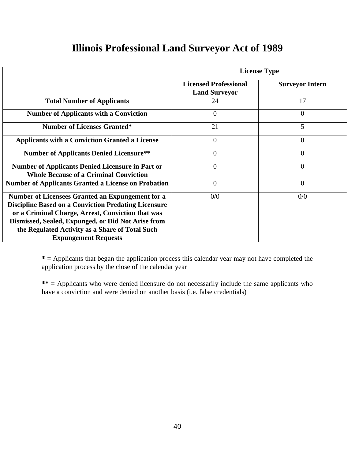|                                                                                                                                                                                                                                                                                                                     | <b>License Type</b>                                  |                        |  |  |
|---------------------------------------------------------------------------------------------------------------------------------------------------------------------------------------------------------------------------------------------------------------------------------------------------------------------|------------------------------------------------------|------------------------|--|--|
|                                                                                                                                                                                                                                                                                                                     | <b>Licensed Professional</b><br><b>Land Surveyor</b> | <b>Surveyor Intern</b> |  |  |
| <b>Total Number of Applicants</b>                                                                                                                                                                                                                                                                                   | 24                                                   | 17                     |  |  |
| <b>Number of Applicants with a Conviction</b>                                                                                                                                                                                                                                                                       | 0                                                    | $\Omega$               |  |  |
| <b>Number of Licenses Granted*</b>                                                                                                                                                                                                                                                                                  | 21                                                   | 5                      |  |  |
| <b>Applicants with a Conviction Granted a License</b>                                                                                                                                                                                                                                                               | $\theta$                                             | $\overline{0}$         |  |  |
| <b>Number of Applicants Denied Licensure**</b>                                                                                                                                                                                                                                                                      | $\overline{0}$                                       | $\overline{0}$         |  |  |
| <b>Number of Applicants Denied Licensure in Part or</b><br><b>Whole Because of a Criminal Conviction</b>                                                                                                                                                                                                            | $\Omega$                                             | $\theta$               |  |  |
| <b>Number of Applicants Granted a License on Probation</b>                                                                                                                                                                                                                                                          | $\overline{0}$                                       | $\overline{0}$         |  |  |
| <b>Number of Licensees Granted an Expungement for a</b><br><b>Discipline Based on a Conviction Predating Licensure</b><br>or a Criminal Charge, Arrest, Conviction that was<br>Dismissed, Sealed, Expunged, or Did Not Arise from<br>the Regulated Activity as a Share of Total Such<br><b>Expungement Requests</b> | 0/0                                                  | 0/0                    |  |  |

**\* =** Applicants that began the application process this calendar year may not have completed the application process by the close of the calendar year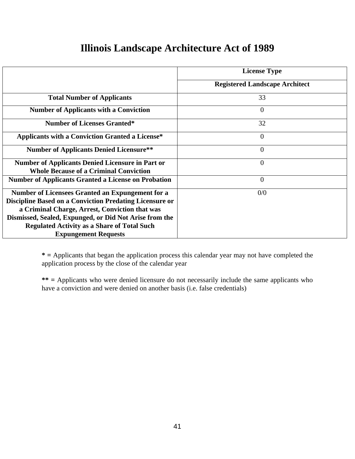## **Illinois Landscape Architecture Act of 1989**

|                                                                                                                                                                                                                                                                                                                            | <b>License Type</b>                   |
|----------------------------------------------------------------------------------------------------------------------------------------------------------------------------------------------------------------------------------------------------------------------------------------------------------------------------|---------------------------------------|
|                                                                                                                                                                                                                                                                                                                            | <b>Registered Landscape Architect</b> |
| <b>Total Number of Applicants</b>                                                                                                                                                                                                                                                                                          | 33                                    |
| <b>Number of Applicants with a Conviction</b>                                                                                                                                                                                                                                                                              | $\overline{0}$                        |
| <b>Number of Licenses Granted*</b>                                                                                                                                                                                                                                                                                         | 32                                    |
| <b>Applicants with a Conviction Granted a License*</b>                                                                                                                                                                                                                                                                     | $\overline{0}$                        |
| <b>Number of Applicants Denied Licensure**</b>                                                                                                                                                                                                                                                                             | $\overline{0}$                        |
| <b>Number of Applicants Denied Licensure in Part or</b><br><b>Whole Because of a Criminal Conviction</b>                                                                                                                                                                                                                   | $\Omega$                              |
| <b>Number of Applicants Granted a License on Probation</b>                                                                                                                                                                                                                                                                 | $\overline{0}$                        |
| <b>Number of Licensees Granted an Expungement for a</b><br><b>Discipline Based on a Conviction Predating Licensure or</b><br>a Criminal Charge, Arrest, Conviction that was<br>Dismissed, Sealed, Expunged, or Did Not Arise from the<br><b>Regulated Activity as a Share of Total Such</b><br><b>Expungement Requests</b> | 0/0                                   |

**\* =** Applicants that began the application process this calendar year may not have completed the application process by the close of the calendar year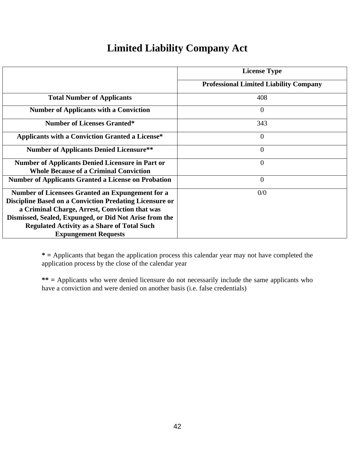# **Limited Liability Company Act**

|                                                                                                                                                                                                                                                                                                                     | <b>License Type</b>                           |
|---------------------------------------------------------------------------------------------------------------------------------------------------------------------------------------------------------------------------------------------------------------------------------------------------------------------|-----------------------------------------------|
|                                                                                                                                                                                                                                                                                                                     | <b>Professional Limited Liability Company</b> |
| <b>Total Number of Applicants</b>                                                                                                                                                                                                                                                                                   | 408                                           |
| <b>Number of Applicants with a Conviction</b>                                                                                                                                                                                                                                                                       | $\theta$                                      |
| <b>Number of Licenses Granted*</b>                                                                                                                                                                                                                                                                                  | 343                                           |
| <b>Applicants with a Conviction Granted a License*</b>                                                                                                                                                                                                                                                              | $\overline{0}$                                |
| <b>Number of Applicants Denied Licensure**</b>                                                                                                                                                                                                                                                                      | $\overline{0}$                                |
| <b>Number of Applicants Denied Licensure in Part or</b><br><b>Whole Because of a Criminal Conviction</b>                                                                                                                                                                                                            | $\overline{0}$                                |
| <b>Number of Applicants Granted a License on Probation</b>                                                                                                                                                                                                                                                          | $\overline{0}$                                |
| Number of Licensees Granted an Expungement for a<br><b>Discipline Based on a Conviction Predating Licensure or</b><br>a Criminal Charge, Arrest, Conviction that was<br>Dismissed, Sealed, Expunged, or Did Not Arise from the<br><b>Regulated Activity as a Share of Total Such</b><br><b>Expungement Requests</b> | 0/0                                           |

**\* =** Applicants that began the application process this calendar year may not have completed the application process by the close of the calendar year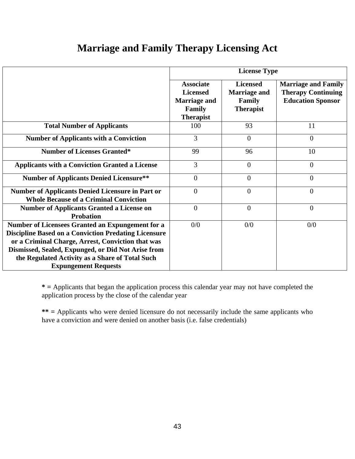# **Marriage and Family Therapy Licensing Act**

|                                                                                                                                                                                                                                                                                                              | <b>License Type</b>                                                                             |                                                                      |                                                                                     |  |
|--------------------------------------------------------------------------------------------------------------------------------------------------------------------------------------------------------------------------------------------------------------------------------------------------------------|-------------------------------------------------------------------------------------------------|----------------------------------------------------------------------|-------------------------------------------------------------------------------------|--|
|                                                                                                                                                                                                                                                                                                              | <b>Associate</b><br><b>Licensed</b><br><b>Marriage and</b><br><b>Family</b><br><b>Therapist</b> | <b>Licensed</b><br><b>Marriage and</b><br>Family<br><b>Therapist</b> | <b>Marriage and Family</b><br><b>Therapy Continuing</b><br><b>Education Sponsor</b> |  |
| <b>Total Number of Applicants</b>                                                                                                                                                                                                                                                                            | 100                                                                                             | 93                                                                   | 11                                                                                  |  |
| <b>Number of Applicants with a Conviction</b>                                                                                                                                                                                                                                                                | 3                                                                                               | $\overline{0}$                                                       | $\overline{0}$                                                                      |  |
| <b>Number of Licenses Granted*</b>                                                                                                                                                                                                                                                                           | 99                                                                                              | 96                                                                   | 10                                                                                  |  |
| <b>Applicants with a Conviction Granted a License</b>                                                                                                                                                                                                                                                        | 3                                                                                               | $\overline{0}$                                                       | $\overline{0}$                                                                      |  |
| <b>Number of Applicants Denied Licensure**</b>                                                                                                                                                                                                                                                               | $\Omega$                                                                                        | $\theta$                                                             | $\Omega$                                                                            |  |
| <b>Number of Applicants Denied Licensure in Part or</b><br><b>Whole Because of a Criminal Conviction</b>                                                                                                                                                                                                     | $\overline{0}$                                                                                  | $\overline{0}$                                                       | $\overline{0}$                                                                      |  |
| <b>Number of Applicants Granted a License on</b><br><b>Probation</b>                                                                                                                                                                                                                                         | $\theta$                                                                                        | $\overline{0}$                                                       | $\overline{0}$                                                                      |  |
| Number of Licensees Granted an Expungement for a<br><b>Discipline Based on a Conviction Predating Licensure</b><br>or a Criminal Charge, Arrest, Conviction that was<br>Dismissed, Sealed, Expunged, or Did Not Arise from<br>the Regulated Activity as a Share of Total Such<br><b>Expungement Requests</b> | 0/0                                                                                             | 0/0                                                                  | 0/0                                                                                 |  |

**\* =** Applicants that began the application process this calendar year may not have completed the application process by the close of the calendar year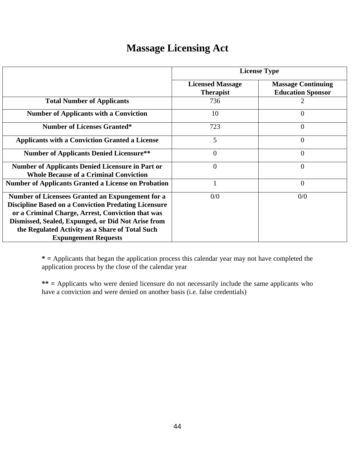# **Massage Licensing Act**

|                                                                                                                                                                                                                                                                                                              | <b>License Type</b>                         |                                                       |  |  |
|--------------------------------------------------------------------------------------------------------------------------------------------------------------------------------------------------------------------------------------------------------------------------------------------------------------|---------------------------------------------|-------------------------------------------------------|--|--|
|                                                                                                                                                                                                                                                                                                              | <b>Licensed Massage</b><br><b>Therapist</b> | <b>Massage Continuing</b><br><b>Education Sponsor</b> |  |  |
| <b>Total Number of Applicants</b>                                                                                                                                                                                                                                                                            | 736                                         |                                                       |  |  |
| <b>Number of Applicants with a Conviction</b>                                                                                                                                                                                                                                                                | 10                                          | $\Omega$                                              |  |  |
| <b>Number of Licenses Granted*</b>                                                                                                                                                                                                                                                                           | 723                                         | $\theta$                                              |  |  |
| <b>Applicants with a Conviction Granted a License</b>                                                                                                                                                                                                                                                        | 5                                           | 0                                                     |  |  |
| <b>Number of Applicants Denied Licensure**</b>                                                                                                                                                                                                                                                               | $\overline{0}$                              | $\theta$                                              |  |  |
| <b>Number of Applicants Denied Licensure in Part or</b><br><b>Whole Because of a Criminal Conviction</b>                                                                                                                                                                                                     | $\overline{0}$                              | $\Omega$                                              |  |  |
| <b>Number of Applicants Granted a License on Probation</b>                                                                                                                                                                                                                                                   |                                             | $\theta$                                              |  |  |
| Number of Licensees Granted an Expungement for a<br><b>Discipline Based on a Conviction Predating Licensure</b><br>or a Criminal Charge, Arrest, Conviction that was<br>Dismissed, Sealed, Expunged, or Did Not Arise from<br>the Regulated Activity as a Share of Total Such<br><b>Expungement Requests</b> | 0/0                                         | 0/0                                                   |  |  |

**\* =** Applicants that began the application process this calendar year may not have completed the application process by the close of the calendar year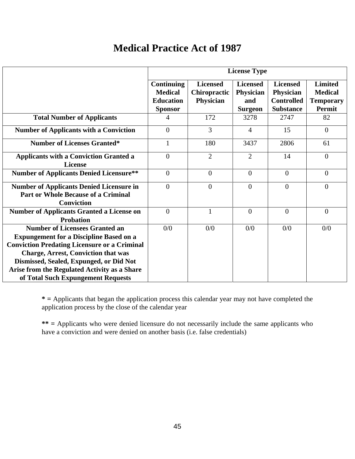## **Medical Practice Act of 1987**

|                                                                                                                                                                                                                                                                                                                               | <b>License Type</b>                                                       |                                                     |                                                       |                                                                              |                                                                       |
|-------------------------------------------------------------------------------------------------------------------------------------------------------------------------------------------------------------------------------------------------------------------------------------------------------------------------------|---------------------------------------------------------------------------|-----------------------------------------------------|-------------------------------------------------------|------------------------------------------------------------------------------|-----------------------------------------------------------------------|
|                                                                                                                                                                                                                                                                                                                               | <b>Continuing</b><br><b>Medical</b><br><b>Education</b><br><b>Sponsor</b> | <b>Licensed</b><br><b>Chiropractic</b><br>Physician | <b>Licensed</b><br>Physician<br>and<br><b>Surgeon</b> | <b>Licensed</b><br><b>Physician</b><br><b>Controlled</b><br><b>Substance</b> | <b>Limited</b><br><b>Medical</b><br><b>Temporary</b><br><b>Permit</b> |
| <b>Total Number of Applicants</b>                                                                                                                                                                                                                                                                                             | 4                                                                         | 172                                                 | 3278                                                  | 2747                                                                         | 82                                                                    |
| <b>Number of Applicants with a Conviction</b>                                                                                                                                                                                                                                                                                 | $\overline{0}$                                                            | $\overline{3}$                                      | $\overline{4}$                                        | 15                                                                           | $\overline{0}$                                                        |
| <b>Number of Licenses Granted*</b>                                                                                                                                                                                                                                                                                            | $\mathbf{1}$                                                              | 180                                                 | 3437                                                  | 2806                                                                         | 61                                                                    |
| <b>Applicants with a Conviction Granted a</b><br><b>License</b>                                                                                                                                                                                                                                                               | $\theta$                                                                  | $\overline{2}$                                      | $\overline{2}$                                        | 14                                                                           | $\overline{0}$                                                        |
| <b>Number of Applicants Denied Licensure**</b>                                                                                                                                                                                                                                                                                | $\theta$                                                                  | $\theta$                                            | $\theta$                                              | $\theta$                                                                     | $\overline{0}$                                                        |
| <b>Number of Applicants Denied Licensure in</b><br><b>Part or Whole Because of a Criminal</b><br><b>Conviction</b>                                                                                                                                                                                                            | $\overline{0}$                                                            | $\overline{0}$                                      | $\overline{0}$                                        | $\overline{0}$                                                               | $\overline{0}$                                                        |
| <b>Number of Applicants Granted a License on</b><br><b>Probation</b>                                                                                                                                                                                                                                                          | $\theta$                                                                  |                                                     | $\theta$                                              | $\theta$                                                                     | $\Omega$                                                              |
| <b>Number of Licensees Granted an</b><br><b>Expungement for a Discipline Based on a</b><br><b>Conviction Predating Licensure or a Criminal</b><br><b>Charge, Arrest, Conviction that was</b><br>Dismissed, Sealed, Expunged, or Did Not<br>Arise from the Regulated Activity as a Share<br>of Total Such Expungement Requests | 0/0                                                                       | 0/0                                                 | 0/0                                                   | 0/0                                                                          | 0/0                                                                   |

**\* =** Applicants that began the application process this calendar year may not have completed the application process by the close of the calendar year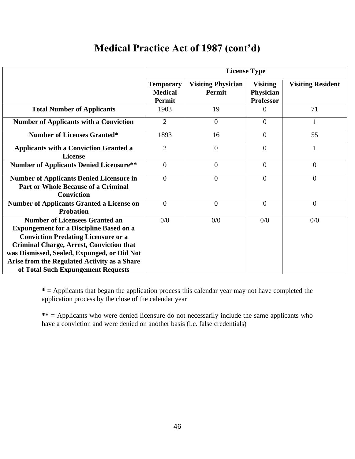# **Medical Practice Act of 1987 (cont'd)**

|                                                                                                                                                                                                                                                                                                                               | <b>License Type</b>                                 |                                     |                                                  |                          |
|-------------------------------------------------------------------------------------------------------------------------------------------------------------------------------------------------------------------------------------------------------------------------------------------------------------------------------|-----------------------------------------------------|-------------------------------------|--------------------------------------------------|--------------------------|
|                                                                                                                                                                                                                                                                                                                               | <b>Temporary</b><br><b>Medical</b><br><b>Permit</b> | <b>Visiting Physician</b><br>Permit | <b>Visiting</b><br>Physician<br><b>Professor</b> | <b>Visiting Resident</b> |
| <b>Total Number of Applicants</b>                                                                                                                                                                                                                                                                                             | 1903                                                | 19                                  | 0                                                | 71                       |
| <b>Number of Applicants with a Conviction</b>                                                                                                                                                                                                                                                                                 | $\overline{2}$                                      | $\overline{0}$                      | $\overline{0}$                                   | $\mathbf{1}$             |
| <b>Number of Licenses Granted*</b>                                                                                                                                                                                                                                                                                            | 1893                                                | 16                                  | $\overline{0}$                                   | 55                       |
| <b>Applicants with a Conviction Granted a</b><br><b>License</b>                                                                                                                                                                                                                                                               | $\overline{2}$                                      | $\overline{0}$                      | $\overline{0}$                                   | 1                        |
| <b>Number of Applicants Denied Licensure**</b>                                                                                                                                                                                                                                                                                | $\boldsymbol{0}$                                    | $\overline{0}$                      | $\overline{0}$                                   | $\theta$                 |
| <b>Number of Applicants Denied Licensure in</b><br><b>Part or Whole Because of a Criminal</b><br><b>Conviction</b>                                                                                                                                                                                                            | $\theta$                                            | $\overline{0}$                      | $\Omega$                                         | $\overline{0}$           |
| <b>Number of Applicants Granted a License on</b><br><b>Probation</b>                                                                                                                                                                                                                                                          | $\overline{0}$                                      | $\overline{0}$                      | $\overline{0}$                                   | $\theta$                 |
| <b>Number of Licensees Granted an</b><br><b>Expungement for a Discipline Based on a</b><br><b>Conviction Predating Licensure or a</b><br><b>Criminal Charge, Arrest, Conviction that</b><br>was Dismissed, Sealed, Expunged, or Did Not<br>Arise from the Regulated Activity as a Share<br>of Total Such Expungement Requests | 0/0                                                 | 0/0                                 | 0/0                                              | 0/0                      |

**\* =** Applicants that began the application process this calendar year may not have completed the application process by the close of the calendar year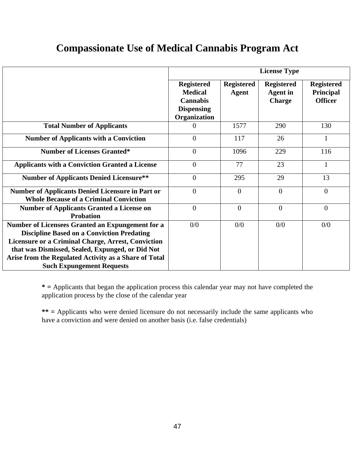# **Compassionate Use of Medical Cannabis Program Act**

|                                                                                                                                                                                                                                                                                                                     | <b>License Type</b>                                                                         |                                   |                                                       |                                                         |
|---------------------------------------------------------------------------------------------------------------------------------------------------------------------------------------------------------------------------------------------------------------------------------------------------------------------|---------------------------------------------------------------------------------------------|-----------------------------------|-------------------------------------------------------|---------------------------------------------------------|
|                                                                                                                                                                                                                                                                                                                     | <b>Registered</b><br><b>Medical</b><br><b>Cannabis</b><br><b>Dispensing</b><br>Organization | <b>Registered</b><br><b>Agent</b> | <b>Registered</b><br><b>Agent</b> in<br><b>Charge</b> | <b>Registered</b><br><b>Principal</b><br><b>Officer</b> |
| <b>Total Number of Applicants</b>                                                                                                                                                                                                                                                                                   | 0                                                                                           | 1577                              | 290                                                   | 130                                                     |
| <b>Number of Applicants with a Conviction</b>                                                                                                                                                                                                                                                                       | $\overline{0}$                                                                              | 117                               | 26                                                    | $\mathbf{1}$                                            |
| <b>Number of Licenses Granted*</b>                                                                                                                                                                                                                                                                                  | $\overline{0}$                                                                              | 1096                              | 229                                                   | 116                                                     |
| <b>Applicants with a Conviction Granted a License</b>                                                                                                                                                                                                                                                               | $\overline{0}$                                                                              | 77                                | 23                                                    | $\mathbf{1}$                                            |
| <b>Number of Applicants Denied Licensure**</b>                                                                                                                                                                                                                                                                      | $\overline{0}$                                                                              | 295                               | 29                                                    | 13                                                      |
| <b>Number of Applicants Denied Licensure in Part or</b><br><b>Whole Because of a Criminal Conviction</b>                                                                                                                                                                                                            | $\overline{0}$                                                                              | $\theta$                          | $\Omega$                                              | $\overline{0}$                                          |
| <b>Number of Applicants Granted a License on</b><br><b>Probation</b>                                                                                                                                                                                                                                                | $\overline{0}$                                                                              | $\Omega$                          | $\overline{0}$                                        | $\overline{0}$                                          |
| Number of Licensees Granted an Expungement for a<br><b>Discipline Based on a Conviction Predating</b><br><b>Licensure or a Criminal Charge, Arrest, Conviction</b><br>that was Dismissed, Sealed, Expunged, or Did Not<br>Arise from the Regulated Activity as a Share of Total<br><b>Such Expungement Requests</b> | 0/0                                                                                         | 0/0                               | 0/0                                                   | 0/0                                                     |

**\* =** Applicants that began the application process this calendar year may not have completed the application process by the close of the calendar year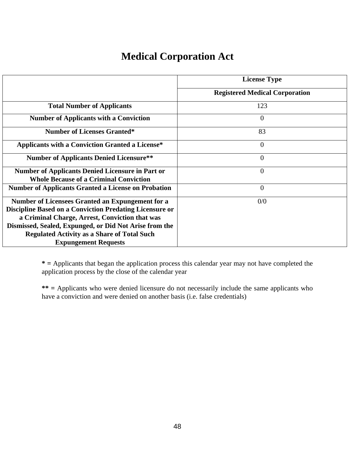# **Medical Corporation Act**

|                                                                                                          | <b>License Type</b>                   |
|----------------------------------------------------------------------------------------------------------|---------------------------------------|
|                                                                                                          | <b>Registered Medical Corporation</b> |
| <b>Total Number of Applicants</b>                                                                        | 123                                   |
| <b>Number of Applicants with a Conviction</b>                                                            | $\overline{0}$                        |
| <b>Number of Licenses Granted*</b>                                                                       | 83                                    |
| <b>Applicants with a Conviction Granted a License*</b>                                                   | $\overline{0}$                        |
| <b>Number of Applicants Denied Licensure**</b>                                                           | $\overline{0}$                        |
| <b>Number of Applicants Denied Licensure in Part or</b><br><b>Whole Because of a Criminal Conviction</b> | $\overline{0}$                        |
| <b>Number of Applicants Granted a License on Probation</b>                                               | $\overline{0}$                        |
| Number of Licensees Granted an Expungement for a                                                         | 0/0                                   |
| <b>Discipline Based on a Conviction Predating Licensure or</b>                                           |                                       |
| a Criminal Charge, Arrest, Conviction that was                                                           |                                       |
| Dismissed, Sealed, Expunged, or Did Not Arise from the                                                   |                                       |
| <b>Regulated Activity as a Share of Total Such</b>                                                       |                                       |
| <b>Expungement Requests</b>                                                                              |                                       |

**\* =** Applicants that began the application process this calendar year may not have completed the application process by the close of the calendar year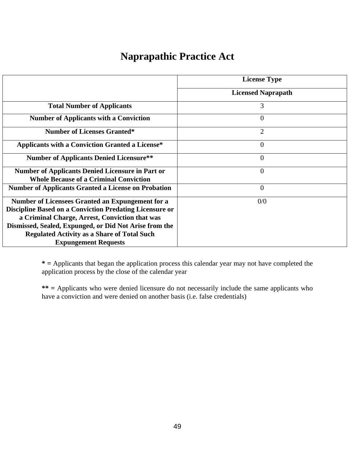# **Naprapathic Practice Act**

|                                                                | <b>License Type</b>       |
|----------------------------------------------------------------|---------------------------|
|                                                                |                           |
|                                                                | <b>Licensed Naprapath</b> |
| <b>Total Number of Applicants</b>                              | 3                         |
| <b>Number of Applicants with a Conviction</b>                  | $\overline{0}$            |
| <b>Number of Licenses Granted*</b>                             | $\overline{2}$            |
| <b>Applicants with a Conviction Granted a License*</b>         | $\overline{0}$            |
| <b>Number of Applicants Denied Licensure**</b>                 | $\overline{0}$            |
| <b>Number of Applicants Denied Licensure in Part or</b>        | $\overline{0}$            |
| <b>Whole Because of a Criminal Conviction</b>                  |                           |
| <b>Number of Applicants Granted a License on Probation</b>     | $\overline{0}$            |
| Number of Licensees Granted an Expungement for a               | 0/0                       |
| <b>Discipline Based on a Conviction Predating Licensure or</b> |                           |
| a Criminal Charge, Arrest, Conviction that was                 |                           |
| Dismissed, Sealed, Expunged, or Did Not Arise from the         |                           |
| <b>Regulated Activity as a Share of Total Such</b>             |                           |
| <b>Expungement Requests</b>                                    |                           |

**\* =** Applicants that began the application process this calendar year may not have completed the application process by the close of the calendar year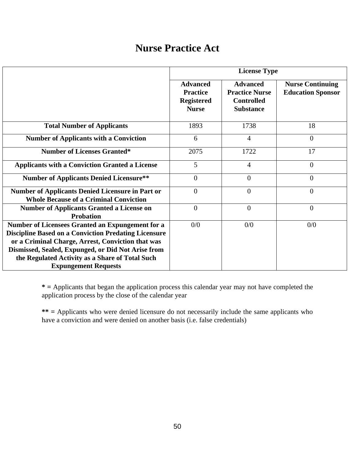## **Nurse Practice Act**

|                                                                                                                                                                                                                                                                                                              |                                                                         | <b>License Type</b>                                                               |                                                     |
|--------------------------------------------------------------------------------------------------------------------------------------------------------------------------------------------------------------------------------------------------------------------------------------------------------------|-------------------------------------------------------------------------|-----------------------------------------------------------------------------------|-----------------------------------------------------|
|                                                                                                                                                                                                                                                                                                              | <b>Advanced</b><br><b>Practice</b><br><b>Registered</b><br><b>Nurse</b> | <b>Advanced</b><br><b>Practice Nurse</b><br><b>Controlled</b><br><b>Substance</b> | <b>Nurse Continuing</b><br><b>Education Sponsor</b> |
| <b>Total Number of Applicants</b>                                                                                                                                                                                                                                                                            | 1893                                                                    | 1738                                                                              | 18                                                  |
| <b>Number of Applicants with a Conviction</b>                                                                                                                                                                                                                                                                | 6                                                                       | $\overline{4}$                                                                    | $\overline{0}$                                      |
| <b>Number of Licenses Granted*</b>                                                                                                                                                                                                                                                                           | 2075                                                                    | 1722                                                                              | 17                                                  |
| <b>Applicants with a Conviction Granted a License</b>                                                                                                                                                                                                                                                        | 5                                                                       | $\overline{4}$                                                                    | $\overline{0}$                                      |
| <b>Number of Applicants Denied Licensure**</b>                                                                                                                                                                                                                                                               | $\overline{0}$                                                          | $\overline{0}$                                                                    | $\overline{0}$                                      |
| <b>Number of Applicants Denied Licensure in Part or</b><br><b>Whole Because of a Criminal Conviction</b>                                                                                                                                                                                                     | $\overline{0}$                                                          | $\overline{0}$                                                                    | $\overline{0}$                                      |
| <b>Number of Applicants Granted a License on</b><br><b>Probation</b>                                                                                                                                                                                                                                         | $\overline{0}$                                                          | $\overline{0}$                                                                    | $\overline{0}$                                      |
| Number of Licensees Granted an Expungement for a<br><b>Discipline Based on a Conviction Predating Licensure</b><br>or a Criminal Charge, Arrest, Conviction that was<br>Dismissed, Sealed, Expunged, or Did Not Arise from<br>the Regulated Activity as a Share of Total Such<br><b>Expungement Requests</b> | 0/0                                                                     | 0/0                                                                               | 0/0                                                 |

**\* =** Applicants that began the application process this calendar year may not have completed the application process by the close of the calendar year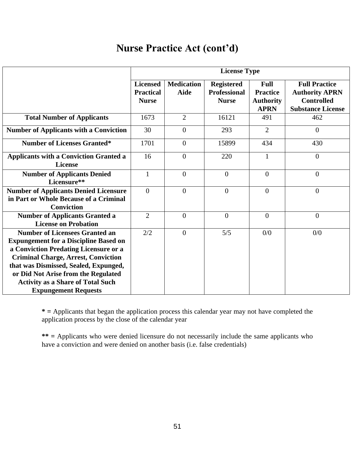# **Nurse Practice Act (cont'd)**

|                                                                                                                                                                                                                                                                                                                                         |                                                     | <b>License Type</b>              |                                                          |                                                                   |                                                                                                |
|-----------------------------------------------------------------------------------------------------------------------------------------------------------------------------------------------------------------------------------------------------------------------------------------------------------------------------------------|-----------------------------------------------------|----------------------------------|----------------------------------------------------------|-------------------------------------------------------------------|------------------------------------------------------------------------------------------------|
|                                                                                                                                                                                                                                                                                                                                         | <b>Licensed</b><br><b>Practical</b><br><b>Nurse</b> | <b>Medication</b><br><b>Aide</b> | <b>Registered</b><br><b>Professional</b><br><b>Nurse</b> | <b>Full</b><br><b>Practice</b><br><b>Authority</b><br><b>APRN</b> | <b>Full Practice</b><br><b>Authority APRN</b><br><b>Controlled</b><br><b>Substance License</b> |
| <b>Total Number of Applicants</b>                                                                                                                                                                                                                                                                                                       | 1673                                                | $\overline{2}$                   | 16121                                                    | 491                                                               | 462                                                                                            |
| <b>Number of Applicants with a Conviction</b>                                                                                                                                                                                                                                                                                           | 30                                                  | $\overline{0}$                   | 293                                                      | $\overline{2}$                                                    | $\overline{0}$                                                                                 |
| <b>Number of Licenses Granted*</b>                                                                                                                                                                                                                                                                                                      | 1701                                                | $\overline{0}$                   | 15899                                                    | 434                                                               | 430                                                                                            |
| <b>Applicants with a Conviction Granted a</b><br><b>License</b>                                                                                                                                                                                                                                                                         | 16                                                  | $\overline{0}$                   | 220                                                      | $\mathbf{1}$                                                      | $\overline{0}$                                                                                 |
| <b>Number of Applicants Denied</b><br>Licensure**                                                                                                                                                                                                                                                                                       | $\mathbf{1}$                                        | $\overline{0}$                   | $\mathbf{0}$                                             | $\overline{0}$                                                    | $\boldsymbol{0}$                                                                               |
| <b>Number of Applicants Denied Licensure</b><br>in Part or Whole Because of a Criminal<br><b>Conviction</b>                                                                                                                                                                                                                             | $\Omega$                                            | $\theta$                         | $\overline{0}$                                           | $\theta$                                                          | $\overline{0}$                                                                                 |
| <b>Number of Applicants Granted a</b><br><b>License on Probation</b>                                                                                                                                                                                                                                                                    | $\overline{2}$                                      | $\overline{0}$                   | $\theta$                                                 | $\overline{0}$                                                    | $\overline{0}$                                                                                 |
| <b>Number of Licensees Granted an</b><br><b>Expungement for a Discipline Based on</b><br>a Conviction Predating Licensure or a<br><b>Criminal Charge, Arrest, Conviction</b><br>that was Dismissed, Sealed, Expunged,<br>or Did Not Arise from the Regulated<br><b>Activity as a Share of Total Such</b><br><b>Expungement Requests</b> | 2/2                                                 | $\Omega$                         | 5/5                                                      | 0/0                                                               | 0/0                                                                                            |

**\* =** Applicants that began the application process this calendar year may not have completed the application process by the close of the calendar year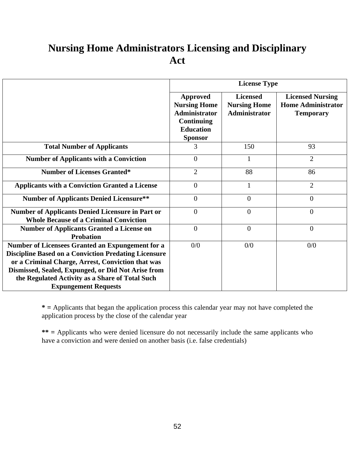# **Nursing Home Administrators Licensing and Disciplinary Act**

|                                                                                                                                                                                                                                                                                                              |                                                                                                                    | <b>License Type</b>                                            |                                                                          |
|--------------------------------------------------------------------------------------------------------------------------------------------------------------------------------------------------------------------------------------------------------------------------------------------------------------|--------------------------------------------------------------------------------------------------------------------|----------------------------------------------------------------|--------------------------------------------------------------------------|
|                                                                                                                                                                                                                                                                                                              | <b>Approved</b><br><b>Nursing Home</b><br><b>Administrator</b><br>Continuing<br><b>Education</b><br><b>Sponsor</b> | <b>Licensed</b><br><b>Nursing Home</b><br><b>Administrator</b> | <b>Licensed Nursing</b><br><b>Home Administrator</b><br><b>Temporary</b> |
| <b>Total Number of Applicants</b>                                                                                                                                                                                                                                                                            | 3                                                                                                                  | 150                                                            | 93                                                                       |
| <b>Number of Applicants with a Conviction</b>                                                                                                                                                                                                                                                                | $\overline{0}$                                                                                                     | 1                                                              | $\overline{2}$                                                           |
| <b>Number of Licenses Granted*</b>                                                                                                                                                                                                                                                                           | $\overline{2}$                                                                                                     | 88                                                             | 86                                                                       |
| <b>Applicants with a Conviction Granted a License</b>                                                                                                                                                                                                                                                        | $\overline{0}$                                                                                                     | 1                                                              | $\overline{2}$                                                           |
| <b>Number of Applicants Denied Licensure**</b>                                                                                                                                                                                                                                                               | $\theta$                                                                                                           | $\overline{0}$                                                 | $\overline{0}$                                                           |
| <b>Number of Applicants Denied Licensure in Part or</b><br><b>Whole Because of a Criminal Conviction</b>                                                                                                                                                                                                     | $\Omega$                                                                                                           | $\overline{0}$                                                 | $\overline{0}$                                                           |
| <b>Number of Applicants Granted a License on</b><br><b>Probation</b>                                                                                                                                                                                                                                         | $\overline{0}$                                                                                                     | $\overline{0}$                                                 | $\overline{0}$                                                           |
| Number of Licensees Granted an Expungement for a<br><b>Discipline Based on a Conviction Predating Licensure</b><br>or a Criminal Charge, Arrest, Conviction that was<br>Dismissed, Sealed, Expunged, or Did Not Arise from<br>the Regulated Activity as a Share of Total Such<br><b>Expungement Requests</b> | 0/0                                                                                                                | 0/0                                                            | 0/0                                                                      |

**\* =** Applicants that began the application process this calendar year may not have completed the application process by the close of the calendar year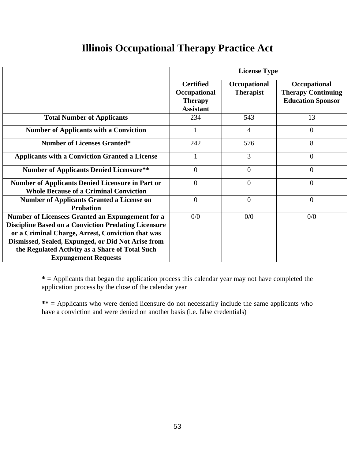# **Illinois Occupational Therapy Practice Act**

|                                                                                                                                                                                                                                                                                                              |                                                                        | <b>License Type</b>              |                                                                       |
|--------------------------------------------------------------------------------------------------------------------------------------------------------------------------------------------------------------------------------------------------------------------------------------------------------------|------------------------------------------------------------------------|----------------------------------|-----------------------------------------------------------------------|
|                                                                                                                                                                                                                                                                                                              | <b>Certified</b><br>Occupational<br><b>Therapy</b><br><b>Assistant</b> | Occupational<br><b>Therapist</b> | Occupational<br><b>Therapy Continuing</b><br><b>Education Sponsor</b> |
| <b>Total Number of Applicants</b>                                                                                                                                                                                                                                                                            | 234                                                                    | 543                              | 13                                                                    |
| <b>Number of Applicants with a Conviction</b>                                                                                                                                                                                                                                                                |                                                                        | $\overline{4}$                   | $\theta$                                                              |
| <b>Number of Licenses Granted*</b>                                                                                                                                                                                                                                                                           | 242                                                                    | 576                              | 8                                                                     |
| <b>Applicants with a Conviction Granted a License</b>                                                                                                                                                                                                                                                        |                                                                        | 3                                | $\theta$                                                              |
| <b>Number of Applicants Denied Licensure**</b>                                                                                                                                                                                                                                                               | $\Omega$                                                               | $\overline{0}$                   | $\theta$                                                              |
| <b>Number of Applicants Denied Licensure in Part or</b><br><b>Whole Because of a Criminal Conviction</b>                                                                                                                                                                                                     | $\Omega$                                                               | $\theta$                         | $\theta$                                                              |
| <b>Number of Applicants Granted a License on</b><br><b>Probation</b>                                                                                                                                                                                                                                         | $\overline{0}$                                                         | $\overline{0}$                   | $\overline{0}$                                                        |
| Number of Licensees Granted an Expungement for a<br><b>Discipline Based on a Conviction Predating Licensure</b><br>or a Criminal Charge, Arrest, Conviction that was<br>Dismissed, Sealed, Expunged, or Did Not Arise from<br>the Regulated Activity as a Share of Total Such<br><b>Expungement Requests</b> | 0/0                                                                    | 0/0                              | 0/0                                                                   |

**\* =** Applicants that began the application process this calendar year may not have completed the application process by the close of the calendar year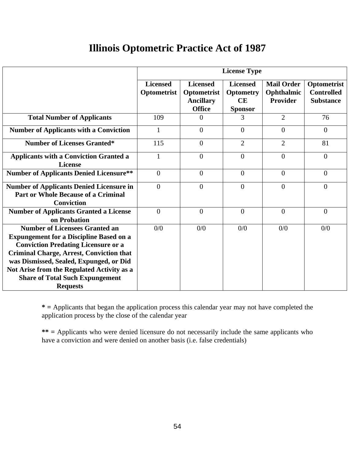## **Illinois Optometric Practice Act of 1987**

|                                                                                                                                                                                                                                                                                                                                                | <b>License Type</b>            |                                                                     |                                                             |                                             |                                                      |
|------------------------------------------------------------------------------------------------------------------------------------------------------------------------------------------------------------------------------------------------------------------------------------------------------------------------------------------------|--------------------------------|---------------------------------------------------------------------|-------------------------------------------------------------|---------------------------------------------|------------------------------------------------------|
|                                                                                                                                                                                                                                                                                                                                                | <b>Licensed</b><br>Optometrist | <b>Licensed</b><br>Optometrist<br><b>Ancillary</b><br><b>Office</b> | <b>Licensed</b><br><b>Optometry</b><br>CE<br><b>Sponsor</b> | <b>Mail Order</b><br>Ophthalmic<br>Provider | Optometrist<br><b>Controlled</b><br><b>Substance</b> |
| <b>Total Number of Applicants</b>                                                                                                                                                                                                                                                                                                              | 109                            | $\Omega$                                                            | 3                                                           | $\overline{2}$                              | 76                                                   |
| <b>Number of Applicants with a Conviction</b>                                                                                                                                                                                                                                                                                                  | $\mathbf{1}$                   | $\Omega$                                                            | $\overline{0}$                                              | $\Omega$                                    | $\overline{0}$                                       |
| <b>Number of Licenses Granted*</b>                                                                                                                                                                                                                                                                                                             | 115                            | $\overline{0}$                                                      | $\overline{2}$                                              | $\overline{2}$                              | 81                                                   |
| <b>Applicants with a Conviction Granted a</b><br>License                                                                                                                                                                                                                                                                                       | 1                              | $\Omega$                                                            | $\theta$                                                    | $\Omega$                                    | $\overline{0}$                                       |
| <b>Number of Applicants Denied Licensure**</b>                                                                                                                                                                                                                                                                                                 | $\overline{0}$                 | $\overline{0}$                                                      | $\overline{0}$                                              | $\Omega$                                    | $\overline{0}$                                       |
| <b>Number of Applicants Denied Licensure in</b><br><b>Part or Whole Because of a Criminal</b><br><b>Conviction</b>                                                                                                                                                                                                                             | $\Omega$                       | $\theta$                                                            | $\Omega$                                                    | $\Omega$                                    | $\overline{0}$                                       |
| <b>Number of Applicants Granted a License</b><br>on Probation                                                                                                                                                                                                                                                                                  | $\Omega$                       | $\theta$                                                            | $\Omega$                                                    | $\Omega$                                    | $\overline{0}$                                       |
| <b>Number of Licensees Granted an</b><br><b>Expungement for a Discipline Based on a</b><br><b>Conviction Predating Licensure or a</b><br><b>Criminal Charge, Arrest, Conviction that</b><br>was Dismissed, Sealed, Expunged, or Did<br>Not Arise from the Regulated Activity as a<br><b>Share of Total Such Expungement</b><br><b>Requests</b> | 0/0                            | 0/0                                                                 | 0/0                                                         | 0/0                                         | 0/0                                                  |

**\* =** Applicants that began the application process this calendar year may not have completed the application process by the close of the calendar year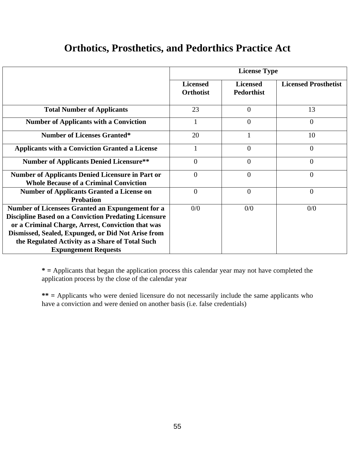## **Orthotics, Prosthetics, and Pedorthics Practice Act**

|                                                                                                                                                                                                                                                                               |                                     | <b>License Type</b>                  |                             |
|-------------------------------------------------------------------------------------------------------------------------------------------------------------------------------------------------------------------------------------------------------------------------------|-------------------------------------|--------------------------------------|-----------------------------|
|                                                                                                                                                                                                                                                                               | <b>Licensed</b><br><b>Orthotist</b> | <b>Licensed</b><br><b>Pedorthist</b> | <b>Licensed Prosthetist</b> |
| <b>Total Number of Applicants</b>                                                                                                                                                                                                                                             | 23                                  | $\overline{0}$                       | 13                          |
| <b>Number of Applicants with a Conviction</b>                                                                                                                                                                                                                                 |                                     | $\theta$                             | $\overline{0}$              |
| <b>Number of Licenses Granted*</b>                                                                                                                                                                                                                                            | 20                                  | 1                                    | 10                          |
| <b>Applicants with a Conviction Granted a License</b>                                                                                                                                                                                                                         |                                     | $\theta$                             | $\theta$                    |
| <b>Number of Applicants Denied Licensure**</b>                                                                                                                                                                                                                                | $\Omega$                            | $\theta$                             | $\overline{0}$              |
| <b>Number of Applicants Denied Licensure in Part or</b><br><b>Whole Because of a Criminal Conviction</b>                                                                                                                                                                      | $\theta$                            | $\overline{0}$                       | 0                           |
| <b>Number of Applicants Granted a License on</b><br><b>Probation</b>                                                                                                                                                                                                          | $\theta$                            | $\theta$                             | $\theta$                    |
| Number of Licensees Granted an Expungement for a<br><b>Discipline Based on a Conviction Predating Licensure</b><br>or a Criminal Charge, Arrest, Conviction that was<br>Dismissed, Sealed, Expunged, or Did Not Arise from<br>the Regulated Activity as a Share of Total Such | 0/0                                 | 0/0                                  | 0/0                         |
| <b>Expungement Requests</b>                                                                                                                                                                                                                                                   |                                     |                                      |                             |

**\* =** Applicants that began the application process this calendar year may not have completed the application process by the close of the calendar year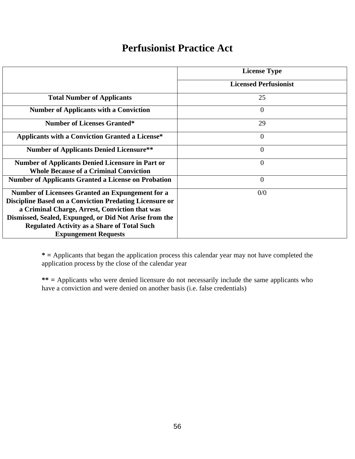### **Perfusionist Practice Act**

|                                                                | <b>License Type</b>          |
|----------------------------------------------------------------|------------------------------|
|                                                                |                              |
|                                                                | <b>Licensed Perfusionist</b> |
| <b>Total Number of Applicants</b>                              | 25                           |
| <b>Number of Applicants with a Conviction</b>                  | $\overline{0}$               |
| <b>Number of Licenses Granted*</b>                             | 29                           |
| <b>Applicants with a Conviction Granted a License*</b>         | $\overline{0}$               |
| <b>Number of Applicants Denied Licensure**</b>                 | $\overline{0}$               |
| <b>Number of Applicants Denied Licensure in Part or</b>        | $\overline{0}$               |
| <b>Whole Because of a Criminal Conviction</b>                  |                              |
| <b>Number of Applicants Granted a License on Probation</b>     | $\overline{0}$               |
| Number of Licensees Granted an Expungement for a               | 0/0                          |
| <b>Discipline Based on a Conviction Predating Licensure or</b> |                              |
| a Criminal Charge, Arrest, Conviction that was                 |                              |
| Dismissed, Sealed, Expunged, or Did Not Arise from the         |                              |
| <b>Regulated Activity as a Share of Total Such</b>             |                              |
| <b>Expungement Requests</b>                                    |                              |

**\* =** Applicants that began the application process this calendar year may not have completed the application process by the close of the calendar year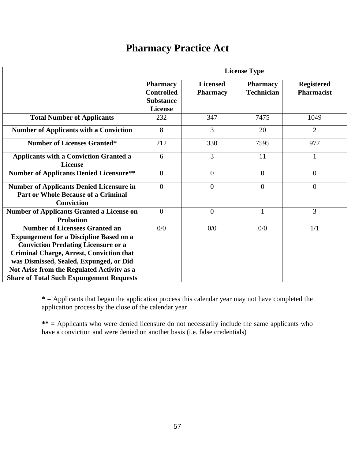# **Pharmacy Practice Act**

|                                                                                                                                                                                                                                                                                                                                      |                                                                            |                                    | <b>License Type</b>                  |                                        |
|--------------------------------------------------------------------------------------------------------------------------------------------------------------------------------------------------------------------------------------------------------------------------------------------------------------------------------------|----------------------------------------------------------------------------|------------------------------------|--------------------------------------|----------------------------------------|
|                                                                                                                                                                                                                                                                                                                                      | <b>Pharmacy</b><br><b>Controlled</b><br><b>Substance</b><br><b>License</b> | <b>Licensed</b><br><b>Pharmacy</b> | <b>Pharmacy</b><br><b>Technician</b> | <b>Registered</b><br><b>Pharmacist</b> |
| <b>Total Number of Applicants</b>                                                                                                                                                                                                                                                                                                    | 232                                                                        | 347                                | 7475                                 | 1049                                   |
| <b>Number of Applicants with a Conviction</b>                                                                                                                                                                                                                                                                                        | 8                                                                          | 3                                  | 20                                   | $\overline{2}$                         |
| <b>Number of Licenses Granted*</b>                                                                                                                                                                                                                                                                                                   | 212                                                                        | 330                                | 7595                                 | 977                                    |
| <b>Applicants with a Conviction Granted a</b><br><b>License</b>                                                                                                                                                                                                                                                                      | 6                                                                          | 3                                  | 11                                   | 1                                      |
| <b>Number of Applicants Denied Licensure**</b>                                                                                                                                                                                                                                                                                       | $\overline{0}$                                                             | $\overline{0}$                     | $\overline{0}$                       | $\overline{0}$                         |
| <b>Number of Applicants Denied Licensure in</b><br><b>Part or Whole Because of a Criminal</b><br><b>Conviction</b>                                                                                                                                                                                                                   | $\overline{0}$                                                             | $\overline{0}$                     | $\overline{0}$                       | $\overline{0}$                         |
| <b>Number of Applicants Granted a License on</b><br><b>Probation</b>                                                                                                                                                                                                                                                                 | $\overline{0}$                                                             | $\overline{0}$                     | $\mathbf{1}$                         | 3                                      |
| <b>Number of Licensees Granted an</b><br><b>Expungement for a Discipline Based on a</b><br><b>Conviction Predating Licensure or a</b><br><b>Criminal Charge, Arrest, Conviction that</b><br>was Dismissed, Sealed, Expunged, or Did<br>Not Arise from the Regulated Activity as a<br><b>Share of Total Such Expungement Requests</b> | 0/0                                                                        | 0/0                                | 0/0                                  | 1/1                                    |

**\* =** Applicants that began the application process this calendar year may not have completed the application process by the close of the calendar year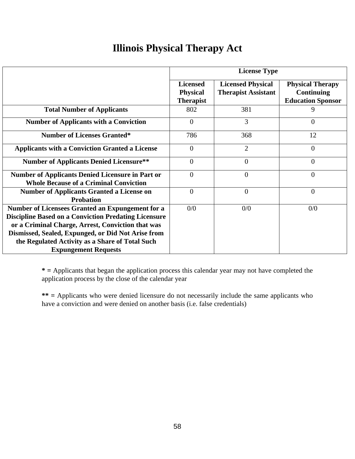# **Illinois Physical Therapy Act**

|                                                                                                                 |                                                        | <b>License Type</b>                                    |                                                                          |
|-----------------------------------------------------------------------------------------------------------------|--------------------------------------------------------|--------------------------------------------------------|--------------------------------------------------------------------------|
|                                                                                                                 | <b>Licensed</b><br><b>Physical</b><br><b>Therapist</b> | <b>Licensed Physical</b><br><b>Therapist Assistant</b> | <b>Physical Therapy</b><br><b>Continuing</b><br><b>Education Sponsor</b> |
| <b>Total Number of Applicants</b>                                                                               | 802                                                    | 381                                                    | 9                                                                        |
| <b>Number of Applicants with a Conviction</b>                                                                   | $\overline{0}$                                         | 3                                                      | $\Omega$                                                                 |
| <b>Number of Licenses Granted*</b>                                                                              | 786                                                    | 368                                                    | 12                                                                       |
| <b>Applicants with a Conviction Granted a License</b>                                                           | $\theta$                                               | $\overline{2}$                                         | $\Omega$                                                                 |
| <b>Number of Applicants Denied Licensure**</b>                                                                  | $\theta$                                               | $\Omega$                                               | $\Omega$                                                                 |
| <b>Number of Applicants Denied Licensure in Part or</b><br><b>Whole Because of a Criminal Conviction</b>        | $\theta$                                               | 0                                                      | $\overline{0}$                                                           |
| <b>Number of Applicants Granted a License on</b><br><b>Probation</b>                                            | $\theta$                                               | $\theta$                                               | $\overline{0}$                                                           |
| Number of Licensees Granted an Expungement for a<br><b>Discipline Based on a Conviction Predating Licensure</b> | 0/0                                                    | 0/0                                                    | 0/0                                                                      |
| or a Criminal Charge, Arrest, Conviction that was<br>Dismissed, Sealed, Expunged, or Did Not Arise from         |                                                        |                                                        |                                                                          |
| the Regulated Activity as a Share of Total Such<br><b>Expungement Requests</b>                                  |                                                        |                                                        |                                                                          |

**\* =** Applicants that began the application process this calendar year may not have completed the application process by the close of the calendar year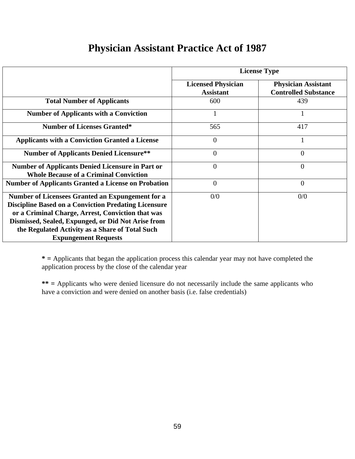| <b>Physician Assistant Practice Act of 1987</b> |  |
|-------------------------------------------------|--|
|-------------------------------------------------|--|

|                                                                                                                                                                                                                                                                                                              | <b>License Type</b>                           |                                                           |  |  |
|--------------------------------------------------------------------------------------------------------------------------------------------------------------------------------------------------------------------------------------------------------------------------------------------------------------|-----------------------------------------------|-----------------------------------------------------------|--|--|
|                                                                                                                                                                                                                                                                                                              | <b>Licensed Physician</b><br><b>Assistant</b> | <b>Physician Assistant</b><br><b>Controlled Substance</b> |  |  |
| <b>Total Number of Applicants</b>                                                                                                                                                                                                                                                                            | 600                                           | 439                                                       |  |  |
| <b>Number of Applicants with a Conviction</b>                                                                                                                                                                                                                                                                |                                               |                                                           |  |  |
| <b>Number of Licenses Granted*</b>                                                                                                                                                                                                                                                                           | 565                                           | 417                                                       |  |  |
| <b>Applicants with a Conviction Granted a License</b>                                                                                                                                                                                                                                                        | $\overline{0}$                                |                                                           |  |  |
| <b>Number of Applicants Denied Licensure**</b>                                                                                                                                                                                                                                                               | $\overline{0}$                                | 0                                                         |  |  |
| <b>Number of Applicants Denied Licensure in Part or</b><br><b>Whole Because of a Criminal Conviction</b>                                                                                                                                                                                                     | $\overline{0}$                                | $\overline{0}$                                            |  |  |
| <b>Number of Applicants Granted a License on Probation</b>                                                                                                                                                                                                                                                   | $\overline{0}$                                | $\overline{0}$                                            |  |  |
| Number of Licensees Granted an Expungement for a<br><b>Discipline Based on a Conviction Predating Licensure</b><br>or a Criminal Charge, Arrest, Conviction that was<br>Dismissed, Sealed, Expunged, or Did Not Arise from<br>the Regulated Activity as a Share of Total Such<br><b>Expungement Requests</b> | 0/0                                           | 0/0                                                       |  |  |

**\* =** Applicants that began the application process this calendar year may not have completed the application process by the close of the calendar year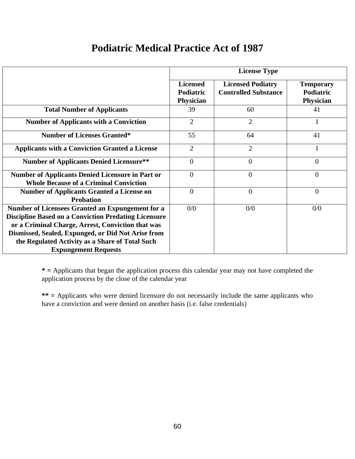# **Podiatric Medical Practice Act of 1987**

|                                                                                                                                                                                                                            | <b>License Type</b>                                     |                                                         |                                            |  |
|----------------------------------------------------------------------------------------------------------------------------------------------------------------------------------------------------------------------------|---------------------------------------------------------|---------------------------------------------------------|--------------------------------------------|--|
|                                                                                                                                                                                                                            | <b>Licensed</b><br><b>Podiatric</b><br><b>Physician</b> | <b>Licensed Podiatry</b><br><b>Controlled Substance</b> | <b>Temporary</b><br>Podiatric<br>Physician |  |
| <b>Total Number of Applicants</b>                                                                                                                                                                                          | 39                                                      | 60                                                      | 41                                         |  |
| <b>Number of Applicants with a Conviction</b>                                                                                                                                                                              | $\overline{2}$                                          | $\overline{2}$                                          |                                            |  |
| <b>Number of Licenses Granted*</b>                                                                                                                                                                                         | 55                                                      | 64                                                      | 41                                         |  |
| <b>Applicants with a Conviction Granted a License</b>                                                                                                                                                                      | $\overline{2}$                                          | $\overline{2}$                                          |                                            |  |
| <b>Number of Applicants Denied Licensure**</b>                                                                                                                                                                             | $\overline{0}$                                          | $\overline{0}$                                          | $\overline{0}$                             |  |
| <b>Number of Applicants Denied Licensure in Part or</b><br><b>Whole Because of a Criminal Conviction</b>                                                                                                                   | $\overline{0}$                                          | $\overline{0}$                                          | $\overline{0}$                             |  |
| <b>Number of Applicants Granted a License on</b><br><b>Probation</b>                                                                                                                                                       | $\theta$                                                | $\theta$                                                | $\overline{0}$                             |  |
| Number of Licensees Granted an Expungement for a<br><b>Discipline Based on a Conviction Predating Licensure</b><br>or a Criminal Charge, Arrest, Conviction that was<br>Dismissed, Sealed, Expunged, or Did Not Arise from | 0/0                                                     | 0/0                                                     | 0/0                                        |  |
| the Regulated Activity as a Share of Total Such<br><b>Expungement Requests</b>                                                                                                                                             |                                                         |                                                         |                                            |  |

**\* =** Applicants that began the application process this calendar year may not have completed the application process by the close of the calendar year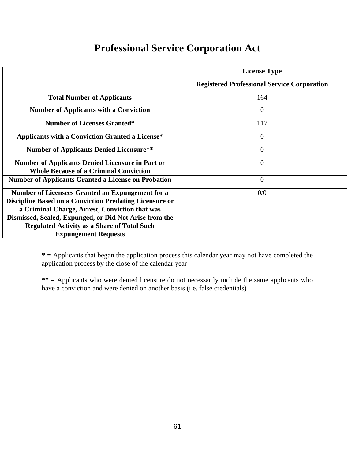# **Professional Service Corporation Act**

|                                                                                                                                                                                                                                                                                                                     | <b>License Type</b>                                |
|---------------------------------------------------------------------------------------------------------------------------------------------------------------------------------------------------------------------------------------------------------------------------------------------------------------------|----------------------------------------------------|
|                                                                                                                                                                                                                                                                                                                     | <b>Registered Professional Service Corporation</b> |
| <b>Total Number of Applicants</b>                                                                                                                                                                                                                                                                                   | 164                                                |
| <b>Number of Applicants with a Conviction</b>                                                                                                                                                                                                                                                                       | $\overline{0}$                                     |
| <b>Number of Licenses Granted*</b>                                                                                                                                                                                                                                                                                  | 117                                                |
| <b>Applicants with a Conviction Granted a License*</b>                                                                                                                                                                                                                                                              | $\overline{0}$                                     |
| <b>Number of Applicants Denied Licensure**</b>                                                                                                                                                                                                                                                                      | $\overline{0}$                                     |
| <b>Number of Applicants Denied Licensure in Part or</b><br><b>Whole Because of a Criminal Conviction</b>                                                                                                                                                                                                            | $\overline{0}$                                     |
| <b>Number of Applicants Granted a License on Probation</b>                                                                                                                                                                                                                                                          | $\overline{0}$                                     |
| Number of Licensees Granted an Expungement for a<br><b>Discipline Based on a Conviction Predating Licensure or</b><br>a Criminal Charge, Arrest, Conviction that was<br>Dismissed, Sealed, Expunged, or Did Not Arise from the<br><b>Regulated Activity as a Share of Total Such</b><br><b>Expungement Requests</b> | 0/0                                                |

**\* =** Applicants that began the application process this calendar year may not have completed the application process by the close of the calendar year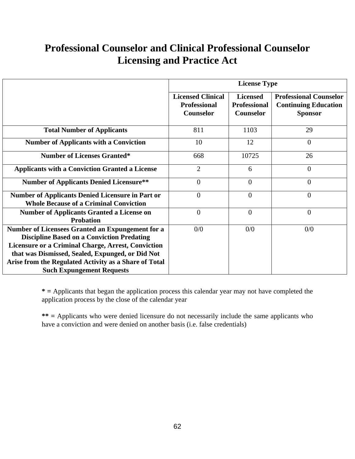# **Professional Counselor and Clinical Professional Counselor Licensing and Practice Act**

|                                                                                                                                                                    | <b>License Type</b>                                          |                                                            |                                                                                |  |
|--------------------------------------------------------------------------------------------------------------------------------------------------------------------|--------------------------------------------------------------|------------------------------------------------------------|--------------------------------------------------------------------------------|--|
|                                                                                                                                                                    | <b>Licensed Clinical</b><br><b>Professional</b><br>Counselor | <b>Licensed</b><br><b>Professional</b><br><b>Counselor</b> | <b>Professional Counselor</b><br><b>Continuing Education</b><br><b>Sponsor</b> |  |
| <b>Total Number of Applicants</b>                                                                                                                                  | 811                                                          | 1103                                                       | 29                                                                             |  |
| <b>Number of Applicants with a Conviction</b>                                                                                                                      | 10                                                           | 12                                                         | $\overline{0}$                                                                 |  |
| <b>Number of Licenses Granted*</b>                                                                                                                                 | 668                                                          | 10725                                                      | 26                                                                             |  |
| <b>Applicants with a Conviction Granted a License</b>                                                                                                              | $\overline{2}$                                               | 6                                                          | $\overline{0}$                                                                 |  |
| <b>Number of Applicants Denied Licensure**</b>                                                                                                                     | $\overline{0}$                                               | $\overline{0}$                                             | $\overline{0}$                                                                 |  |
| <b>Number of Applicants Denied Licensure in Part or</b><br><b>Whole Because of a Criminal Conviction</b>                                                           | $\overline{0}$                                               | $\overline{0}$                                             | $\overline{0}$                                                                 |  |
| <b>Number of Applicants Granted a License on</b><br><b>Probation</b>                                                                                               | $\overline{0}$                                               | $\overline{0}$                                             | $\overline{0}$                                                                 |  |
| Number of Licensees Granted an Expungement for a<br><b>Discipline Based on a Conviction Predating</b><br><b>Licensure or a Criminal Charge, Arrest, Conviction</b> | 0/0                                                          | 0/0                                                        | 0/0                                                                            |  |
| that was Dismissed, Sealed, Expunged, or Did Not<br>Arise from the Regulated Activity as a Share of Total<br><b>Such Expungement Requests</b>                      |                                                              |                                                            |                                                                                |  |

**\* =** Applicants that began the application process this calendar year may not have completed the application process by the close of the calendar year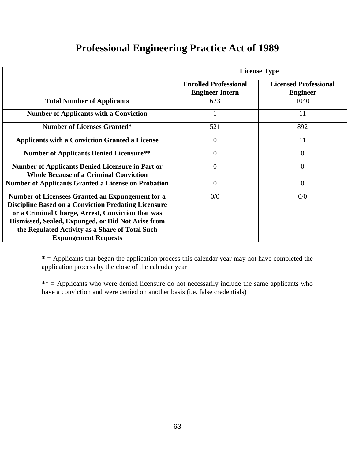| <b>Professional Engineering Practice Act of 1989</b> |  |  |  |
|------------------------------------------------------|--|--|--|
|                                                      |  |  |  |

|                                                                                                                                                                                                                                                                                                                     | <b>License Type</b>                                    |                                                 |  |  |
|---------------------------------------------------------------------------------------------------------------------------------------------------------------------------------------------------------------------------------------------------------------------------------------------------------------------|--------------------------------------------------------|-------------------------------------------------|--|--|
|                                                                                                                                                                                                                                                                                                                     | <b>Enrolled Professional</b><br><b>Engineer Intern</b> | <b>Licensed Professional</b><br><b>Engineer</b> |  |  |
| <b>Total Number of Applicants</b>                                                                                                                                                                                                                                                                                   | 623                                                    | 1040                                            |  |  |
| <b>Number of Applicants with a Conviction</b>                                                                                                                                                                                                                                                                       |                                                        | 11                                              |  |  |
| <b>Number of Licenses Granted*</b>                                                                                                                                                                                                                                                                                  | 521                                                    | 892                                             |  |  |
| <b>Applicants with a Conviction Granted a License</b>                                                                                                                                                                                                                                                               | $\theta$                                               | 11                                              |  |  |
| <b>Number of Applicants Denied Licensure**</b>                                                                                                                                                                                                                                                                      | $\theta$                                               | 0                                               |  |  |
| <b>Number of Applicants Denied Licensure in Part or</b><br><b>Whole Because of a Criminal Conviction</b>                                                                                                                                                                                                            | $\theta$                                               | $\overline{0}$                                  |  |  |
| <b>Number of Applicants Granted a License on Probation</b>                                                                                                                                                                                                                                                          | $\overline{0}$                                         | $\overline{0}$                                  |  |  |
| <b>Number of Licensees Granted an Expungement for a</b><br><b>Discipline Based on a Conviction Predating Licensure</b><br>or a Criminal Charge, Arrest, Conviction that was<br>Dismissed, Sealed, Expunged, or Did Not Arise from<br>the Regulated Activity as a Share of Total Such<br><b>Expungement Requests</b> | 0/0                                                    | 0/0                                             |  |  |

**\* =** Applicants that began the application process this calendar year may not have completed the application process by the close of the calendar year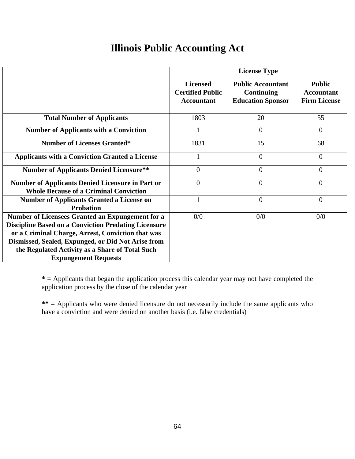# **Illinois Public Accounting Act**

|                                                                                                                                                                                                                                                                               | <b>License Type</b>                                             |                                                                    |                                                           |  |
|-------------------------------------------------------------------------------------------------------------------------------------------------------------------------------------------------------------------------------------------------------------------------------|-----------------------------------------------------------------|--------------------------------------------------------------------|-----------------------------------------------------------|--|
|                                                                                                                                                                                                                                                                               | <b>Licensed</b><br><b>Certified Public</b><br><b>Accountant</b> | <b>Public Accountant</b><br>Continuing<br><b>Education Sponsor</b> | <b>Public</b><br><b>Accountant</b><br><b>Firm License</b> |  |
| <b>Total Number of Applicants</b>                                                                                                                                                                                                                                             | 1803                                                            | 20                                                                 | 55                                                        |  |
| <b>Number of Applicants with a Conviction</b>                                                                                                                                                                                                                                 | 1                                                               | $\overline{0}$                                                     | $\overline{0}$                                            |  |
| <b>Number of Licenses Granted*</b>                                                                                                                                                                                                                                            | 1831                                                            | 15                                                                 | 68                                                        |  |
| <b>Applicants with a Conviction Granted a License</b>                                                                                                                                                                                                                         |                                                                 | $\overline{0}$                                                     | $\overline{0}$                                            |  |
| <b>Number of Applicants Denied Licensure**</b>                                                                                                                                                                                                                                | $\overline{0}$                                                  | $\overline{0}$                                                     | $\overline{0}$                                            |  |
| <b>Number of Applicants Denied Licensure in Part or</b><br><b>Whole Because of a Criminal Conviction</b>                                                                                                                                                                      | $\overline{0}$                                                  | $\overline{0}$                                                     | $\overline{0}$                                            |  |
| <b>Number of Applicants Granted a License on</b><br><b>Probation</b>                                                                                                                                                                                                          | $\mathbf{1}$                                                    | $\overline{0}$                                                     | $\overline{0}$                                            |  |
| Number of Licensees Granted an Expungement for a<br><b>Discipline Based on a Conviction Predating Licensure</b><br>or a Criminal Charge, Arrest, Conviction that was<br>Dismissed, Sealed, Expunged, or Did Not Arise from<br>the Regulated Activity as a Share of Total Such | 0/0                                                             | 0/0                                                                | 0/0                                                       |  |
| <b>Expungement Requests</b>                                                                                                                                                                                                                                                   |                                                                 |                                                                    |                                                           |  |

**\* =** Applicants that began the application process this calendar year may not have completed the application process by the close of the calendar year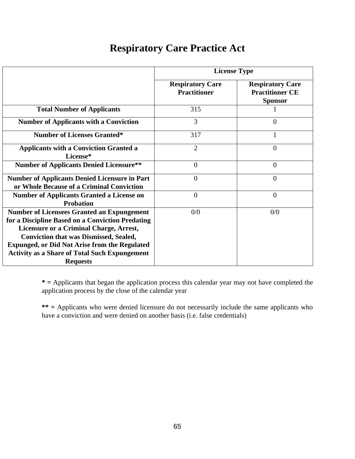# **Respiratory Care Practice Act**

|                                                                                                                                                                                                                                                                                                                                      | <b>License Type</b>                            |                                                                     |  |
|--------------------------------------------------------------------------------------------------------------------------------------------------------------------------------------------------------------------------------------------------------------------------------------------------------------------------------------|------------------------------------------------|---------------------------------------------------------------------|--|
|                                                                                                                                                                                                                                                                                                                                      | <b>Respiratory Care</b><br><b>Practitioner</b> | <b>Respiratory Care</b><br><b>Practitioner CE</b><br><b>Sponsor</b> |  |
| <b>Total Number of Applicants</b>                                                                                                                                                                                                                                                                                                    | 315                                            |                                                                     |  |
| <b>Number of Applicants with a Conviction</b>                                                                                                                                                                                                                                                                                        | 3                                              | $\theta$                                                            |  |
| <b>Number of Licenses Granted*</b>                                                                                                                                                                                                                                                                                                   | 317                                            | 1                                                                   |  |
| <b>Applicants with a Conviction Granted a</b><br>License*                                                                                                                                                                                                                                                                            | $\overline{2}$                                 | $\overline{0}$                                                      |  |
| <b>Number of Applicants Denied Licensure**</b>                                                                                                                                                                                                                                                                                       | $\overline{0}$                                 | $\theta$                                                            |  |
| <b>Number of Applicants Denied Licensure in Part</b><br>or Whole Because of a Criminal Conviction                                                                                                                                                                                                                                    | $\overline{0}$                                 | $\theta$                                                            |  |
| <b>Number of Applicants Granted a License on</b><br><b>Probation</b>                                                                                                                                                                                                                                                                 | $\overline{0}$                                 | $\overline{0}$                                                      |  |
| <b>Number of Licensees Granted an Expungement</b><br>for a Discipline Based on a Conviction Predating<br>Licensure or a Criminal Charge, Arrest,<br><b>Conviction that was Dismissed, Sealed,</b><br><b>Expunged, or Did Not Arise from the Regulated</b><br><b>Activity as a Share of Total Such Expungement</b><br><b>Requests</b> | 0/0                                            | 0/0                                                                 |  |

**\* =** Applicants that began the application process this calendar year may not have completed the application process by the close of the calendar year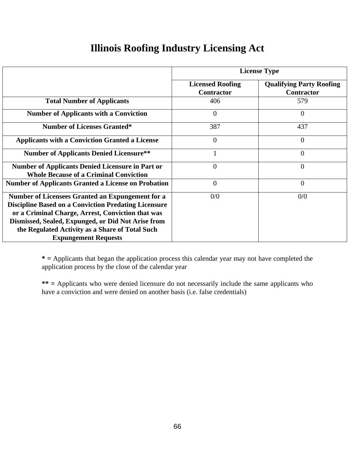# **Illinois Roofing Industry Licensing Act**

|                                                                                                                                                                                                                                                                                                              | <b>License Type</b>                          |                                                      |  |  |
|--------------------------------------------------------------------------------------------------------------------------------------------------------------------------------------------------------------------------------------------------------------------------------------------------------------|----------------------------------------------|------------------------------------------------------|--|--|
|                                                                                                                                                                                                                                                                                                              | <b>Licensed Roofing</b><br><b>Contractor</b> | <b>Qualifying Party Roofing</b><br><b>Contractor</b> |  |  |
| <b>Total Number of Applicants</b>                                                                                                                                                                                                                                                                            | 406                                          | 579                                                  |  |  |
| <b>Number of Applicants with a Conviction</b>                                                                                                                                                                                                                                                                | $\overline{0}$                               | $\Omega$                                             |  |  |
| <b>Number of Licenses Granted*</b>                                                                                                                                                                                                                                                                           | 387                                          | 437                                                  |  |  |
| <b>Applicants with a Conviction Granted a License</b>                                                                                                                                                                                                                                                        | $\theta$                                     | $\overline{0}$                                       |  |  |
| <b>Number of Applicants Denied Licensure**</b>                                                                                                                                                                                                                                                               |                                              | $\overline{0}$                                       |  |  |
| <b>Number of Applicants Denied Licensure in Part or</b><br><b>Whole Because of a Criminal Conviction</b>                                                                                                                                                                                                     | $\overline{0}$                               | $\overline{0}$                                       |  |  |
| <b>Number of Applicants Granted a License on Probation</b>                                                                                                                                                                                                                                                   | $\overline{0}$                               | $\overline{0}$                                       |  |  |
| Number of Licensees Granted an Expungement for a<br><b>Discipline Based on a Conviction Predating Licensure</b><br>or a Criminal Charge, Arrest, Conviction that was<br>Dismissed, Sealed, Expunged, or Did Not Arise from<br>the Regulated Activity as a Share of Total Such<br><b>Expungement Requests</b> | 0/0                                          | 0/0                                                  |  |  |

**\* =** Applicants that began the application process this calendar year may not have completed the application process by the close of the calendar year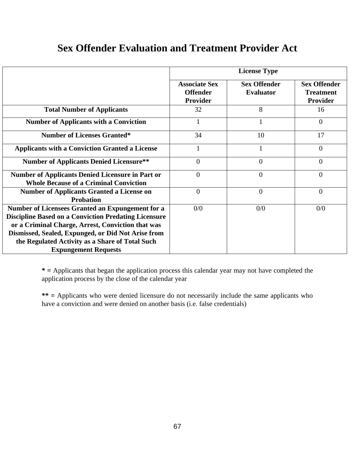# **Sex Offender Evaluation and Treatment Provider Act**

|                                                                                                                 |                                                     | <b>License Type</b>                     |                                                     |  |
|-----------------------------------------------------------------------------------------------------------------|-----------------------------------------------------|-----------------------------------------|-----------------------------------------------------|--|
|                                                                                                                 | <b>Associate Sex</b><br><b>Offender</b><br>Provider | <b>Sex Offender</b><br><b>Evaluator</b> | <b>Sex Offender</b><br><b>Treatment</b><br>Provider |  |
| <b>Total Number of Applicants</b>                                                                               | 32                                                  | 8                                       | 16                                                  |  |
| <b>Number of Applicants with a Conviction</b>                                                                   |                                                     |                                         | $\Omega$                                            |  |
| <b>Number of Licenses Granted*</b>                                                                              | 34                                                  | 10                                      | 17                                                  |  |
| <b>Applicants with a Conviction Granted a License</b>                                                           |                                                     |                                         | $\theta$                                            |  |
| <b>Number of Applicants Denied Licensure**</b>                                                                  | $\overline{0}$                                      | $\overline{0}$                          | $\overline{0}$                                      |  |
| <b>Number of Applicants Denied Licensure in Part or</b><br><b>Whole Because of a Criminal Conviction</b>        | $\overline{0}$                                      | $\overline{0}$                          | $\theta$                                            |  |
| <b>Number of Applicants Granted a License on</b><br><b>Probation</b>                                            | $\overline{0}$                                      | $\overline{0}$                          | $\overline{0}$                                      |  |
| Number of Licensees Granted an Expungement for a<br><b>Discipline Based on a Conviction Predating Licensure</b> | 0/0                                                 | 0/0                                     | 0/0                                                 |  |
| or a Criminal Charge, Arrest, Conviction that was<br>Dismissed, Sealed, Expunged, or Did Not Arise from         |                                                     |                                         |                                                     |  |
| the Regulated Activity as a Share of Total Such<br><b>Expungement Requests</b>                                  |                                                     |                                         |                                                     |  |

**\* =** Applicants that began the application process this calendar year may not have completed the application process by the close of the calendar year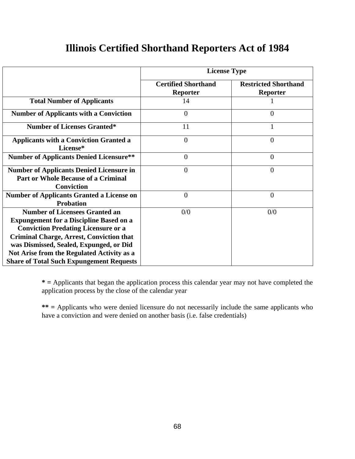## **Illinois Certified Shorthand Reporters Act of 1984**

|                                                                                                                                                                                                                                                                                                                                      | <b>License Type</b>                           |                                                |  |
|--------------------------------------------------------------------------------------------------------------------------------------------------------------------------------------------------------------------------------------------------------------------------------------------------------------------------------------|-----------------------------------------------|------------------------------------------------|--|
|                                                                                                                                                                                                                                                                                                                                      | <b>Certified Shorthand</b><br><b>Reporter</b> | <b>Restricted Shorthand</b><br><b>Reporter</b> |  |
| <b>Total Number of Applicants</b>                                                                                                                                                                                                                                                                                                    | 14                                            |                                                |  |
| <b>Number of Applicants with a Conviction</b>                                                                                                                                                                                                                                                                                        | $\overline{0}$                                | $\Omega$                                       |  |
| <b>Number of Licenses Granted*</b>                                                                                                                                                                                                                                                                                                   | 11                                            |                                                |  |
| <b>Applicants with a Conviction Granted a</b><br>License*                                                                                                                                                                                                                                                                            | $\overline{0}$                                | $\overline{0}$                                 |  |
| <b>Number of Applicants Denied Licensure**</b>                                                                                                                                                                                                                                                                                       | $\overline{0}$                                | $\Omega$                                       |  |
| <b>Number of Applicants Denied Licensure in</b><br><b>Part or Whole Because of a Criminal</b><br><b>Conviction</b>                                                                                                                                                                                                                   | $\theta$                                      | $\Omega$                                       |  |
| <b>Number of Applicants Granted a License on</b><br><b>Probation</b>                                                                                                                                                                                                                                                                 | $\overline{0}$                                | $\overline{0}$                                 |  |
| <b>Number of Licensees Granted an</b><br><b>Expungement for a Discipline Based on a</b><br><b>Conviction Predating Licensure or a</b><br><b>Criminal Charge, Arrest, Conviction that</b><br>was Dismissed, Sealed, Expunged, or Did<br>Not Arise from the Regulated Activity as a<br><b>Share of Total Such Expungement Requests</b> | 0/0                                           | 0/0                                            |  |

**\* =** Applicants that began the application process this calendar year may not have completed the application process by the close of the calendar year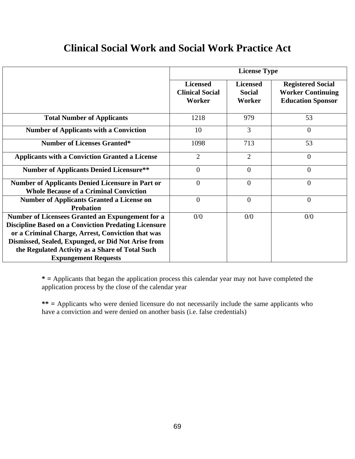## **Clinical Social Work and Social Work Practice Act**

|                                                                                                                                                                                                                                                                                                              | <b>License Type</b>                                 |                                            |                                                                                  |  |
|--------------------------------------------------------------------------------------------------------------------------------------------------------------------------------------------------------------------------------------------------------------------------------------------------------------|-----------------------------------------------------|--------------------------------------------|----------------------------------------------------------------------------------|--|
|                                                                                                                                                                                                                                                                                                              | <b>Licensed</b><br><b>Clinical Social</b><br>Worker | <b>Licensed</b><br><b>Social</b><br>Worker | <b>Registered Social</b><br><b>Worker Continuing</b><br><b>Education Sponsor</b> |  |
| <b>Total Number of Applicants</b>                                                                                                                                                                                                                                                                            | 1218                                                | 979                                        | 53                                                                               |  |
| <b>Number of Applicants with a Conviction</b>                                                                                                                                                                                                                                                                | 10                                                  | 3                                          | $\overline{0}$                                                                   |  |
| <b>Number of Licenses Granted*</b>                                                                                                                                                                                                                                                                           | 1098                                                | 713                                        | 53                                                                               |  |
| <b>Applicants with a Conviction Granted a License</b>                                                                                                                                                                                                                                                        | $\overline{2}$                                      | $\overline{2}$                             | $\overline{0}$                                                                   |  |
| <b>Number of Applicants Denied Licensure**</b>                                                                                                                                                                                                                                                               | $\theta$                                            | $\theta$                                   | $\overline{0}$                                                                   |  |
| <b>Number of Applicants Denied Licensure in Part or</b><br><b>Whole Because of a Criminal Conviction</b>                                                                                                                                                                                                     | $\overline{0}$                                      | $\overline{0}$                             | $\overline{0}$                                                                   |  |
| <b>Number of Applicants Granted a License on</b><br><b>Probation</b>                                                                                                                                                                                                                                         | $\overline{0}$                                      | $\overline{0}$                             | $\overline{0}$                                                                   |  |
| Number of Licensees Granted an Expungement for a<br><b>Discipline Based on a Conviction Predating Licensure</b><br>or a Criminal Charge, Arrest, Conviction that was<br>Dismissed, Sealed, Expunged, or Did Not Arise from<br>the Regulated Activity as a Share of Total Such<br><b>Expungement Requests</b> | 0/0                                                 | 0/0                                        | 0/0                                                                              |  |

**\* =** Applicants that began the application process this calendar year may not have completed the application process by the close of the calendar year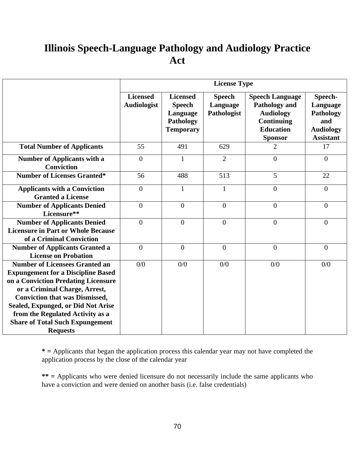# **Illinois Speech-Language Pathology and Audiology Practice Act**

|                                                                                                                                                                                                                                                                                                                                            | <b>License Type</b>                   |                                                                               |                                          |                                                                                                                               |                                                                                 |  |
|--------------------------------------------------------------------------------------------------------------------------------------------------------------------------------------------------------------------------------------------------------------------------------------------------------------------------------------------|---------------------------------------|-------------------------------------------------------------------------------|------------------------------------------|-------------------------------------------------------------------------------------------------------------------------------|---------------------------------------------------------------------------------|--|
|                                                                                                                                                                                                                                                                                                                                            | <b>Licensed</b><br><b>Audiologist</b> | <b>Licensed</b><br><b>Speech</b><br>Language<br>Pathology<br><b>Temporary</b> | <b>Speech</b><br>Language<br>Pathologist | <b>Speech Language</b><br><b>Pathology and</b><br><b>Audiology</b><br><b>Continuing</b><br><b>Education</b><br><b>Sponsor</b> | Speech-<br>Language<br>Pathology<br>and<br><b>Audiology</b><br><b>Assistant</b> |  |
| <b>Total Number of Applicants</b>                                                                                                                                                                                                                                                                                                          | 55                                    | 491                                                                           | 629                                      | $\overline{2}$                                                                                                                | 17                                                                              |  |
| <b>Number of Applicants with a</b><br><b>Conviction</b>                                                                                                                                                                                                                                                                                    | $\overline{0}$                        | $\mathbf{1}$                                                                  | $\overline{2}$                           | $\overline{0}$                                                                                                                | $\overline{0}$                                                                  |  |
| <b>Number of Licenses Granted*</b>                                                                                                                                                                                                                                                                                                         | 56                                    | 488                                                                           | 513                                      | 5                                                                                                                             | 22                                                                              |  |
| <b>Applicants with a Conviction</b><br><b>Granted a License</b>                                                                                                                                                                                                                                                                            | $\overline{0}$                        | $\mathbf{1}$                                                                  | $\mathbf{1}$                             | $\overline{0}$                                                                                                                | $\boldsymbol{0}$                                                                |  |
| <b>Number of Applicants Denied</b><br>Licensure**                                                                                                                                                                                                                                                                                          | $\mathbf{0}$                          | $\mathbf{0}$                                                                  | $\boldsymbol{0}$                         | $\overline{0}$                                                                                                                | $\boldsymbol{0}$                                                                |  |
| <b>Number of Applicants Denied</b><br><b>Licensure in Part or Whole Because</b><br>of a Criminal Conviction                                                                                                                                                                                                                                | $\overline{0}$                        | $\overline{0}$                                                                | $\overline{0}$                           | $\overline{0}$                                                                                                                | $\boldsymbol{0}$                                                                |  |
| <b>Number of Applicants Granted a</b><br><b>License on Probation</b>                                                                                                                                                                                                                                                                       | $\overline{0}$                        | $\mathbf{0}$                                                                  | $\boldsymbol{0}$                         | $\overline{0}$                                                                                                                | $\boldsymbol{0}$                                                                |  |
| <b>Number of Licensees Granted an</b><br><b>Expungement for a Discipline Based</b><br>on a Conviction Predating Licensure<br>or a Criminal Charge, Arrest,<br><b>Conviction that was Dismissed,</b><br>Sealed, Expunged, or Did Not Arise<br>from the Regulated Activity as a<br><b>Share of Total Such Expungement</b><br><b>Requests</b> | 0/0                                   | 0/0                                                                           | 0/0                                      | 0/0                                                                                                                           | 0/0                                                                             |  |

**\* =** Applicants that began the application process this calendar year may not have completed the application process by the close of the calendar year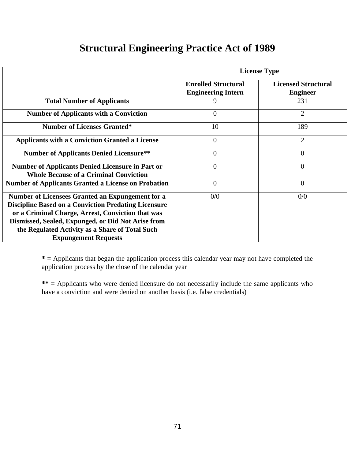# **Structural Engineering Practice Act of 1989**

|                                                                                                                                                                                                                                                                                                              | <b>License Type</b>                                     |                                               |  |
|--------------------------------------------------------------------------------------------------------------------------------------------------------------------------------------------------------------------------------------------------------------------------------------------------------------|---------------------------------------------------------|-----------------------------------------------|--|
|                                                                                                                                                                                                                                                                                                              | <b>Enrolled Structural</b><br><b>Engineering Intern</b> | <b>Licensed Structural</b><br><b>Engineer</b> |  |
| <b>Total Number of Applicants</b>                                                                                                                                                                                                                                                                            | 9                                                       | 231                                           |  |
| <b>Number of Applicants with a Conviction</b>                                                                                                                                                                                                                                                                | $\overline{0}$                                          | $\overline{2}$                                |  |
| <b>Number of Licenses Granted*</b>                                                                                                                                                                                                                                                                           | 10                                                      | 189                                           |  |
| <b>Applicants with a Conviction Granted a License</b>                                                                                                                                                                                                                                                        | $\overline{0}$                                          | $\overline{2}$                                |  |
| <b>Number of Applicants Denied Licensure**</b>                                                                                                                                                                                                                                                               | $\overline{0}$                                          | $\theta$                                      |  |
| <b>Number of Applicants Denied Licensure in Part or</b><br><b>Whole Because of a Criminal Conviction</b>                                                                                                                                                                                                     | $\overline{0}$                                          | $\overline{0}$                                |  |
| <b>Number of Applicants Granted a License on Probation</b>                                                                                                                                                                                                                                                   | $\overline{0}$                                          | $\overline{0}$                                |  |
| Number of Licensees Granted an Expungement for a<br><b>Discipline Based on a Conviction Predating Licensure</b><br>or a Criminal Charge, Arrest, Conviction that was<br>Dismissed, Sealed, Expunged, or Did Not Arise from<br>the Regulated Activity as a Share of Total Such<br><b>Expungement Requests</b> | 0/0                                                     | 0/0                                           |  |

**\* =** Applicants that began the application process this calendar year may not have completed the application process by the close of the calendar year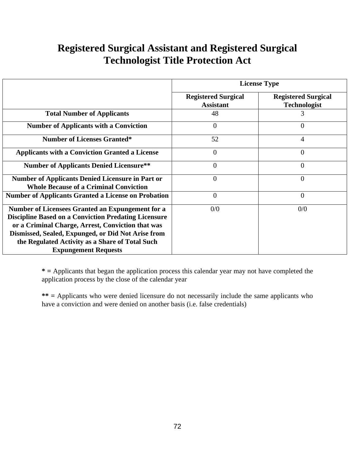# **Registered Surgical Assistant and Registered Surgical Technologist Title Protection Act**

|                                                                                                                                                                                                                                                                                                              | <b>License Type</b>                            |                                                   |  |
|--------------------------------------------------------------------------------------------------------------------------------------------------------------------------------------------------------------------------------------------------------------------------------------------------------------|------------------------------------------------|---------------------------------------------------|--|
|                                                                                                                                                                                                                                                                                                              | <b>Registered Surgical</b><br><b>Assistant</b> | <b>Registered Surgical</b><br><b>Technologist</b> |  |
| <b>Total Number of Applicants</b>                                                                                                                                                                                                                                                                            | 48                                             | 3                                                 |  |
| <b>Number of Applicants with a Conviction</b>                                                                                                                                                                                                                                                                | $\overline{0}$                                 | 0                                                 |  |
| <b>Number of Licenses Granted*</b>                                                                                                                                                                                                                                                                           | 52                                             | 4                                                 |  |
| <b>Applicants with a Conviction Granted a License</b>                                                                                                                                                                                                                                                        | $\theta$                                       | $\overline{0}$                                    |  |
| <b>Number of Applicants Denied Licensure**</b>                                                                                                                                                                                                                                                               | $\overline{0}$                                 | $\overline{0}$                                    |  |
| <b>Number of Applicants Denied Licensure in Part or</b><br><b>Whole Because of a Criminal Conviction</b>                                                                                                                                                                                                     | $\overline{0}$                                 | $\overline{0}$                                    |  |
| <b>Number of Applicants Granted a License on Probation</b>                                                                                                                                                                                                                                                   | $\boldsymbol{0}$                               | $\overline{0}$                                    |  |
| Number of Licensees Granted an Expungement for a<br><b>Discipline Based on a Conviction Predating Licensure</b><br>or a Criminal Charge, Arrest, Conviction that was<br>Dismissed, Sealed, Expunged, or Did Not Arise from<br>the Regulated Activity as a Share of Total Such<br><b>Expungement Requests</b> | 0/0                                            | 0/0                                               |  |

**\* =** Applicants that began the application process this calendar year may not have completed the application process by the close of the calendar year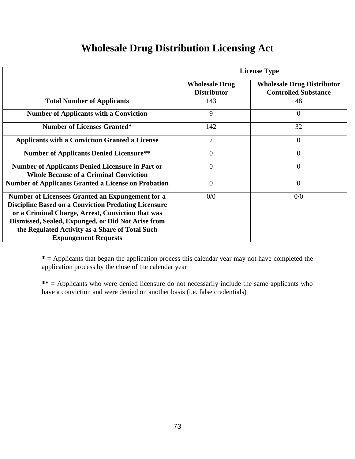### **Wholesale Drug Distribution Licensing Act**

|                                                                                                                                                                                                                                                                                                              | <b>License Type</b>                         |                                                                  |  |  |
|--------------------------------------------------------------------------------------------------------------------------------------------------------------------------------------------------------------------------------------------------------------------------------------------------------------|---------------------------------------------|------------------------------------------------------------------|--|--|
|                                                                                                                                                                                                                                                                                                              | <b>Wholesale Drug</b><br><b>Distributor</b> | <b>Wholesale Drug Distributor</b><br><b>Controlled Substance</b> |  |  |
| <b>Total Number of Applicants</b>                                                                                                                                                                                                                                                                            | 143                                         | 48                                                               |  |  |
| <b>Number of Applicants with a Conviction</b>                                                                                                                                                                                                                                                                | 9                                           | $\overline{0}$                                                   |  |  |
| <b>Number of Licenses Granted*</b>                                                                                                                                                                                                                                                                           | 142                                         | 32                                                               |  |  |
| <b>Applicants with a Conviction Granted a License</b>                                                                                                                                                                                                                                                        | 7                                           | $\overline{0}$                                                   |  |  |
| <b>Number of Applicants Denied Licensure**</b>                                                                                                                                                                                                                                                               | $\theta$                                    | $\theta$                                                         |  |  |
| <b>Number of Applicants Denied Licensure in Part or</b><br><b>Whole Because of a Criminal Conviction</b>                                                                                                                                                                                                     | $\overline{0}$                              | $\overline{0}$                                                   |  |  |
| <b>Number of Applicants Granted a License on Probation</b>                                                                                                                                                                                                                                                   | $\theta$                                    | $\overline{0}$                                                   |  |  |
| Number of Licensees Granted an Expungement for a<br><b>Discipline Based on a Conviction Predating Licensure</b><br>or a Criminal Charge, Arrest, Conviction that was<br>Dismissed, Sealed, Expunged, or Did Not Arise from<br>the Regulated Activity as a Share of Total Such<br><b>Expungement Requests</b> | 0/0                                         | 0/0                                                              |  |  |

**\* =** Applicants that began the application process this calendar year may not have completed the application process by the close of the calendar year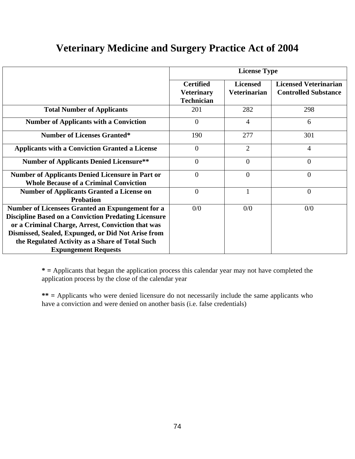# **Veterinary Medicine and Surgery Practice Act of 2004**

|                                                                                                                 | <b>License Type</b>                                        |                                        |                                                             |  |
|-----------------------------------------------------------------------------------------------------------------|------------------------------------------------------------|----------------------------------------|-------------------------------------------------------------|--|
|                                                                                                                 | <b>Certified</b><br><b>Veterinary</b><br><b>Technician</b> | <b>Licensed</b><br><b>Veterinarian</b> | <b>Licensed Veterinarian</b><br><b>Controlled Substance</b> |  |
| <b>Total Number of Applicants</b>                                                                               | 201                                                        | 282                                    | 298                                                         |  |
| <b>Number of Applicants with a Conviction</b>                                                                   | $\overline{0}$                                             | $\overline{4}$                         | 6                                                           |  |
| <b>Number of Licenses Granted*</b>                                                                              | 190                                                        | 277                                    | 301                                                         |  |
| <b>Applicants with a Conviction Granted a License</b>                                                           | $\theta$                                                   | $\overline{2}$                         | $\overline{4}$                                              |  |
| <b>Number of Applicants Denied Licensure**</b>                                                                  | $\overline{0}$                                             | $\theta$                               | $\overline{0}$                                              |  |
| <b>Number of Applicants Denied Licensure in Part or</b><br><b>Whole Because of a Criminal Conviction</b>        | $\overline{0}$                                             | $\overline{0}$                         | $\overline{0}$                                              |  |
| <b>Number of Applicants Granted a License on</b><br><b>Probation</b>                                            | $\overline{0}$                                             | 1                                      | $\theta$                                                    |  |
| Number of Licensees Granted an Expungement for a<br><b>Discipline Based on a Conviction Predating Licensure</b> | 0/0                                                        | 0/0                                    | 0/0                                                         |  |
| or a Criminal Charge, Arrest, Conviction that was<br>Dismissed, Sealed, Expunged, or Did Not Arise from         |                                                            |                                        |                                                             |  |
| the Regulated Activity as a Share of Total Such<br><b>Expungement Requests</b>                                  |                                                            |                                        |                                                             |  |

**\* =** Applicants that began the application process this calendar year may not have completed the application process by the close of the calendar year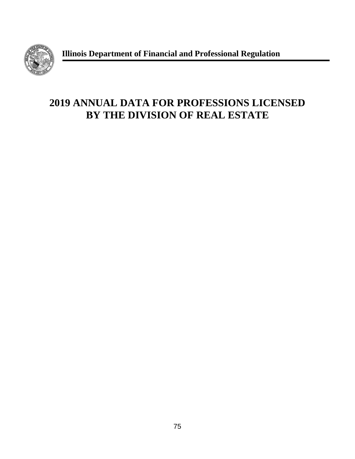

**Illinois Department of Financial and Professional Regulation**

# **2019 ANNUAL DATA FOR PROFESSIONS LICENSED BY THE DIVISION OF REAL ESTATE**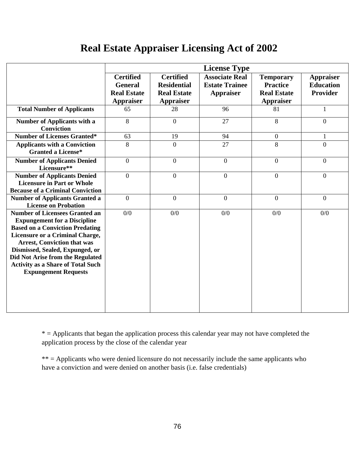# **Real Estate Appraiser Licensing Act of 2002**

|                                                                                                                                                                                                                                                                                                                                                          | <b>License Type</b>                                                          |                                                                                  |                                                                    |                                                                               |                                                         |
|----------------------------------------------------------------------------------------------------------------------------------------------------------------------------------------------------------------------------------------------------------------------------------------------------------------------------------------------------------|------------------------------------------------------------------------------|----------------------------------------------------------------------------------|--------------------------------------------------------------------|-------------------------------------------------------------------------------|---------------------------------------------------------|
|                                                                                                                                                                                                                                                                                                                                                          | <b>Certified</b><br><b>General</b><br><b>Real Estate</b><br><b>Appraiser</b> | <b>Certified</b><br><b>Residential</b><br><b>Real Estate</b><br><b>Appraiser</b> | <b>Associate Real</b><br><b>Estate Trainee</b><br><b>Appraiser</b> | <b>Temporary</b><br><b>Practice</b><br><b>Real Estate</b><br><b>Appraiser</b> | <b>Appraiser</b><br><b>Education</b><br><b>Provider</b> |
| <b>Total Number of Applicants</b>                                                                                                                                                                                                                                                                                                                        | 65                                                                           | 28                                                                               | 96                                                                 | 81                                                                            | $\mathbf{1}$                                            |
| Number of Applicants with a<br><b>Conviction</b>                                                                                                                                                                                                                                                                                                         | 8                                                                            | $\overline{0}$                                                                   | 27                                                                 | 8                                                                             | $\overline{0}$                                          |
| <b>Number of Licenses Granted*</b>                                                                                                                                                                                                                                                                                                                       | 63                                                                           | 19                                                                               | 94                                                                 | $\mathbf{0}$                                                                  | $\mathbf{1}$                                            |
| <b>Applicants with a Conviction</b><br><b>Granted a License*</b>                                                                                                                                                                                                                                                                                         | 8                                                                            | $\theta$                                                                         | 27                                                                 | 8                                                                             | $\theta$                                                |
| <b>Number of Applicants Denied</b><br>Licensure**                                                                                                                                                                                                                                                                                                        | $\boldsymbol{0}$                                                             | $\boldsymbol{0}$                                                                 | $\mathbf{0}$                                                       | $\overline{0}$                                                                | $\overline{0}$                                          |
| <b>Number of Applicants Denied</b><br><b>Licensure in Part or Whole</b><br><b>Because of a Criminal Conviction</b>                                                                                                                                                                                                                                       | $\overline{0}$                                                               | $\overline{0}$                                                                   | $\theta$                                                           | $\overline{0}$                                                                | $\overline{0}$                                          |
| <b>Number of Applicants Granted a</b><br><b>License on Probation</b>                                                                                                                                                                                                                                                                                     | $\overline{0}$                                                               | $\overline{0}$                                                                   | $\overline{0}$                                                     | $\overline{0}$                                                                | $\overline{0}$                                          |
| <b>Number of Licensees Granted an</b><br><b>Expungement for a Discipline</b><br><b>Based on a Conviction Predating</b><br><b>Licensure or a Criminal Charge,</b><br><b>Arrest, Conviction that was</b><br>Dismissed, Sealed, Expunged, or<br>Did Not Arise from the Regulated<br><b>Activity as a Share of Total Such</b><br><b>Expungement Requests</b> | 0/0                                                                          | 0/0                                                                              | 0/0                                                                | 0/0                                                                           | 0/0                                                     |

 $*$  = Applicants that began the application process this calendar year may not have completed the application process by the close of the calendar year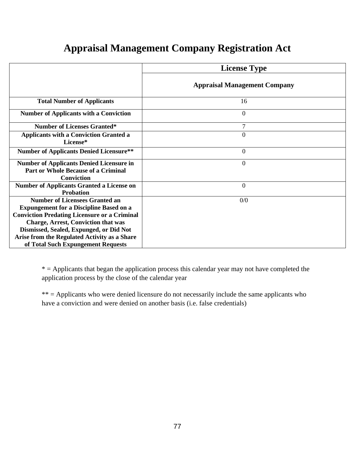# **Appraisal Management Company Registration Act**

| <b>Appraisal Management Company</b><br><b>Total Number of Applicants</b><br>16<br>$\overline{0}$<br><b>Number of Applicants with a Conviction</b><br>7<br><b>Number of Licenses Granted*</b><br>$\overline{0}$<br><b>Applicants with a Conviction Granted a</b><br>License*<br><b>Number of Applicants Denied Licensure**</b><br>$\overline{0}$<br>$\overline{0}$<br><b>Number of Applicants Denied Licensure in</b><br><b>Part or Whole Because of a Criminal</b><br><b>Conviction</b><br><b>Number of Applicants Granted a License on</b><br>$\overline{0}$<br><b>Probation</b><br><b>Number of Licensees Granted an</b><br>0/0<br><b>Expungement for a Discipline Based on a</b><br><b>Conviction Predating Licensure or a Criminal</b> |                                            | <b>License Type</b> |
|--------------------------------------------------------------------------------------------------------------------------------------------------------------------------------------------------------------------------------------------------------------------------------------------------------------------------------------------------------------------------------------------------------------------------------------------------------------------------------------------------------------------------------------------------------------------------------------------------------------------------------------------------------------------------------------------------------------------------------------------|--------------------------------------------|---------------------|
|                                                                                                                                                                                                                                                                                                                                                                                                                                                                                                                                                                                                                                                                                                                                            |                                            |                     |
|                                                                                                                                                                                                                                                                                                                                                                                                                                                                                                                                                                                                                                                                                                                                            |                                            |                     |
|                                                                                                                                                                                                                                                                                                                                                                                                                                                                                                                                                                                                                                                                                                                                            |                                            |                     |
|                                                                                                                                                                                                                                                                                                                                                                                                                                                                                                                                                                                                                                                                                                                                            |                                            |                     |
|                                                                                                                                                                                                                                                                                                                                                                                                                                                                                                                                                                                                                                                                                                                                            |                                            |                     |
|                                                                                                                                                                                                                                                                                                                                                                                                                                                                                                                                                                                                                                                                                                                                            |                                            |                     |
|                                                                                                                                                                                                                                                                                                                                                                                                                                                                                                                                                                                                                                                                                                                                            |                                            |                     |
|                                                                                                                                                                                                                                                                                                                                                                                                                                                                                                                                                                                                                                                                                                                                            |                                            |                     |
| Dismissed, Sealed, Expunged, or Did Not<br>Arise from the Regulated Activity as a Share<br>of Total Such Expungement Requests                                                                                                                                                                                                                                                                                                                                                                                                                                                                                                                                                                                                              | <b>Charge, Arrest, Conviction that was</b> |                     |

 $*$  = Applicants that began the application process this calendar year may not have completed the application process by the close of the calendar year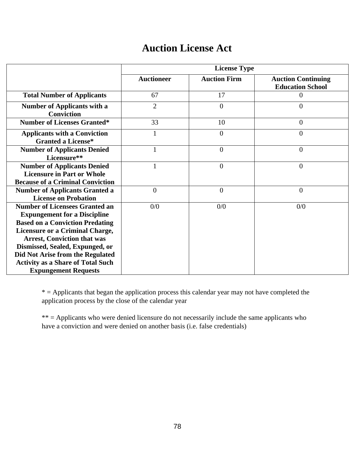### **Auction License Act**

|                                                                                                                                                                                                                                                                               | <b>License Type</b> |                     |                                                      |  |  |
|-------------------------------------------------------------------------------------------------------------------------------------------------------------------------------------------------------------------------------------------------------------------------------|---------------------|---------------------|------------------------------------------------------|--|--|
|                                                                                                                                                                                                                                                                               | <b>Auctioneer</b>   | <b>Auction Firm</b> | <b>Auction Continuing</b><br><b>Education School</b> |  |  |
| <b>Total Number of Applicants</b>                                                                                                                                                                                                                                             | 67                  | 17                  | $\Omega$                                             |  |  |
| <b>Number of Applicants with a</b><br><b>Conviction</b>                                                                                                                                                                                                                       | $\overline{2}$      | $\theta$            | $\overline{0}$                                       |  |  |
| <b>Number of Licenses Granted*</b>                                                                                                                                                                                                                                            | 33                  | 10                  | $\theta$                                             |  |  |
| <b>Applicants with a Conviction</b><br><b>Granted a License*</b>                                                                                                                                                                                                              | 1                   | $\Omega$            | $\overline{0}$                                       |  |  |
| <b>Number of Applicants Denied</b><br>Licensure**                                                                                                                                                                                                                             | 1                   | $\overline{0}$      | $\overline{0}$                                       |  |  |
| <b>Number of Applicants Denied</b><br><b>Licensure in Part or Whole</b><br><b>Because of a Criminal Conviction</b>                                                                                                                                                            | $\mathbf{1}$        | $\theta$            | $\overline{0}$                                       |  |  |
| <b>Number of Applicants Granted a</b><br><b>License on Probation</b>                                                                                                                                                                                                          | $\overline{0}$      | $\theta$            | $\overline{0}$                                       |  |  |
| <b>Number of Licensees Granted an</b><br><b>Expungement for a Discipline</b><br><b>Based on a Conviction Predating</b><br><b>Licensure or a Criminal Charge,</b><br><b>Arrest, Conviction that was</b><br>Dismissed, Sealed, Expunged, or<br>Did Not Arise from the Regulated | 0/0                 | 0/0                 | 0/0                                                  |  |  |
| <b>Activity as a Share of Total Such</b><br><b>Expungement Requests</b>                                                                                                                                                                                                       |                     |                     |                                                      |  |  |

\* = Applicants that began the application process this calendar year may not have completed the application process by the close of the calendar year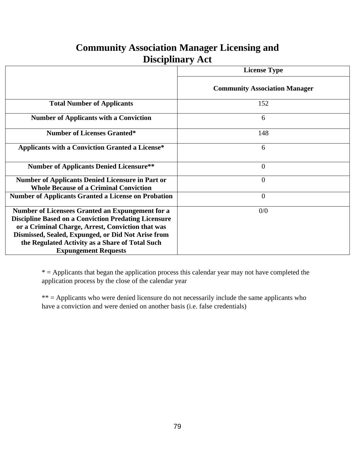#### **Community Association Manager Licensing and Disciplinary Act**

|                                                                                                                                                                                                                                                                                                              | <b>License Type</b>                  |
|--------------------------------------------------------------------------------------------------------------------------------------------------------------------------------------------------------------------------------------------------------------------------------------------------------------|--------------------------------------|
|                                                                                                                                                                                                                                                                                                              | <b>Community Association Manager</b> |
| <b>Total Number of Applicants</b>                                                                                                                                                                                                                                                                            | 152                                  |
| <b>Number of Applicants with a Conviction</b>                                                                                                                                                                                                                                                                | 6                                    |
| <b>Number of Licenses Granted*</b>                                                                                                                                                                                                                                                                           | 148                                  |
| <b>Applicants with a Conviction Granted a License*</b>                                                                                                                                                                                                                                                       | 6                                    |
| <b>Number of Applicants Denied Licensure**</b>                                                                                                                                                                                                                                                               | $\theta$                             |
| <b>Number of Applicants Denied Licensure in Part or</b><br><b>Whole Because of a Criminal Conviction</b>                                                                                                                                                                                                     | $\overline{0}$                       |
| <b>Number of Applicants Granted a License on Probation</b>                                                                                                                                                                                                                                                   | $\overline{0}$                       |
| Number of Licensees Granted an Expungement for a<br><b>Discipline Based on a Conviction Predating Licensure</b><br>or a Criminal Charge, Arrest, Conviction that was<br>Dismissed, Sealed, Expunged, or Did Not Arise from<br>the Regulated Activity as a Share of Total Such<br><b>Expungement Requests</b> | 0/0                                  |

 $*$  = Applicants that began the application process this calendar year may not have completed the application process by the close of the calendar year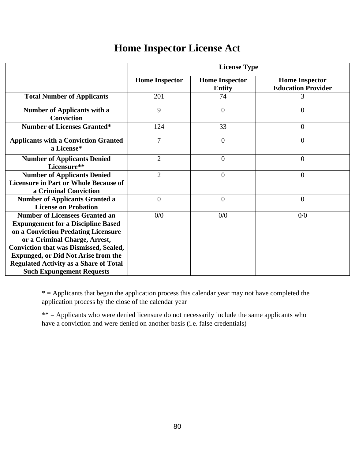### **Home Inspector License Act**

|                                                                                                                                                                                                                                                                                                                                                | <b>License Type</b>   |                                        |                                                    |  |  |
|------------------------------------------------------------------------------------------------------------------------------------------------------------------------------------------------------------------------------------------------------------------------------------------------------------------------------------------------|-----------------------|----------------------------------------|----------------------------------------------------|--|--|
|                                                                                                                                                                                                                                                                                                                                                | <b>Home Inspector</b> | <b>Home Inspector</b><br><b>Entity</b> | <b>Home Inspector</b><br><b>Education Provider</b> |  |  |
| <b>Total Number of Applicants</b>                                                                                                                                                                                                                                                                                                              | 201                   | 74                                     | 3                                                  |  |  |
| <b>Number of Applicants with a</b><br><b>Conviction</b>                                                                                                                                                                                                                                                                                        | 9                     | $\overline{0}$                         | $\overline{0}$                                     |  |  |
| <b>Number of Licenses Granted*</b>                                                                                                                                                                                                                                                                                                             | 124                   | 33                                     | $\overline{0}$                                     |  |  |
| <b>Applicants with a Conviction Granted</b><br>a License*                                                                                                                                                                                                                                                                                      | $\overline{7}$        | $\overline{0}$                         | $\overline{0}$                                     |  |  |
| <b>Number of Applicants Denied</b><br>Licensure**                                                                                                                                                                                                                                                                                              | $\overline{2}$        | $\overline{0}$                         | $\overline{0}$                                     |  |  |
| <b>Number of Applicants Denied</b><br><b>Licensure in Part or Whole Because of</b><br>a Criminal Conviction                                                                                                                                                                                                                                    | $\overline{2}$        | $\overline{0}$                         | $\overline{0}$                                     |  |  |
| <b>Number of Applicants Granted a</b><br><b>License on Probation</b>                                                                                                                                                                                                                                                                           | $\overline{0}$        | $\overline{0}$                         | $\overline{0}$                                     |  |  |
| <b>Number of Licensees Granted an</b><br><b>Expungement for a Discipline Based</b><br>on a Conviction Predating Licensure<br>or a Criminal Charge, Arrest,<br><b>Conviction that was Dismissed, Sealed,</b><br><b>Expunged, or Did Not Arise from the</b><br><b>Regulated Activity as a Share of Total</b><br><b>Such Expungement Requests</b> | 0/0                   | 0/0                                    | 0/0                                                |  |  |

 $*$  = Applicants that began the application process this calendar year may not have completed the application process by the close of the calendar year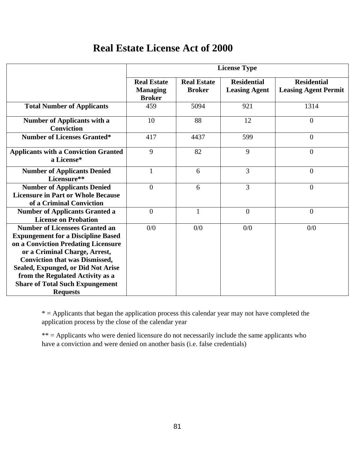#### **Real Estate License Act of 2000**

|                                                                                                                                                                                                                                                                                                                                            | <b>License Type</b>                                    |                                     |                                            |                                                   |  |
|--------------------------------------------------------------------------------------------------------------------------------------------------------------------------------------------------------------------------------------------------------------------------------------------------------------------------------------------|--------------------------------------------------------|-------------------------------------|--------------------------------------------|---------------------------------------------------|--|
|                                                                                                                                                                                                                                                                                                                                            | <b>Real Estate</b><br><b>Managing</b><br><b>Broker</b> | <b>Real Estate</b><br><b>Broker</b> | <b>Residential</b><br><b>Leasing Agent</b> | <b>Residential</b><br><b>Leasing Agent Permit</b> |  |
| <b>Total Number of Applicants</b>                                                                                                                                                                                                                                                                                                          | 459                                                    | 5094                                | 921                                        | 1314                                              |  |
| <b>Number of Applicants with a</b><br><b>Conviction</b>                                                                                                                                                                                                                                                                                    | 10                                                     | 88                                  | 12                                         | $\theta$                                          |  |
| <b>Number of Licenses Granted*</b>                                                                                                                                                                                                                                                                                                         | 417                                                    | 4437                                | 599                                        | $\overline{0}$                                    |  |
| <b>Applicants with a Conviction Granted</b><br>a License*                                                                                                                                                                                                                                                                                  | 9                                                      | 82                                  | 9                                          | $\overline{0}$                                    |  |
| <b>Number of Applicants Denied</b><br>Licensure**                                                                                                                                                                                                                                                                                          | $\mathbf{1}$                                           | 6                                   | 3                                          | $\theta$                                          |  |
| <b>Number of Applicants Denied</b><br><b>Licensure in Part or Whole Because</b><br>of a Criminal Conviction                                                                                                                                                                                                                                | $\overline{0}$                                         | 6                                   | 3                                          | $\overline{0}$                                    |  |
| <b>Number of Applicants Granted a</b><br><b>License on Probation</b>                                                                                                                                                                                                                                                                       | $\theta$                                               | $\mathbf{1}$                        | $\overline{0}$                             | $\theta$                                          |  |
| <b>Number of Licensees Granted an</b><br><b>Expungement for a Discipline Based</b><br>on a Conviction Predating Licensure<br>or a Criminal Charge, Arrest,<br><b>Conviction that was Dismissed,</b><br>Sealed, Expunged, or Did Not Arise<br>from the Regulated Activity as a<br><b>Share of Total Such Expungement</b><br><b>Requests</b> | 0/0                                                    | 0/0                                 | 0/0                                        | 0/0                                               |  |

 $*$  = Applicants that began the application process this calendar year may not have completed the application process by the close of the calendar year